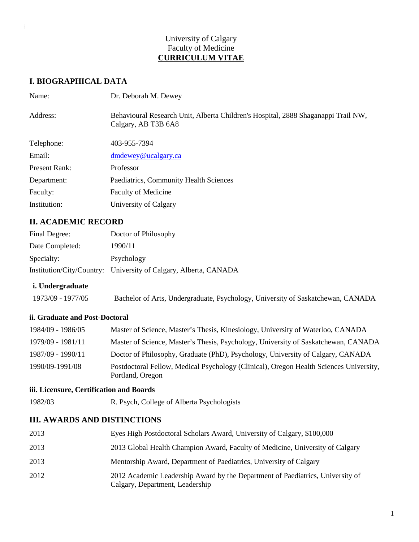### University of Calgary Faculty of Medicine **CURRICULUM VITAE**

### **I. BIOGRAPHICAL DATA**

| Name:         | Dr. Deborah M. Dewey                                                                                     |
|---------------|----------------------------------------------------------------------------------------------------------|
| Address:      | Behavioural Research Unit, Alberta Children's Hospital, 2888 Shaganappi Trail NW,<br>Calgary, AB T3B 6A8 |
| Telephone:    | 403-955-7394                                                                                             |
| Email:        | dmdewey@ucalgary.ca                                                                                      |
| Present Rank: | Professor                                                                                                |
| Department:   | Paediatrics, Community Health Sciences                                                                   |
| Faculty:      | <b>Faculty of Medicine</b>                                                                               |
| Institution:  | University of Calgary                                                                                    |

### **II. ACADEMIC RECORD**

| Final Degree:   | Doctor of Philosophy                                             |
|-----------------|------------------------------------------------------------------|
| Date Completed: | 1990/11                                                          |
| Specialty:      | Psychology                                                       |
|                 | Institution/City/Country: University of Calgary, Alberta, CANADA |

#### **i. Undergraduate**

1973/09 - 1977/05 Bachelor of Arts, Undergraduate, Psychology, University of Saskatchewan, CANADA

#### **ii. Graduate and Post-Doctoral**

| 1984/09 - 1986/05 | Master of Science, Master's Thesis, Kinesiology, University of Waterloo, CANADA                            |
|-------------------|------------------------------------------------------------------------------------------------------------|
| 1979/09 - 1981/11 | Master of Science, Master's Thesis, Psychology, University of Saskatchewan, CANADA                         |
| 1987/09 - 1990/11 | Doctor of Philosophy, Graduate (PhD), Psychology, University of Calgary, CANADA                            |
| 1990/09-1991/08   | Postdoctoral Fellow, Medical Psychology (Clinical), Oregon Health Sciences University,<br>Portland, Oregon |

#### **iii. Licensure, Certification and Boards**

1982/03 R. Psych, College of Alberta Psychologists

### **III. AWARDS AND DISTINCTIONS**

| 2013 | Eyes High Postdoctoral Scholars Award, University of Calgary, \$100,000                                           |
|------|-------------------------------------------------------------------------------------------------------------------|
| 2013 | 2013 Global Health Champion Award, Faculty of Medicine, University of Calgary                                     |
| 2013 | Mentorship Award, Department of Paediatrics, University of Calgary                                                |
| 2012 | 2012 Academic Leadership Award by the Department of Paediatrics, University of<br>Calgary, Department, Leadership |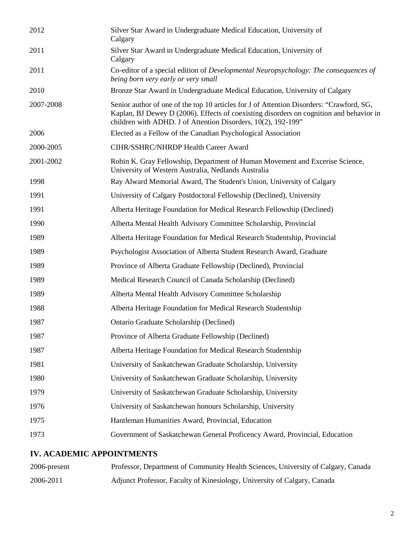| 2012      | Silver Star Award in Undergraduate Medical Education, University of<br>Calgary                                                                                                                                                                       |
|-----------|------------------------------------------------------------------------------------------------------------------------------------------------------------------------------------------------------------------------------------------------------|
| 2011      | Silver Star Award in Undergraduate Medical Education, University of<br>Calgary                                                                                                                                                                       |
| 2011      | Co-editor of a special edition of Developmental Neuropsychology: The consequences of<br>being born very early or very small                                                                                                                          |
| 2010      | Bronze Star Award in Undergraduate Medical Education, University of Calgary                                                                                                                                                                          |
| 2007-2008 | Senior author of one of the top 10 articles for J of Attention Disorders: "Crawford, SG,<br>Kaplan, BJ Dewey D (2006). Effects of coexisting disorders on cognition and behavior in<br>children with ADHD. J of Attention Disorders, 10(2), 192-199" |
| 2006      | Elected as a Fellow of the Canadian Psychological Association                                                                                                                                                                                        |
| 2000-2005 | CIHR/SSHRC/NHRDP Health Career Award                                                                                                                                                                                                                 |
| 2001-2002 | Robin K. Gray Fellowship, Department of Human Movement and Excerise Science,<br>University of Western Australia, Nedlands Australia                                                                                                                  |
| 1998      | Ray Alward Memorial Award, The Student's Union, University of Calgary                                                                                                                                                                                |
| 1991      | University of Calgary Postdoctoral Fellowship (Declined), University                                                                                                                                                                                 |
| 1991      | Alberta Heritage Foundation for Medical Research Fellowship (Declined)                                                                                                                                                                               |
| 1990      | Alberta Mental Health Advisory Committee Scholarship, Provincial                                                                                                                                                                                     |
| 1989      | Alberta Heritage Foundation for Medical Research Studentship, Provincial                                                                                                                                                                             |
| 1989      | Psychologist Association of Alberta Student Research Award, Graduate                                                                                                                                                                                 |
| 1989      | Province of Alberta Graduate Fellowship (Declined), Provincial                                                                                                                                                                                       |
| 1989      | Medical Research Council of Canada Scholarship (Declined)                                                                                                                                                                                            |
| 1989      | Alberta Mental Health Advisory Committee Scholarship                                                                                                                                                                                                 |
| 1988      | Alberta Heritage Foundation for Medical Research Studentship                                                                                                                                                                                         |
| 1987      | Ontario Graduate Scholarship (Declined)                                                                                                                                                                                                              |
| 1987      | Province of Alberta Graduate Fellowship (Declined)                                                                                                                                                                                                   |
| 1987      | Alberta Heritage Foundation for Medical Research Studentship                                                                                                                                                                                         |
| 1981      | University of Saskatchewan Graduate Scholarship, University                                                                                                                                                                                          |
| 1980      | University of Saskatchewan Graduate Scholarship, University                                                                                                                                                                                          |
| 1979      | University of Saskatchewan Graduate Scholarship, University                                                                                                                                                                                          |
| 1976      | University of Saskatchewan honours Scholarship, University                                                                                                                                                                                           |
| 1975      | Hantleman Humanities Award, Provincial, Education                                                                                                                                                                                                    |
| 1973      | Government of Saskatchewan General Proficency Award, Provincial, Education                                                                                                                                                                           |
|           |                                                                                                                                                                                                                                                      |

#### **IV. ACADEMIC APPOINTMENTS**

| 2006-present | Professor, Department of Community Health Sciences, University of Calgary, Canada |
|--------------|-----------------------------------------------------------------------------------|
| 2006-2011    | Adjunct Professor, Faculty of Kinesiology, University of Calgary, Canada          |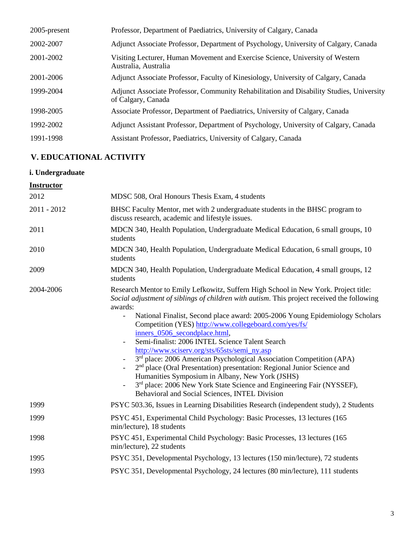| $2005$ -present | Professor, Department of Paediatrics, University of Calgary, Canada                                            |
|-----------------|----------------------------------------------------------------------------------------------------------------|
| 2002-2007       | Adjunct Associate Professor, Department of Psychology, University of Calgary, Canada                           |
| 2001-2002       | Visiting Lecturer, Human Movement and Exercise Science, University of Western<br>Australia, Australia          |
| 2001-2006       | Adjunct Associate Professor, Faculty of Kinesiology, University of Calgary, Canada                             |
| 1999-2004       | Adjunct Associate Professor, Community Rehabilitation and Disability Studies, University<br>of Calgary, Canada |
| 1998-2005       | Associate Professor, Department of Paediatrics, University of Calgary, Canada                                  |
| 1992-2002       | Adjunct Assistant Professor, Department of Psychology, University of Calgary, Canada                           |
| 1991-1998       | Assistant Professor, Paediatrics, University of Calgary, Canada                                                |

# **V. EDUCATIONAL ACTIVITY**

### **i. Undergraduate**

#### **Instructor**

| 2012          | MDSC 508, Oral Honours Thesis Exam, 4 students                                                                                                                                                                                                                                                                                                                                                                                                                                                                                                                                                                                                                                                                                                                                                                                                                                 |
|---------------|--------------------------------------------------------------------------------------------------------------------------------------------------------------------------------------------------------------------------------------------------------------------------------------------------------------------------------------------------------------------------------------------------------------------------------------------------------------------------------------------------------------------------------------------------------------------------------------------------------------------------------------------------------------------------------------------------------------------------------------------------------------------------------------------------------------------------------------------------------------------------------|
| $2011 - 2012$ | BHSC Faculty Mentor, met with 2 undergraduate students in the BHSC program to<br>discuss research, academic and lifestyle issues.                                                                                                                                                                                                                                                                                                                                                                                                                                                                                                                                                                                                                                                                                                                                              |
| 2011          | MDCN 340, Health Population, Undergraduate Medical Education, 6 small groups, 10<br>students                                                                                                                                                                                                                                                                                                                                                                                                                                                                                                                                                                                                                                                                                                                                                                                   |
| 2010          | MDCN 340, Health Population, Undergraduate Medical Education, 6 small groups, 10<br>students                                                                                                                                                                                                                                                                                                                                                                                                                                                                                                                                                                                                                                                                                                                                                                                   |
| 2009          | MDCN 340, Health Population, Undergraduate Medical Education, 4 small groups, 12<br>students                                                                                                                                                                                                                                                                                                                                                                                                                                                                                                                                                                                                                                                                                                                                                                                   |
| 2004-2006     | Research Mentor to Emily Lefkowitz, Suffern High School in New York. Project title:<br>Social adjustment of siblings of children with autism. This project received the following<br>awards:<br>National Finalist, Second place award: 2005-2006 Young Epidemiology Scholars<br>Competition (YES) http://www.collegeboard.com/yes/fs/<br>inners_0506_secondplace.html,<br>Semi-finalist: 2006 INTEL Science Talent Search<br>http://www.sciserv.org/sts/65sts/semi_ny.asp<br>3rd place: 2006 American Psychological Association Competition (APA)<br>$\overline{\phantom{a}}$<br>2 <sup>nd</sup> place (Oral Presentation) presentation: Regional Junior Science and<br>$\overline{\phantom{a}}$<br>Humanities Symposium in Albany, New York (JSHS)<br>3rd place: 2006 New York State Science and Engineering Fair (NYSSEF),<br>Behavioral and Social Sciences, INTEL Division |
| 1999          | PSYC 503.36, Issues in Learning Disabilities Research (independent study), 2 Students                                                                                                                                                                                                                                                                                                                                                                                                                                                                                                                                                                                                                                                                                                                                                                                          |
| 1999          | PSYC 451, Experimental Child Psychology: Basic Processes, 13 lectures (165)<br>min/lecture), 18 students                                                                                                                                                                                                                                                                                                                                                                                                                                                                                                                                                                                                                                                                                                                                                                       |
| 1998          | PSYC 451, Experimental Child Psychology: Basic Processes, 13 lectures (165<br>min/lecture), 22 students                                                                                                                                                                                                                                                                                                                                                                                                                                                                                                                                                                                                                                                                                                                                                                        |
| 1995          | PSYC 351, Developmental Psychology, 13 lectures (150 min/lecture), 72 students                                                                                                                                                                                                                                                                                                                                                                                                                                                                                                                                                                                                                                                                                                                                                                                                 |
| 1993          | PSYC 351, Developmental Psychology, 24 lectures (80 min/lecture), 111 students                                                                                                                                                                                                                                                                                                                                                                                                                                                                                                                                                                                                                                                                                                                                                                                                 |
|               |                                                                                                                                                                                                                                                                                                                                                                                                                                                                                                                                                                                                                                                                                                                                                                                                                                                                                |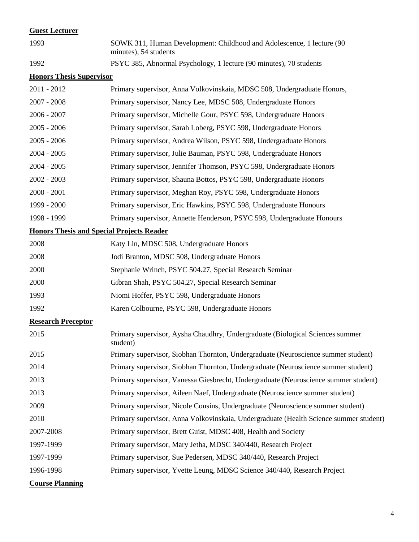### **Guest Lecturer**

| 1993                            | SOWK 311, Human Development: Childhood and Adolescence, 1 lecture (90<br>minutes), 54 students |
|---------------------------------|------------------------------------------------------------------------------------------------|
| 1992                            | PSYC 385, Abnormal Psychology, 1 lecture (90 minutes), 70 students                             |
| <b>Honors Thesis Supervisor</b> |                                                                                                |
| $2011 - 2012$                   | Primary supervisor, Anna Volkovinskaia, MDSC 508, Undergraduate Honors,                        |
| $2007 - 2008$                   | Primary supervisor, Nancy Lee, MDSC 508, Undergraduate Honors                                  |
| $2006 - 2007$                   | Primary supervisor, Michelle Gour, PSYC 598, Undergraduate Honors                              |
| $2005 - 2006$                   | Primary supervisor, Sarah Loberg, PSYC 598, Undergraduate Honors                               |
| $2005 - 2006$                   | Primary supervisor, Andrea Wilson, PSYC 598, Undergraduate Honors                              |
| $2004 - 2005$                   | Primary supervisor, Julie Bauman, PSYC 598, Undergraduate Honors                               |
| $2004 - 2005$                   | Primary supervisor, Jennifer Thomson, PSYC 598, Undergraduate Honors                           |
| $2002 - 2003$                   | Primary supervisor, Shauna Bottos, PSYC 598, Undergraduate Honors                              |
| $2000 - 2001$                   | Primary supervisor, Meghan Roy, PSYC 598, Undergraduate Honors                                 |
| 1999 - 2000                     | Primary supervisor, Eric Hawkins, PSYC 598, Undergraduate Honours                              |
| 1998 - 1999                     | Primary supervisor, Annette Henderson, PSYC 598, Undergraduate Honours                         |
|                                 | <b>Honors Thesis and Special Projects Reader</b>                                               |
| 2008                            | Katy Lin, MDSC 508, Undergraduate Honors                                                       |
| 2008                            | Jodi Branton, MDSC 508, Undergraduate Honors                                                   |
| 2000                            | Stephanie Wrinch, PSYC 504.27, Special Research Seminar                                        |
| 2000                            | Gibran Shah, PSYC 504.27, Special Research Seminar                                             |
| 1993                            | Niomi Hoffer, PSYC 598, Undergraduate Honors                                                   |
| 1992                            | Karen Colbourne, PSYC 598, Undergraduate Honors                                                |
| <b>Research Preceptor</b>       |                                                                                                |
| 2015                            | Primary supervisor, Aysha Chaudhry, Undergraduate (Biological Sciences summer<br>student)      |
| 2015                            | Primary supervisor, Siobhan Thornton, Undergraduate (Neuroscience summer student)              |
| 2014                            | Primary supervisor, Siobhan Thornton, Undergraduate (Neuroscience summer student)              |
| 2013                            | Primary supervisor, Vanessa Giesbrecht, Undergraduate (Neuroscience summer student)            |
| 2013                            | Primary supervisor, Aileen Naef, Undergraduate (Neuroscience summer student)                   |
| 2009                            | Primary supervisor, Nicole Cousins, Undergraduate (Neuroscience summer student)                |
| 2010                            | Primary supervisor, Anna Volkovinskaia, Undergraduate (Health Science summer student)          |
| 2007-2008                       | Primary supervisor, Brett Guist, MDSC 408, Health and Society                                  |
| 1997-1999                       | Primary supervisor, Mary Jetha, MDSC 340/440, Research Project                                 |
| 1997-1999                       | Primary supervisor, Sue Pedersen, MDSC 340/440, Research Project                               |
| 1996-1998                       | Primary supervisor, Yvette Leung, MDSC Science 340/440, Research Project                       |
| <b>Course Planning</b>          |                                                                                                |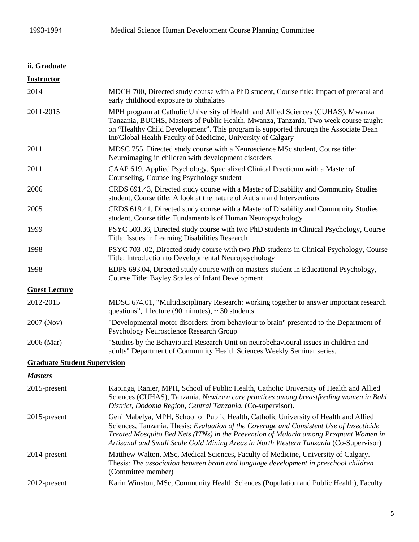# **ii. Graduate**

| <b>Instructor</b>                   |                                                                                                                                                                                                                                                                                                                                                                    |
|-------------------------------------|--------------------------------------------------------------------------------------------------------------------------------------------------------------------------------------------------------------------------------------------------------------------------------------------------------------------------------------------------------------------|
| 2014                                | MDCH 700, Directed study course with a PhD student, Course title: Impact of prenatal and<br>early childhood exposure to phthalates                                                                                                                                                                                                                                 |
| 2011-2015                           | MPH program at Catholic University of Health and Allied Sciences (CUHAS), Mwanza<br>Tanzania, BUCHS, Masters of Public Health, Mwanza, Tanzania, Two week course taught<br>on "Healthy Child Development". This program is supported through the Associate Dean<br>Int/Global Health Faculty of Medicine, University of Calgary                                    |
| 2011                                | MDSC 755, Directed study course with a Neuroscience MSc student, Course title:<br>Neuroimaging in children with development disorders                                                                                                                                                                                                                              |
| 2011                                | CAAP 619, Applied Psychology, Specialized Clinical Practicum with a Master of<br>Counseling, Counseling Psychology student                                                                                                                                                                                                                                         |
| 2006                                | CRDS 691.43, Directed study course with a Master of Disability and Community Studies<br>student, Course title: A look at the nature of Autism and Interventions                                                                                                                                                                                                    |
| 2005                                | CRDS 619.41, Directed study course with a Master of Disability and Community Studies<br>student, Course title: Fundamentals of Human Neuropsychology                                                                                                                                                                                                               |
| 1999                                | PSYC 503.36, Directed study course with two PhD students in Clinical Psychology, Course<br>Title: Issues in Learning Disabilities Research                                                                                                                                                                                                                         |
| 1998                                | PSYC 703-.02, Directed study course with two PhD students in Clinical Psychology, Course<br>Title: Introduction to Developmental Neuropsychology                                                                                                                                                                                                                   |
| 1998                                | EDPS 693.04, Directed study course with on masters student in Educational Psychology,<br>Course Title: Bayley Scales of Infant Development                                                                                                                                                                                                                         |
| <b>Guest Lecture</b>                |                                                                                                                                                                                                                                                                                                                                                                    |
| 2012-2015                           | MDSC 674.01, "Multidisciplinary Research: working together to answer important research<br>questions", 1 lecture (90 minutes), $\sim$ 30 students                                                                                                                                                                                                                  |
| 2007 (Nov)                          | "Developmental motor disorders: from behaviour to brain" presented to the Department of<br>Psychology Neuroscience Research Group                                                                                                                                                                                                                                  |
| 2006 (Mar)                          | "Studies by the Behavioural Research Unit on neurobehavioural issues in children and<br>adults" Department of Community Health Sciences Weekly Seminar series.                                                                                                                                                                                                     |
| <b>Graduate Student Supervision</b> |                                                                                                                                                                                                                                                                                                                                                                    |
| <b>Masters</b>                      |                                                                                                                                                                                                                                                                                                                                                                    |
| 2015-present                        | Kapinga, Ranier, MPH, School of Public Health, Catholic University of Health and Allied<br>Sciences (CUHAS), Tanzania. Newborn care practices among breastfeeding women in Bahi<br>District, Dodoma Region, Central Tanzania. (Co-supervisor).                                                                                                                     |
| 2015-present                        | Geni Mabelya, MPH, School of Public Health, Catholic University of Health and Allied<br>Sciences, Tanzania. Thesis: Evaluation of the Coverage and Consistent Use of Insecticide<br>Treated Mosquito Bed Nets (ITNs) in the Prevention of Malaria among Pregnant Women in<br>Artisanal and Small Scale Gold Mining Areas in North Western Tanzania (Co-Supervisor) |
| 2014-present                        | Matthew Walton, MSc, Medical Sciences, Faculty of Medicine, University of Calgary.<br>Thesis: The association between brain and language development in preschool children<br>(Committee member)                                                                                                                                                                   |
| 2012-present                        | Karin Winston, MSc, Community Health Sciences (Population and Public Health), Faculty                                                                                                                                                                                                                                                                              |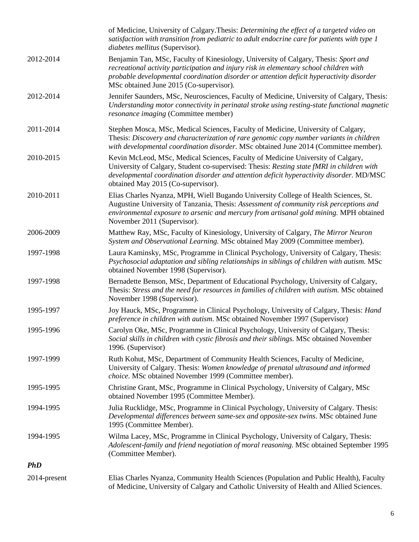|              | of Medicine, University of Calgary. Thesis: Determining the effect of a targeted video on<br>satisfaction with transition from pediatric to adult endocrine care for patients with type 1<br>diabetes mellitus (Supervisor).                                                                                         |
|--------------|----------------------------------------------------------------------------------------------------------------------------------------------------------------------------------------------------------------------------------------------------------------------------------------------------------------------|
| 2012-2014    | Benjamin Tan, MSc, Faculty of Kinesiology, University of Calgary, Thesis: Sport and<br>recreational activity participation and injury risk in elementary school children with<br>probable developmental coordination disorder or attention deficit hyperactivity disorder<br>MSc obtained June 2015 (Co-supervisor). |
| 2012-2014    | Jennifer Saunders, MSc, Neurosciences, Faculty of Medicine, University of Calgary, Thesis:<br>Understanding motor connectivity in perinatal stroke using resting-state functional magnetic<br>resonance imaging (Committee member)                                                                                   |
| 2011-2014    | Stephen Mosca, MSc, Medical Sciences, Faculty of Medicine, University of Calgary,<br>Thesis: Discovery and characterization of rare genomic copy number variants in children<br>with developmental coordination disorder. MSc obtained June 2014 (Committee member).                                                 |
| 2010-2015    | Kevin McLeod, MSc, Medical Sciences, Faculty of Medicine University of Calgary,<br>University of Calgary, Student co-supervised: Thesis: Resting state fMRI in children with<br>developmental coordination disorder and attention deficit hyperactivity disorder. MD/MSC<br>obtained May 2015 (Co-supervisor).       |
| 2010-2011    | Elias Charles Nyanza, MPH, Wiell Bugando University College of Health Sciences, St.<br>Augustine University of Tanzania, Thesis: Assessment of community risk perceptions and<br>environmental exposure to arsenic and mercury from artisanal gold mining. MPH obtained<br>November 2011 (Supervisor).               |
| 2006-2009    | Matthew Ray, MSc, Faculty of Kinesiology, University of Calgary, The Mirror Neuron<br>System and Observational Learning. MSc obtained May 2009 (Committee member).                                                                                                                                                   |
| 1997-1998    | Laura Kaminsky, MSc, Programme in Clinical Psychology, University of Calgary, Thesis:<br>Psychosocial adaptation and sibling relationships in siblings of children with autism. MSc<br>obtained November 1998 (Supervisor).                                                                                          |
| 1997-1998    | Bernadette Benson, MSc, Department of Educational Psychology, University of Calgary,<br>Thesis: Stress and the need for resources in families of children with autism. MSc obtained<br>November 1998 (Supervisor).                                                                                                   |
| 1995-1997    | Joy Hauck, MSc, Programme in Clinical Psychology, University of Calgary, Thesis: Hand<br>preference in children with autism. MSc obtained November 1997 (Supervisor)                                                                                                                                                 |
| 1995-1996    | Carolyn Oke, MSc, Programme in Clinical Psychology, University of Calgary, Thesis:<br>Social skills in children with cystic fibrosis and their siblings. MSc obtained November<br>1996. (Supervisor)                                                                                                                 |
| 1997-1999    | Ruth Kohut, MSc, Department of Community Health Sciences, Faculty of Medicine,<br>University of Calgary. Thesis: Women knowledge of prenatal ultrasound and informed<br>choice. MSc obtained November 1999 (Committee member).                                                                                       |
| 1995-1995    | Christine Grant, MSc, Programme in Clinical Psychology, University of Calgary, MSc<br>obtained November 1995 (Committee Member).                                                                                                                                                                                     |
| 1994-1995    | Julia Rucklidge, MSc, Programme in Clinical Psychology, University of Calgary. Thesis:<br>Developmental differences between same-sex and opposite-sex twins. MSc obtained June<br>1995 (Committee Member).                                                                                                           |
| 1994-1995    | Wilma Lacey, MSc, Programme in Clinical Psychology, University of Calgary, Thesis:<br>Adolescent-family and friend negotiation of moral reasoning. MSc obtained September 1995<br>(Committee Member).                                                                                                                |
| <b>PhD</b>   |                                                                                                                                                                                                                                                                                                                      |
| 2014-present | Elias Charles Nyanza, Community Health Sciences (Population and Public Health), Faculty<br>of Medicine, University of Calgary and Catholic University of Health and Allied Sciences.                                                                                                                                 |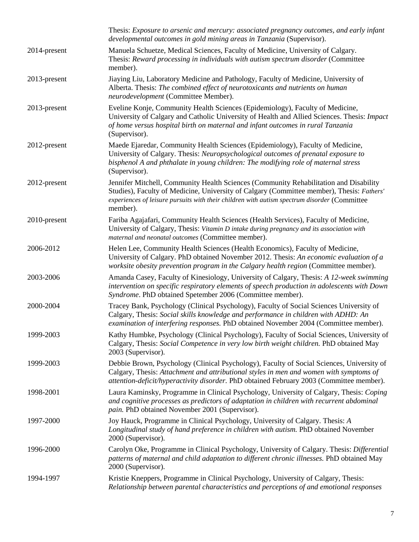|              | Thesis: Exposure to arsenic and mercury: associated pregnancy outcomes, and early infant<br>developmental outcomes in gold mining areas in Tanzania (Supervisor).                                                                                                                              |
|--------------|------------------------------------------------------------------------------------------------------------------------------------------------------------------------------------------------------------------------------------------------------------------------------------------------|
| 2014-present | Manuela Schuetze, Medical Sciences, Faculty of Medicine, University of Calgary.<br>Thesis: Reward processing in individuals with autism spectrum disorder (Committee<br>member).                                                                                                               |
| 2013-present | Jiaying Liu, Laboratory Medicine and Pathology, Faculty of Medicine, University of<br>Alberta. Thesis: The combined effect of neurotoxicants and nutrients on human<br>neurodevelopment (Committee Member).                                                                                    |
| 2013-present | Eveline Konje, Community Health Sciences (Epidemiology), Faculty of Medicine,<br>University of Calgary and Catholic University of Health and Allied Sciences. Thesis: Impact<br>of home versus hospital birth on maternal and infant outcomes in rural Tanzania<br>(Supervisor).               |
| 2012-present | Maede Ejaredar, Community Health Sciences (Epidemiology), Faculty of Medicine,<br>University of Calgary. Thesis: Neuropsychological outcomes of prenatal exposure to<br>bisphenol A and phthalate in young children: The modifying role of maternal stress<br>(Supervisor).                    |
| 2012-present | Jennifer Mitchell, Community Health Sciences (Community Rehabilitation and Disability<br>Studies), Faculty of Medicine, University of Calgary (Committee member), Thesis: Fathers'<br>experiences of leisure pursuits with their children with autism spectrum disorder (Committee<br>member). |
| 2010-present | Fariba Agajafari, Community Health Sciences (Health Services), Faculty of Medicine,<br>University of Calgary, Thesis: Vitamin D intake during pregnancy and its association with<br>maternal and neonatal outcomes (Committee member).                                                         |
| 2006-2012    | Helen Lee, Community Health Sciences (Health Economics), Faculty of Medicine,<br>University of Calgary. PhD obtained November 2012. Thesis: An economic evaluation of a<br>worksite obesity prevention program in the Calgary health region (Committee member).                                |
| 2003-2006    | Amanda Casey, Faculty of Kinesiology, University of Calgary, Thesis: A 12-week swimming<br>intervention on specific respiratory elements of speech production in adolescents with Down<br>Syndrome. PhD obtained Spetember 2006 (Committee member).                                            |
| 2000-2004    | Tracey Bank, Psychology (Clinical Psychology), Faculty of Social Sciences University of<br>Calgary, Thesis: Social skills knowledge and performance in children with ADHD: An<br>examination of interfering responses. PhD obtained November 2004 (Committee member).                          |
| 1999-2003    | Kathy Humbke, Psychology (Clinical Psychology), Faculty of Social Sciences, University of<br>Calgary, Thesis: Social Competence in very low birth weight children. PhD obtained May<br>2003 (Supervisor).                                                                                      |
| 1999-2003    | Debbie Brown, Psychology (Clinical Psychology), Faculty of Social Sciences, University of<br>Calgary, Thesis: Attachment and attributional styles in men and women with symptoms of<br>attention-deficit/hyperactivity disorder. PhD obtained February 2003 (Committee member).                |
| 1998-2001    | Laura Kaminsky, Programme in Clinical Psychology, University of Calgary, Thesis: Coping<br>and cognitive processes as predictors of adaptation in children with recurrent abdominal<br>pain. PhD obtained November 2001 (Supervisor).                                                          |
| 1997-2000    | Joy Hauck, Programme in Clinical Psychology, University of Calgary. Thesis: A<br>Longitudinal study of hand preference in children with autism. PhD obtained November<br>2000 (Supervisor).                                                                                                    |
| 1996-2000    | Carolyn Oke, Programme in Clinical Psychology, University of Calgary. Thesis: Differential<br>patterns of maternal and child adaptation to different chronic illnesses. PhD obtained May<br>2000 (Supervisor).                                                                                 |
| 1994-1997    | Kristie Kneppers, Programme in Clinical Psychology, University of Calgary, Thesis:<br>Relationship between parental characteristics and perceptions of and emotional responses                                                                                                                 |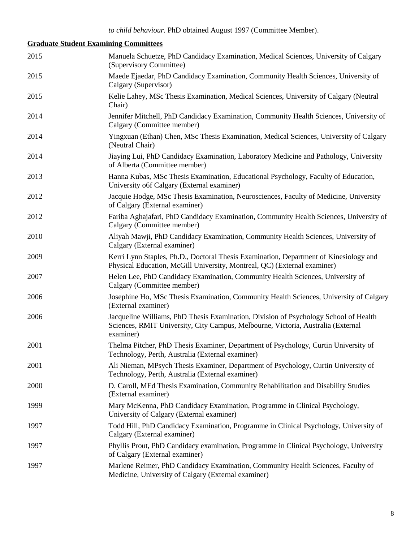# **Graduate Student Examining Committees**

| 2015 | Manuela Schuetze, PhD Candidacy Examination, Medical Sciences, University of Calgary<br>(Supervisory Committee)                                                                       |
|------|---------------------------------------------------------------------------------------------------------------------------------------------------------------------------------------|
| 2015 | Maede Ejaedar, PhD Candidacy Examination, Community Health Sciences, University of<br>Calgary (Supervisor)                                                                            |
| 2015 | Kelie Lahey, MSc Thesis Examination, Medical Sciences, University of Calgary (Neutral<br>Chair)                                                                                       |
| 2014 | Jennifer Mitchell, PhD Candidacy Examination, Community Health Sciences, University of<br>Calgary (Committee member)                                                                  |
| 2014 | Yingxuan (Ethan) Chen, MSc Thesis Examination, Medical Sciences, University of Calgary<br>(Neutral Chair)                                                                             |
| 2014 | Jiaying Lui, PhD Candidacy Examination, Laboratory Medicine and Pathology, University<br>of Alberta (Committee member)                                                                |
| 2013 | Hanna Kubas, MSc Thesis Examination, Educational Psychology, Faculty of Education,<br>University of Calgary (External examiner)                                                       |
| 2012 | Jacquie Hodge, MSc Thesis Examination, Neurosciences, Faculty of Medicine, University<br>of Calgary (External examiner)                                                               |
| 2012 | Fariba Aghajafari, PhD Candidacy Examination, Community Health Sciences, University of<br>Calgary (Committee member)                                                                  |
| 2010 | Aliyah Mawji, PhD Candidacy Examination, Community Health Sciences, University of<br>Calgary (External examiner)                                                                      |
| 2009 | Kerri Lynn Staples, Ph.D., Doctoral Thesis Examination, Department of Kinesiology and<br>Physical Education, McGill University, Montreal, QC) (External examiner)                     |
| 2007 | Helen Lee, PhD Candidacy Examination, Community Health Sciences, University of<br>Calgary (Committee member)                                                                          |
| 2006 | Josephine Ho, MSc Thesis Examination, Community Health Sciences, University of Calgary<br>(External examiner)                                                                         |
| 2006 | Jacqueline Williams, PhD Thesis Examination, Division of Psychology School of Health<br>Sciences, RMIT University, City Campus, Melbourne, Victoria, Australia (External<br>examiner) |
| 2001 | Thelma Pitcher, PhD Thesis Examiner, Department of Psychology, Curtin University of<br>Technology, Perth, Australia (External examiner)                                               |
| 2001 | Ali Nieman, MPsych Thesis Examiner, Department of Psychology, Curtin University of<br>Technology, Perth, Australia (External examiner)                                                |
| 2000 | D. Caroll, MEd Thesis Examination, Community Rehabilitation and Disability Studies<br>(External examiner)                                                                             |
| 1999 | Mary McKenna, PhD Candidacy Examination, Programme in Clinical Psychology,<br>University of Calgary (External examiner)                                                               |
| 1997 | Todd Hill, PhD Candidacy Examination, Programme in Clinical Psychology, University of<br>Calgary (External examiner)                                                                  |
| 1997 | Phyllis Prout, PhD Candidacy examination, Programme in Clinical Psychology, University<br>of Calgary (External examiner)                                                              |
| 1997 | Marlene Reimer, PhD Candidacy Examination, Community Health Sciences, Faculty of<br>Medicine, University of Calgary (External examiner)                                               |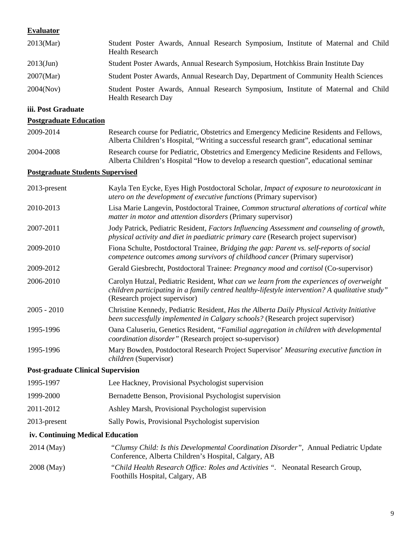#### **Evaluator**

| 2013(Mar)    | Student Poster Awards, Annual Research Symposium, Institute of Maternal and Child<br><b>Health Research</b>     |
|--------------|-----------------------------------------------------------------------------------------------------------------|
| $2013$ (Jun) | Student Poster Awards, Annual Research Symposium, Hotchkiss Brain Institute Day                                 |
| $2007$ (Mar) | Student Poster Awards, Annual Research Day, Department of Community Health Sciences                             |
| 2004(Nov)    | Student Poster Awards, Annual Research Symposium, Institute of Maternal and Child<br><b>Health Research Day</b> |

#### **iii. Post Graduate**

## **Postgraduate Education**

| 2009-2014 | Research course for Pediatric, Obstetrics and Emergency Medicine Residents and Fellows, |
|-----------|-----------------------------------------------------------------------------------------|
|           | Alberta Children's Hospital, "Writing a successful research grant", educational seminar |
| 2004-2008 | Research course for Pediatric, Obstetrics and Emergency Medicine Residents and Fellows, |
|           | Alberta Children's Hospital "How to develop a research question", educational seminar   |

### **Postgraduate Students Supervised**

| 2013-present                              | Kayla Ten Eycke, Eyes High Postdoctoral Scholar, Impact of exposure to neurotoxicant in<br>utero on the development of executive functions (Primary supervisor)                                                              |
|-------------------------------------------|------------------------------------------------------------------------------------------------------------------------------------------------------------------------------------------------------------------------------|
| 2010-2013                                 | Lisa Marie Langevin, Postdoctoral Trainee, Common structural alterations of cortical white<br>matter in motor and attention disorders (Primary supervisor)                                                                   |
| 2007-2011                                 | Jody Patrick, Pediatric Resident, Factors Influencing Assessment and counseling of growth,<br>physical activity and diet in paediatric primary care (Research project supervisor)                                            |
| 2009-2010                                 | Fiona Schulte, Postdoctoral Trainee, Bridging the gap: Parent vs. self-reports of social<br>competence outcomes among survivors of childhood cancer (Primary supervisor)                                                     |
| 2009-2012                                 | Gerald Giesbrecht, Postdoctoral Trainee: <i>Pregnancy mood and cortisol</i> (Co-supervisor)                                                                                                                                  |
| 2006-2010                                 | Carolyn Hutzal, Pediatric Resident, What can we learn from the experiences of overweight<br>children participating in a family centred healthy-lifestyle intervention? A qualitative study"<br>(Research project supervisor) |
| $2005 - 2010$                             | Christine Kennedy, Pediatric Resident, Has the Alberta Daily Physical Activity Initiative<br>been successfully implemented in Calgary schools? (Research project supervisor)                                                 |
| 1995-1996                                 | Oana Caluseriu, Genetics Resident, "Familial aggregation in children with developmental<br>coordination disorder" (Research project so-supervisor)                                                                           |
| 1995-1996                                 | Mary Bowden, Postdoctoral Research Project Supervisor' Measuring executive function in<br>children (Supervisor)                                                                                                              |
| <b>Post-graduate Clinical Supervision</b> |                                                                                                                                                                                                                              |
| 1995-1997                                 | Lee Hackney, Provisional Psychologist supervision                                                                                                                                                                            |
| 1999-2000                                 | Bernadette Benson, Provisional Psychologist supervision                                                                                                                                                                      |
| 2011-2012                                 | Ashley Marsh, Provisional Psychologist supervision                                                                                                                                                                           |
| 2013-present                              | Sally Powis, Provisional Psychologist supervision                                                                                                                                                                            |
| iv. Continuing Medical Education          |                                                                                                                                                                                                                              |
| 2014 (May)                                | "Clumsy Child: Is this Developmental Coordination Disorder", Annual Pediatric Update<br>Conference, Alberta Children's Hospital, Calgary, AB                                                                                 |
| 2008 (May)                                | "Child Health Research Office: Roles and Activities ". Neonatal Research Group,                                                                                                                                              |

Foothills Hospital, Calgary, AB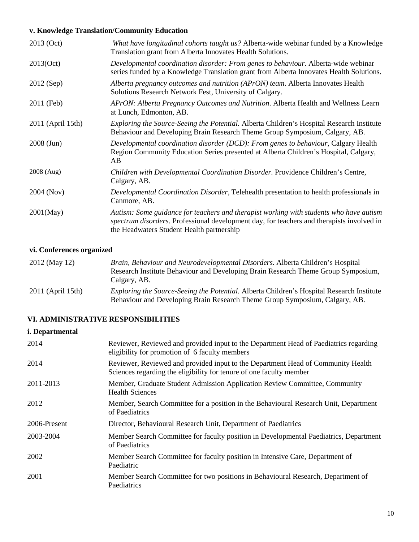# **v. Knowledge Translation/Community Education**

| 2013 (Oct)        | What have longitudinal cohorts taught us? Alberta-wide webinar funded by a Knowledge<br>Translation grant from Alberta Innovates Health Solutions.                                                                               |
|-------------------|----------------------------------------------------------------------------------------------------------------------------------------------------------------------------------------------------------------------------------|
| 2013(Oct)         | Developmental coordination disorder: From genes to behaviour. Alberta-wide webinar<br>series funded by a Knowledge Translation grant from Alberta Innovates Health Solutions.                                                    |
| 2012 (Sep)        | Alberta pregnancy outcomes and nutrition (APrON) team. Alberta Innovates Health<br>Solutions Research Network Fest, University of Calgary.                                                                                       |
| 2011 (Feb)        | APrON: Alberta Pregnancy Outcomes and Nutrition. Alberta Health and Wellness Learn<br>at Lunch, Edmonton, AB.                                                                                                                    |
| 2011 (April 15th) | Exploring the Source-Seeing the Potential. Alberta Children's Hospital Research Institute<br>Behaviour and Developing Brain Research Theme Group Symposium, Calgary, AB.                                                         |
| $2008$ (Jun)      | Developmental coordination disorder (DCD): From genes to behaviour, Calgary Health<br>Region Community Education Series presented at Alberta Children's Hospital, Calgary,<br>AB                                                 |
| 2008 (Aug)        | Children with Developmental Coordination Disorder. Providence Children's Centre,<br>Calgary, AB.                                                                                                                                 |
| 2004 (Nov)        | Developmental Coordination Disorder, Telehealth presentation to health professionals in<br>Canmore, AB.                                                                                                                          |
| $2001$ (May)      | Autism: Some guidance for teachers and therapist working with students who have autism<br>spectrum disorders. Professional development day, for teachers and therapists involved in<br>the Headwaters Student Health partnership |

# **vi. Conferences organized**

| 2012 (May 12)       | Brain, Behaviour and Neurodevelopmental Disorders. Alberta Children's Hospital<br>Research Institute Behaviour and Developing Brain Research Theme Group Symposium,<br>Calgary, AB. |
|---------------------|-------------------------------------------------------------------------------------------------------------------------------------------------------------------------------------|
| $2011$ (April 15th) | <i>Exploring the Source-Seeing the Potential. Alberta Children's Hospital Research Institute</i><br>Behaviour and Developing Brain Research Theme Group Symposium, Calgary, AB.     |

# **VI. ADMINISTRATIVE RESPONSIBILITIES**

### **i. Departmental**

| 2014         | Reviewer, Reviewed and provided input to the Department Head of Paediatrics regarding<br>eligibility for promotion of 6 faculty members                 |
|--------------|---------------------------------------------------------------------------------------------------------------------------------------------------------|
| 2014         | Reviewer, Reviewed and provided input to the Department Head of Community Health<br>Sciences regarding the eligibility for tenure of one faculty member |
| 2011-2013    | Member, Graduate Student Admission Application Review Committee, Community<br><b>Health Sciences</b>                                                    |
| 2012         | Member, Search Committee for a position in the Behavioural Research Unit, Department<br>of Paediatrics                                                  |
| 2006-Present | Director, Behavioural Research Unit, Department of Paediatrics                                                                                          |
| 2003-2004    | Member Search Committee for faculty position in Developmental Paediatrics, Department<br>of Paediatrics                                                 |
| 2002         | Member Search Committee for faculty position in Intensive Care, Department of<br>Paediatric                                                             |
| 2001         | Member Search Committee for two positions in Behavioural Research, Department of<br>Paediatrics                                                         |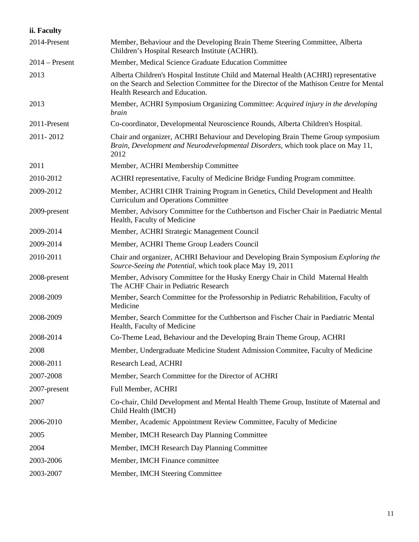| ii. Faculty      |                                                                                                                                                                                                                      |
|------------------|----------------------------------------------------------------------------------------------------------------------------------------------------------------------------------------------------------------------|
| 2014-Present     | Member, Behaviour and the Developing Brain Theme Steering Committee, Alberta<br>Children's Hospital Research Institute (ACHRI).                                                                                      |
| $2014$ – Present | Member, Medical Science Graduate Education Committee                                                                                                                                                                 |
| 2013             | Alberta Children's Hospital Institute Child and Maternal Health (ACHRI) representative<br>on the Search and Selection Committee for the Director of the Mathison Centre for Mental<br>Health Research and Education. |
| 2013             | Member, ACHRI Symposium Organizing Committee: Acquired injury in the developing<br>brain                                                                                                                             |
| 2011-Present     | Co-coordinator, Developmental Neuroscience Rounds, Alberta Children's Hospital.                                                                                                                                      |
| 2011-2012        | Chair and organizer, ACHRI Behaviour and Developing Brain Theme Group symposium<br>Brain, Development and Neurodevelopmental Disorders, which took place on May 11,<br>2012                                          |
| 2011             | Member, ACHRI Membership Committee                                                                                                                                                                                   |
| 2010-2012        | ACHRI representative, Faculty of Medicine Bridge Funding Program committee.                                                                                                                                          |
| 2009-2012        | Member, ACHRI CIHR Training Program in Genetics, Child Development and Health<br><b>Curriculum and Operations Committee</b>                                                                                          |
| 2009-present     | Member, Advisory Committee for the Cuthbertson and Fischer Chair in Paediatric Mental<br>Health, Faculty of Medicine                                                                                                 |
| 2009-2014        | Member, ACHRI Strategic Management Council                                                                                                                                                                           |
| 2009-2014        | Member, ACHRI Theme Group Leaders Council                                                                                                                                                                            |
| 2010-2011        | Chair and organizer, ACHRI Behaviour and Developing Brain Symposium Exploring the<br>Source-Seeing the Potential, which took place May 19, 2011                                                                      |
| 2008-present     | Member, Advisory Committee for the Husky Energy Chair in Child Maternal Health<br>The ACHF Chair in Pediatric Research                                                                                               |
| 2008-2009        | Member, Search Committee for the Professorship in Pediatric Rehabilition, Faculty of<br>Medicine                                                                                                                     |
| 2008-2009        | Member, Search Committee for the Cuthbertson and Fischer Chair in Paediatric Mental<br>Health, Faculty of Medicine                                                                                                   |
| 2008-2014        | Co-Theme Lead, Behaviour and the Developing Brain Theme Group, ACHRI                                                                                                                                                 |
| 2008             | Member, Undergraduate Medicine Student Admission Commitee, Faculty of Medicine                                                                                                                                       |
| 2008-2011        | Research Lead, ACHRI                                                                                                                                                                                                 |
| 2007-2008        | Member, Search Committee for the Director of ACHRI                                                                                                                                                                   |
| 2007-present     | Full Member, ACHRI                                                                                                                                                                                                   |
| 2007             | Co-chair, Child Development and Mental Health Theme Group, Institute of Maternal and<br>Child Health (IMCH)                                                                                                          |
| 2006-2010        | Member, Academic Appointment Review Committee, Faculty of Medicine                                                                                                                                                   |
| 2005             | Member, IMCH Research Day Planning Committee                                                                                                                                                                         |
| 2004             | Member, IMCH Research Day Planning Committee                                                                                                                                                                         |
| 2003-2006        | Member, IMCH Finance committee                                                                                                                                                                                       |
| 2003-2007        | Member, IMCH Steering Committee                                                                                                                                                                                      |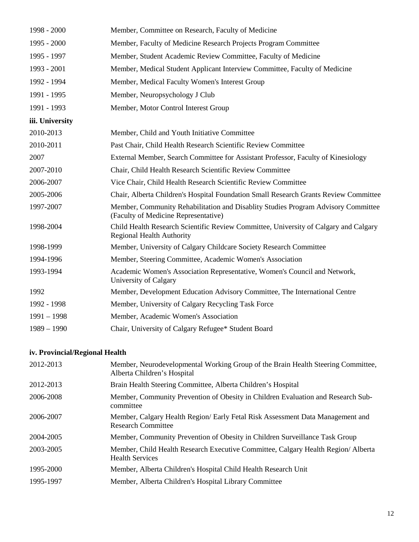| 1998 - 2000     | Member, Committee on Research, Faculty of Medicine                                                                        |
|-----------------|---------------------------------------------------------------------------------------------------------------------------|
| 1995 - 2000     | Member, Faculty of Medicine Research Projects Program Committee                                                           |
| 1995 - 1997     | Member, Student Academic Review Committee, Faculty of Medicine                                                            |
| 1993 - 2001     | Member, Medical Student Applicant Interview Committee, Faculty of Medicine                                                |
| 1992 - 1994     | Member, Medical Faculty Women's Interest Group                                                                            |
| 1991 - 1995     | Member, Neuropsychology J Club                                                                                            |
| 1991 - 1993     | Member, Motor Control Interest Group                                                                                      |
| iii. University |                                                                                                                           |
| 2010-2013       | Member, Child and Youth Initiative Committee                                                                              |
| 2010-2011       | Past Chair, Child Health Research Scientific Review Committee                                                             |
| 2007            | External Member, Search Committee for Assistant Professor, Faculty of Kinesiology                                         |
| 2007-2010       | Chair, Child Health Research Scientific Review Committee                                                                  |
| 2006-2007       | Vice Chair, Child Health Research Scientific Review Committee                                                             |
| 2005-2006       | Chair, Alberta Children's Hospital Foundation Small Research Grants Review Committee                                      |
| 1997-2007       | Member, Community Rehabilitation and Disablity Studies Program Advisory Committee<br>(Faculty of Medicine Representative) |
| 1998-2004       | Child Health Research Scientific Review Committee, University of Calgary and Calgary<br><b>Regional Health Authority</b>  |
| 1998-1999       | Member, University of Calgary Childcare Society Research Committee                                                        |
| 1994-1996       | Member, Steering Committee, Academic Women's Association                                                                  |
| 1993-1994       | Academic Women's Association Representative, Women's Council and Network,<br>University of Calgary                        |
| 1992            | Member, Development Education Advisory Committee, The International Centre                                                |
| 1992 - 1998     | Member, University of Calgary Recycling Task Force                                                                        |
| $1991 - 1998$   | Member, Academic Women's Association                                                                                      |
| $1989 - 1990$   | Chair, University of Calgary Refugee* Student Board                                                                       |

# **iv. Provincial/Regional Health**

| 2012-2013 | Member, Neurodevelopmental Working Group of the Brain Health Steering Committee,<br>Alberta Children's Hospital |
|-----------|-----------------------------------------------------------------------------------------------------------------|
| 2012-2013 | Brain Health Steering Committee, Alberta Children's Hospital                                                    |
| 2006-2008 | Member, Community Prevention of Obesity in Children Evaluation and Research Sub-<br>committee                   |
| 2006-2007 | Member, Calgary Health Region/ Early Fetal Risk Assessment Data Management and<br><b>Research Committee</b>     |
| 2004-2005 | Member, Community Prevention of Obesity in Children Surveillance Task Group                                     |
| 2003-2005 | Member, Child Health Research Executive Committee, Calgary Health Region/Alberta<br><b>Health Services</b>      |
| 1995-2000 | Member, Alberta Children's Hospital Child Health Research Unit                                                  |
| 1995-1997 | Member, Alberta Children's Hospital Library Committee                                                           |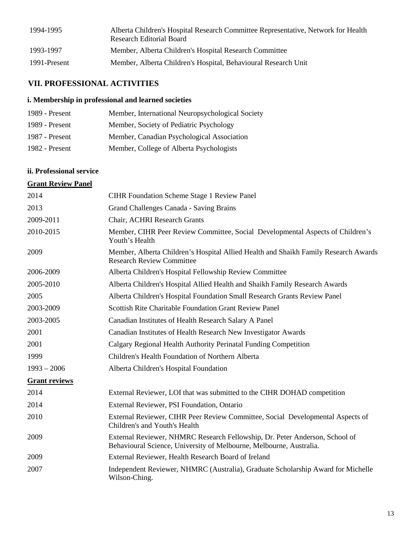| 1994-1995    | Alberta Children's Hospital Research Committee Representative, Network for Health<br>Research Editorial Board |
|--------------|---------------------------------------------------------------------------------------------------------------|
| 1993-1997    | Member, Alberta Children's Hospital Research Committee                                                        |
| 1991-Present | Member, Alberta Children's Hospital, Behavioural Research Unit                                                |

# **VII. PROFESSIONAL ACTIVITIES**

### **i. Membership in professional and learned societies**

| 1989 - Present | Member, International Neuropsychological Society |
|----------------|--------------------------------------------------|
| 1989 - Present | Member, Society of Pediatric Psychology          |
| 1987 - Present | Member, Canadian Psychological Association       |
| 1982 - Present | Member, College of Alberta Psychologists         |

# **ii. Professional service**

### **Grant Review Panel**

| 2014                 | <b>CIHR Foundation Scheme Stage 1 Review Panel</b>                                                                                                 |
|----------------------|----------------------------------------------------------------------------------------------------------------------------------------------------|
| 2013                 | Grand Challenges Canada - Saving Brains                                                                                                            |
| 2009-2011            | Chair, ACHRI Research Grants                                                                                                                       |
| 2010-2015            | Member, CIHR Peer Review Committee, Social Developmental Aspects of Children's<br>Youth's Health                                                   |
| 2009                 | Member, Alberta Children's Hospital Allied Health and Shaikh Family Research Awards<br><b>Research Review Committee</b>                            |
| 2006-2009            | Alberta Children's Hospital Fellowship Review Committee                                                                                            |
| 2005-2010            | Alberta Children's Hospital Allied Health and Shaikh Family Research Awards                                                                        |
| 2005                 | Alberta Children's Hospital Foundation Small Research Grants Review Panel                                                                          |
| 2003-2009            | <b>Scottish Rite Charitable Foundation Grant Review Panel</b>                                                                                      |
| 2003-2005            | Canadian Institutes of Health Research Salary A Panel                                                                                              |
| 2001                 | Canadian Institutes of Health Research New Investigator Awards                                                                                     |
| 2001                 | Calgary Regional Health Authority Perinatal Funding Competition                                                                                    |
| 1999                 | Children's Health Foundation of Northern Alberta                                                                                                   |
| $1993 - 2006$        | Alberta Children's Hospital Foundation                                                                                                             |
| <b>Grant reviews</b> |                                                                                                                                                    |
| 2014                 | External Reviewer, LOI that was submitted to the CIHR DOHAD competition                                                                            |
| 2014                 | External Reviewer, PSI Foundation, Ontario                                                                                                         |
| 2010                 | External Reviewer, CIHR Peer Review Committee, Social Developmental Aspects of<br>Children's and Youth's Health                                    |
| 2009                 | External Reviewer, NHMRC Research Fellowship, Dr. Peter Anderson, School of<br>Behavioural Science, University of Melbourne, Melbourne, Australia. |
| 2009                 | External Reviewer, Health Research Board of Ireland                                                                                                |
| 2007                 | Independent Reviewer, NHMRC (Australia), Graduate Scholarship Award for Michelle<br>Wilson-Ching.                                                  |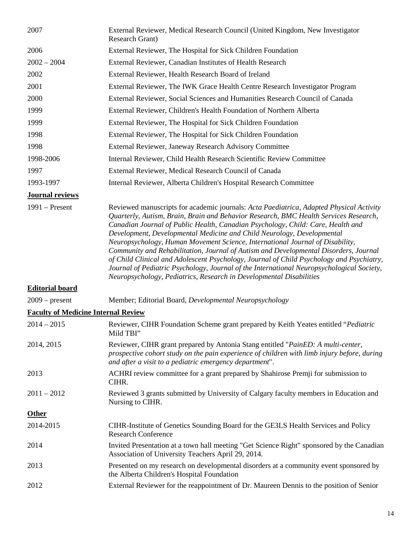| 2007                                       | External Reviewer, Medical Research Council (United Kingdom, New Investigator<br><b>Research Grant</b> )                                                                                                                                                                                                                                                                                                                                                                                                                                                                                                                                                                                                                                                                              |
|--------------------------------------------|---------------------------------------------------------------------------------------------------------------------------------------------------------------------------------------------------------------------------------------------------------------------------------------------------------------------------------------------------------------------------------------------------------------------------------------------------------------------------------------------------------------------------------------------------------------------------------------------------------------------------------------------------------------------------------------------------------------------------------------------------------------------------------------|
| 2006                                       | External Reviewer, The Hospital for Sick Children Foundation                                                                                                                                                                                                                                                                                                                                                                                                                                                                                                                                                                                                                                                                                                                          |
| $2002 - 2004$                              | External Reviewer, Canadian Institutes of Health Research                                                                                                                                                                                                                                                                                                                                                                                                                                                                                                                                                                                                                                                                                                                             |
| 2002                                       | External Reviewer, Health Research Board of Ireland                                                                                                                                                                                                                                                                                                                                                                                                                                                                                                                                                                                                                                                                                                                                   |
| 2001                                       | External Reviewer, The IWK Grace Health Centre Research Investigator Program                                                                                                                                                                                                                                                                                                                                                                                                                                                                                                                                                                                                                                                                                                          |
| 2000                                       | External Reviewer, Social Sciences and Humanities Research Council of Canada                                                                                                                                                                                                                                                                                                                                                                                                                                                                                                                                                                                                                                                                                                          |
| 1999                                       | External Reviewer, Children's Health Foundation of Northern Alberta                                                                                                                                                                                                                                                                                                                                                                                                                                                                                                                                                                                                                                                                                                                   |
| 1999                                       | External Reviewer, The Hospital for Sick Children Foundation                                                                                                                                                                                                                                                                                                                                                                                                                                                                                                                                                                                                                                                                                                                          |
| 1998                                       | External Reviewer, The Hospital for Sick Children Foundation                                                                                                                                                                                                                                                                                                                                                                                                                                                                                                                                                                                                                                                                                                                          |
| 1998                                       | External Reviewer, Janeway Research Advisory Committee                                                                                                                                                                                                                                                                                                                                                                                                                                                                                                                                                                                                                                                                                                                                |
| 1998-2006                                  | Internal Reviewer, Child Health Research Scientific Review Committee                                                                                                                                                                                                                                                                                                                                                                                                                                                                                                                                                                                                                                                                                                                  |
| 1997                                       | External Reviewer, Medical Research Council of Canada                                                                                                                                                                                                                                                                                                                                                                                                                                                                                                                                                                                                                                                                                                                                 |
| 1993-1997                                  | Internal Reviewer, Alberta Children's Hospital Research Committee                                                                                                                                                                                                                                                                                                                                                                                                                                                                                                                                                                                                                                                                                                                     |
| <b>Journal reviews</b>                     |                                                                                                                                                                                                                                                                                                                                                                                                                                                                                                                                                                                                                                                                                                                                                                                       |
| $1991 -$ Present                           | Reviewed manuscripts for academic journals: Acta Paediatrica, Adapted Physical Activity<br>Quarterly, Autism, Brain, Brain and Behavior Research, BMC Health Services Research,<br>Canadian Journal of Public Health, Canadian Psychology, Child: Care, Health and<br>Development, Developmental Medicine and Child Neurology, Developmental<br>Neuropsychology, Human Movement Science, International Journal of Disability,<br>Community and Rehabilitation, Journal of Autism and Developmental Disorders, Journal<br>of Child Clinical and Adolescent Psychology, Journal of Child Psychology and Psychiatry,<br>Journal of Pediatric Psychology, Journal of the International Neuropsychological Society,<br>Neuropsychology, Pediatrics, Research in Developmental Disabilities |
| <b>Editorial board</b>                     |                                                                                                                                                                                                                                                                                                                                                                                                                                                                                                                                                                                                                                                                                                                                                                                       |
| $2009$ – present                           | Member; Editorial Board, Developmental Neuropsychology                                                                                                                                                                                                                                                                                                                                                                                                                                                                                                                                                                                                                                                                                                                                |
| <b>Faculty of Medicine Internal Review</b> |                                                                                                                                                                                                                                                                                                                                                                                                                                                                                                                                                                                                                                                                                                                                                                                       |
| $2014 - 2015$                              | Reviewer, CIHR Foundation Scheme grant prepared by Keith Yeates entitled "Pediatric<br>Mild TBI"                                                                                                                                                                                                                                                                                                                                                                                                                                                                                                                                                                                                                                                                                      |
| 2014, 2015                                 | Reviewer, CIHR grant prepared by Antonia Stang entitled "PainED: A multi-center,<br>prospective cohort study on the pain experience of children with limb injury before, during<br>and after a visit to a pediatric emergency department".                                                                                                                                                                                                                                                                                                                                                                                                                                                                                                                                            |
| 2013                                       | ACHRI review committee for a grant prepared by Shahirose Premji for submission to<br>CIHR.                                                                                                                                                                                                                                                                                                                                                                                                                                                                                                                                                                                                                                                                                            |
| $2011 - 2012$                              | Reviewed 3 grants submitted by University of Calgary faculty members in Education and<br>Nursing to CIHR.                                                                                                                                                                                                                                                                                                                                                                                                                                                                                                                                                                                                                                                                             |
| <b>Other</b>                               |                                                                                                                                                                                                                                                                                                                                                                                                                                                                                                                                                                                                                                                                                                                                                                                       |
| 2014-2015                                  | CIHR-Institute of Genetics Sounding Board for the GE3LS Health Services and Policy<br><b>Research Conference</b>                                                                                                                                                                                                                                                                                                                                                                                                                                                                                                                                                                                                                                                                      |
| 2014                                       | Invited Presentation at a town hall meeting "Get Science Right" sponsored by the Canadian<br>Association of University Teachers April 29, 2014.                                                                                                                                                                                                                                                                                                                                                                                                                                                                                                                                                                                                                                       |
| 2013                                       | Presented on my research on developmental disorders at a community event sponsored by<br>the Alberta Children's Hospital Foundation                                                                                                                                                                                                                                                                                                                                                                                                                                                                                                                                                                                                                                                   |
| 2012                                       | External Reviewer for the reappointment of Dr. Maureen Dennis to the position of Senior                                                                                                                                                                                                                                                                                                                                                                                                                                                                                                                                                                                                                                                                                               |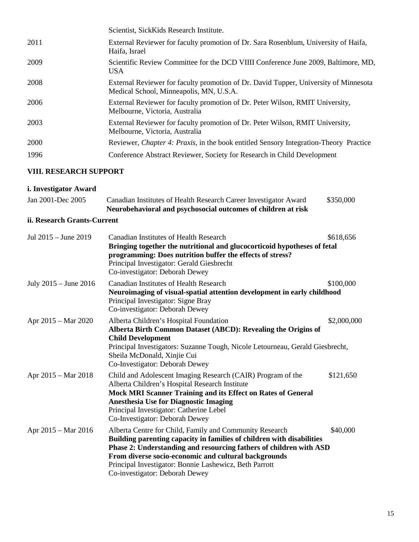|      | Scientist, SickKids Research Institute.                                                                                         |
|------|---------------------------------------------------------------------------------------------------------------------------------|
| 2011 | External Reviewer for faculty promotion of Dr. Sara Rosenblum, University of Haifa,<br>Haifa, Israel                            |
| 2009 | Scientific Review Committee for the DCD VIIII Conference June 2009, Baltimore, MD,<br><b>USA</b>                                |
| 2008 | External Reviewer for faculty promotion of Dr. David Tupper, University of Minnesota<br>Medical School, Minneapolis, MN, U.S.A. |
| 2006 | External Reviewer for faculty promotion of Dr. Peter Wilson, RMIT University,<br>Melbourne, Victoria, Australia                 |
| 2003 | External Reviewer for faculty promotion of Dr. Peter Wilson, RMIT University,<br>Melbourne, Victoria, Australia                 |
| 2000 | Reviewer, <i>Chapter 4: Praxis</i> , in the book entitled Sensory Integration-Theory Practice                                   |
| 1996 | Conference Abstract Reviewer, Society for Research in Child Development                                                         |
|      |                                                                                                                                 |

# **VIII. RESEARCH SUPPORT**

### **i. Investigator Award**

|                   | Neurobehavioral and psychosocial outcomes of children at risk    |           |
|-------------------|------------------------------------------------------------------|-----------|
| Jan 2001-Dec 2005 | Canadian Institutes of Health Research Career Investigator Award | \$350,000 |

# **ii. Research Grants-Current**

| Jul 2015 - June 2019  | <b>Canadian Institutes of Health Research</b><br>Bringing together the nutritional and glucocorticoid hypotheses of fetal<br>programming: Does nutrition buffer the effects of stress?<br>Principal Investigator: Gerald Giesbrecht<br>Co-investigator: Deborah Dewey                                                                                      | \$618,656   |
|-----------------------|------------------------------------------------------------------------------------------------------------------------------------------------------------------------------------------------------------------------------------------------------------------------------------------------------------------------------------------------------------|-------------|
| July 2015 – June 2016 | <b>Canadian Institutes of Health Research</b><br>Neuroimaging of visual-spatial attention development in early childhood<br>Principal Investigator: Signe Bray<br>Co-investigator: Deborah Dewey                                                                                                                                                           | \$100,000   |
| Apr 2015 – Mar 2020   | Alberta Children's Hospital Foundation<br>Alberta Birth Common Dataset (ABCD): Revealing the Origins of<br><b>Child Development</b><br>Principal Investigators: Suzanne Tough, Nicole Letourneau, Gerald Giesbrecht,<br>Sheila McDonald, Xinjie Cui<br>Co-Investigator: Deborah Dewey                                                                      | \$2,000,000 |
| Apr 2015 – Mar 2018   | Child and Adolescent Imaging Research (CAIR) Program of the<br>Alberta Children's Hospital Research Institute<br><b>Mock MRI Scanner Training and its Effect on Rates of General</b><br><b>Anesthesia Use for Diagnostic Imaging</b><br>Principal Investigator: Catherine Lebel<br>Co-Investigator: Deborah Dewey                                          | \$121,650   |
| Apr 2015 – Mar 2016   | Alberta Centre for Child, Family and Community Research<br>Building parenting capacity in families of children with disabilities<br>Phase 2: Understanding and resourcing fathers of children with ASD<br>From diverse socio-economic and cultural backgrounds<br>Principal Investigator: Bonnie Lashewicz, Beth Parrott<br>Co-investigator: Deborah Dewey | \$40,000    |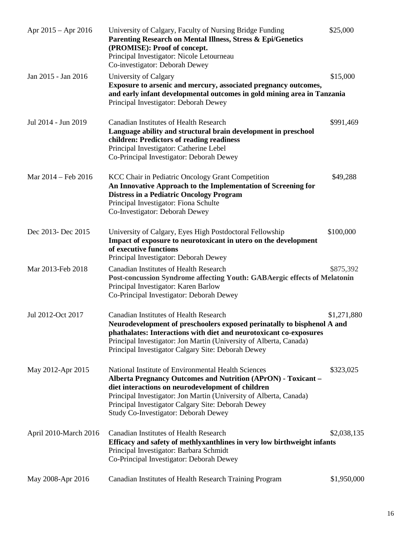| Apr $2015 -$ Apr $2016$ | University of Calgary, Faculty of Nursing Bridge Funding<br>Parenting Research on Mental Illness, Stress & Epi/Genetics<br>(PROMISE): Proof of concept.<br>Principal Investigator: Nicole Letourneau<br>Co-investigator: Deborah Dewey                                                                                                                      | \$25,000    |
|-------------------------|-------------------------------------------------------------------------------------------------------------------------------------------------------------------------------------------------------------------------------------------------------------------------------------------------------------------------------------------------------------|-------------|
| Jan 2015 - Jan 2016     | University of Calgary<br>Exposure to arsenic and mercury, associated pregnancy outcomes,<br>and early infant developmental outcomes in gold mining area in Tanzania<br>Principal Investigator: Deborah Dewey                                                                                                                                                | \$15,000    |
| Jul 2014 - Jun 2019     | Canadian Institutes of Health Research<br>Language ability and structural brain development in preschool<br>children: Predictors of reading readiness<br>Principal Investigator: Catherine Lebel<br>Co-Principal Investigator: Deborah Dewey                                                                                                                | \$991,469   |
| Mar 2014 – Feb 2016     | <b>KCC Chair in Pediatric Oncology Grant Competition</b><br>An Innovative Approach to the Implementation of Screening for<br><b>Distress in a Pediatric Oncology Program</b><br>Principal Investigator: Fiona Schulte<br>Co-Investigator: Deborah Dewey                                                                                                     | \$49,288    |
| Dec 2013- Dec 2015      | University of Calgary, Eyes High Postdoctoral Fellowship<br>Impact of exposure to neurotoxicant in utero on the development<br>of executive functions<br>Principal Investigator: Deborah Dewey                                                                                                                                                              | \$100,000   |
| Mar 2013-Feb 2018       | Canadian Institutes of Health Research<br>Post-concussion Syndrome affecting Youth: GABAergic effects of Melatonin<br>Principal Investigator: Karen Barlow<br>Co-Principal Investigator: Deborah Dewey                                                                                                                                                      | \$875,392   |
| Jul 2012-Oct 2017       | <b>Canadian Institutes of Health Research</b><br>Neurodevelopment of preschoolers exposed perinatally to bisphenol A and<br>phathalates: Interactions with diet and neurotoxicant co-exposures<br>Principal Investigator: Jon Martin (University of Alberta, Canada)<br>Principal Investigator Calgary Site: Deborah Dewey                                  | \$1,271,880 |
| May 2012-Apr 2015       | National Institute of Environmental Health Sciences<br><b>Alberta Pregnancy Outcomes and Nutrition (APrON) - Toxicant -</b><br>diet interactions on neurodevelopment of children<br>Principal Investigator: Jon Martin (University of Alberta, Canada)<br>Principal Investigator Calgary Site: Deborah Dewey<br><b>Study Co-Investigator: Deborah Dewey</b> | \$323,025   |
| April 2010-March 2016   | <b>Canadian Institutes of Health Research</b><br>Efficacy and safety of methlyxanthlines in very low birthweight infants<br>Principal Investigator: Barbara Schmidt<br>Co-Principal Investigator: Deborah Dewey                                                                                                                                             | \$2,038,135 |
| May 2008-Apr 2016       | Canadian Institutes of Health Research Training Program                                                                                                                                                                                                                                                                                                     | \$1,950,000 |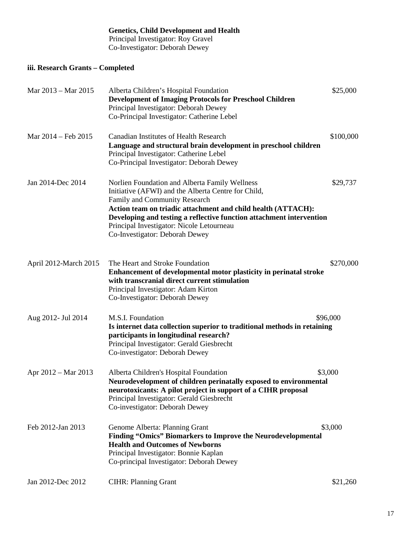#### **Genetics, Child Development and Health** Principal Investigator: Roy Gravel Co-Investigator: Deborah Dewey

### **iii. Research Grants – Completed**

| Mar 2013 - Mar 2015   | Alberta Children's Hospital Foundation<br><b>Development of Imaging Protocols for Preschool Children</b><br>Principal Investigator: Deborah Dewey<br>Co-Principal Investigator: Catherine Lebel                                                                                                                                                               | \$25,000  |
|-----------------------|---------------------------------------------------------------------------------------------------------------------------------------------------------------------------------------------------------------------------------------------------------------------------------------------------------------------------------------------------------------|-----------|
| Mar 2014 – Feb 2015   | <b>Canadian Institutes of Health Research</b><br>Language and structural brain development in preschool children<br>Principal Investigator: Catherine Lebel<br>Co-Principal Investigator: Deborah Dewey                                                                                                                                                       | \$100,000 |
| Jan 2014-Dec 2014     | Norlien Foundation and Alberta Family Wellness<br>Initiative (AFWI) and the Alberta Centre for Child,<br>Family and Community Research<br>Action team on triadic attachment and child health (ATTACH):<br>Developing and testing a reflective function attachment intervention<br>Principal Investigator: Nicole Letourneau<br>Co-Investigator: Deborah Dewey | \$29,737  |
| April 2012-March 2015 | The Heart and Stroke Foundation<br>Enhancement of developmental motor plasticity in perinatal stroke<br>with transcranial direct current stimulation<br>Principal Investigator: Adam Kirton<br>Co-Investigator: Deborah Dewey                                                                                                                                 | \$270,000 |
| Aug 2012- Jul 2014    | M.S.I. Foundation<br>Is internet data collection superior to traditional methods in retaining<br>participants in longitudinal research?<br>Principal Investigator: Gerald Giesbrecht<br>Co-investigator: Deborah Dewey                                                                                                                                        | \$96,000  |
| Apr 2012 – Mar 2013   | Alberta Children's Hospital Foundation<br>Neurodevelopment of children perinatally exposed to environmental<br>neurotoxicants: A pilot project in support of a CIHR proposal<br>Principal Investigator: Gerald Giesbrecht<br>Co-investigator: Deborah Dewey                                                                                                   | \$3,000   |
| Feb 2012-Jan 2013     | Genome Alberta: Planning Grant<br><b>Finding "Omics" Biomarkers to Improve the Neurodevelopmental</b><br><b>Health and Outcomes of Newborns</b><br>Principal Investigator: Bonnie Kaplan<br>Co-principal Investigator: Deborah Dewey                                                                                                                          | \$3,000   |
| Jan 2012-Dec 2012     | <b>CIHR: Planning Grant</b>                                                                                                                                                                                                                                                                                                                                   | \$21,260  |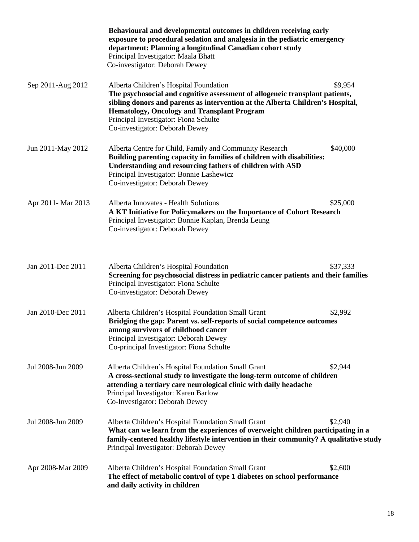|                     | Behavioural and developmental outcomes in children receiving early<br>exposure to procedural sedation and analgesia in the pediatric emergency<br>department: Planning a longitudinal Canadian cohort study<br>Principal Investigator: Maala Bhatt<br>Co-investigator: Deborah Dewey                                                      |          |
|---------------------|-------------------------------------------------------------------------------------------------------------------------------------------------------------------------------------------------------------------------------------------------------------------------------------------------------------------------------------------|----------|
| Sep 2011-Aug 2012   | Alberta Children's Hospital Foundation<br>The psychosocial and cognitive assessment of allogeneic transplant patients,<br>sibling donors and parents as intervention at the Alberta Children's Hospital,<br><b>Hematology, Oncology and Transplant Program</b><br>Principal Investigator: Fiona Schulte<br>Co-investigator: Deborah Dewey | \$9,954  |
| Jun 2011-May 2012   | Alberta Centre for Child, Family and Community Research<br>Building parenting capacity in families of children with disabilities:<br>Understanding and resourcing fathers of children with ASD<br>Principal Investigator: Bonnie Lashewicz<br>Co-investigator: Deborah Dewey                                                              | \$40,000 |
| Apr 2011 - Mar 2013 | Alberta Innovates - Health Solutions<br>A KT Initiative for Policymakers on the Importance of Cohort Research<br>Principal Investigator: Bonnie Kaplan, Brenda Leung<br>Co-investigator: Deborah Dewey                                                                                                                                    | \$25,000 |
| Jan 2011-Dec 2011   | Alberta Children's Hospital Foundation<br>Screening for psychosocial distress in pediatric cancer patients and their families<br>Principal Investigator: Fiona Schulte<br>Co-investigator: Deborah Dewey                                                                                                                                  | \$37,333 |
| Jan 2010-Dec 2011   | Alberta Children's Hospital Foundation Small Grant<br>Bridging the gap: Parent vs. self-reports of social competence outcomes<br>among survivors of childhood cancer<br>Principal Investigator: Deborah Dewey<br>Co-principal Investigator: Fiona Schulte                                                                                 | \$2,992  |
| Jul 2008-Jun 2009   | Alberta Children's Hospital Foundation Small Grant<br>A cross-sectional study to investigate the long-term outcome of children<br>attending a tertiary care neurological clinic with daily headache<br>Principal Investigator: Karen Barlow<br>Co-Investigator: Deborah Dewey                                                             | \$2,944  |
| Jul 2008-Jun 2009   | Alberta Children's Hospital Foundation Small Grant<br>What can we learn from the experiences of overweight children participating in a<br>family-centered healthy lifestyle intervention in their community? A qualitative study<br>Principal Investigator: Deborah Dewey                                                                 | \$2,940  |
| Apr 2008-Mar 2009   | Alberta Children's Hospital Foundation Small Grant<br>The effect of metabolic control of type 1 diabetes on school performance<br>and daily activity in children                                                                                                                                                                          | \$2,600  |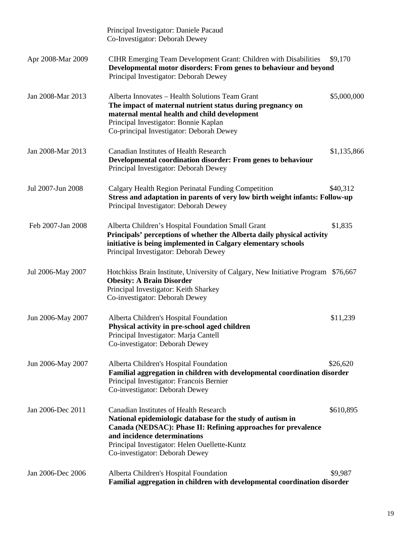|                   | Principal Investigator: Daniele Pacaud<br>Co-Investigator: Deborah Dewey                                                                                                                                                                                                                        |             |
|-------------------|-------------------------------------------------------------------------------------------------------------------------------------------------------------------------------------------------------------------------------------------------------------------------------------------------|-------------|
| Apr 2008-Mar 2009 | CIHR Emerging Team Development Grant: Children with Disabilities<br>Developmental motor disorders: From genes to behaviour and beyond<br>Principal Investigator: Deborah Dewey                                                                                                                  | \$9,170     |
| Jan 2008-Mar 2013 | Alberta Innovates - Health Solutions Team Grant<br>The impact of maternal nutrient status during pregnancy on<br>maternal mental health and child development<br>Principal Investigator: Bonnie Kaplan<br>Co-principal Investigator: Deborah Dewey                                              | \$5,000,000 |
| Jan 2008-Mar 2013 | <b>Canadian Institutes of Health Research</b><br>Developmental coordination disorder: From genes to behaviour<br>Principal Investigator: Deborah Dewey                                                                                                                                          | \$1,135,866 |
| Jul 2007-Jun 2008 | Calgary Health Region Perinatal Funding Competition<br>Stress and adaptation in parents of very low birth weight infants: Follow-up<br>Principal Investigator: Deborah Dewey                                                                                                                    | \$40,312    |
| Feb 2007-Jan 2008 | Alberta Children's Hospital Foundation Small Grant<br>Principals' perceptions of whether the Alberta daily physical activity<br>initiative is being implemented in Calgary elementary schools<br>Principal Investigator: Deborah Dewey                                                          | \$1,835     |
| Jul 2006-May 2007 | Hotchkiss Brain Institute, University of Calgary, New Initiative Program \$76,667<br><b>Obesity: A Brain Disorder</b><br>Principal Investigator: Keith Sharkey<br>Co-investigator: Deborah Dewey                                                                                                |             |
| Jun 2006-May 2007 | Alberta Children's Hospital Foundation<br>Physical activity in pre-school aged children<br>Principal Investigator: Marja Cantell<br>Co-investigator: Deborah Dewey                                                                                                                              | \$11,239    |
| Jun 2006-May 2007 | Alberta Children's Hospital Foundation<br>Familial aggregation in children with developmental coordination disorder<br>Principal Investigator: Francois Bernier<br>Co-investigator: Deborah Dewey                                                                                               | \$26,620    |
| Jan 2006-Dec 2011 | <b>Canadian Institutes of Health Research</b><br>National epidemiologic database for the study of autism in<br>Canada (NEDSAC): Phase II: Refining approaches for prevalence<br>and incidence determinations<br>Principal Investigator: Helen Ouellette-Kuntz<br>Co-investigator: Deborah Dewey | \$610,895   |
| Jan 2006-Dec 2006 | Alberta Children's Hospital Foundation<br>Familial aggregation in children with developmental coordination disorder                                                                                                                                                                             | \$9,987     |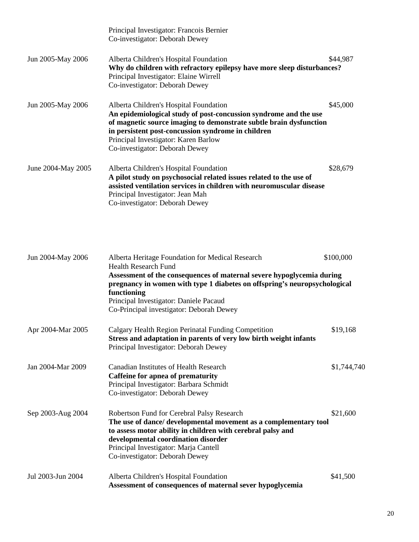|                    | Principal Investigator: Francois Bernier<br>Co-investigator: Deborah Dewey                                                                                                                                                                                                                                       |          |
|--------------------|------------------------------------------------------------------------------------------------------------------------------------------------------------------------------------------------------------------------------------------------------------------------------------------------------------------|----------|
| Jun 2005-May 2006  | Alberta Children's Hospital Foundation<br>Why do children with refractory epilepsy have more sleep disturbances?<br>Principal Investigator: Elaine Wirrell<br>Co-investigator: Deborah Dewey                                                                                                                     | \$44,987 |
| Jun 2005-May 2006  | Alberta Children's Hospital Foundation<br>An epidemiological study of post-concussion syndrome and the use<br>of magnetic source imaging to demonstrate subtle brain dysfunction<br>in persistent post-concussion syndrome in children<br>Principal Investigator: Karen Barlow<br>Co-investigator: Deborah Dewey | \$45,000 |
| June 2004-May 2005 | Alberta Children's Hospital Foundation<br>A pilot study on psychosocial related issues related to the use of<br>assisted ventilation services in children with neuromuscular disease<br>Principal Investigator: Jean Mah<br>Co-investigator: Deborah Dewey                                                       | \$28,679 |

| Jun 2004-May 2006 | Alberta Heritage Foundation for Medical Research<br><b>Health Research Fund</b>                                                                                                                                                                                                                 | \$100,000   |
|-------------------|-------------------------------------------------------------------------------------------------------------------------------------------------------------------------------------------------------------------------------------------------------------------------------------------------|-------------|
|                   | Assessment of the consequences of maternal severe hypoglycemia during<br>pregnancy in women with type 1 diabetes on offspring's neuropsychological<br>functioning<br>Principal Investigator: Daniele Pacaud<br>Co-Principal investigator: Deborah Dewey                                         |             |
| Apr 2004-Mar 2005 | Calgary Health Region Perinatal Funding Competition<br>Stress and adaptation in parents of very low birth weight infants<br>Principal Investigator: Deborah Dewey                                                                                                                               | \$19,168    |
| Jan 2004-Mar 2009 | Canadian Institutes of Health Research<br>Caffeine for apnea of prematurity<br>Principal Investigator: Barbara Schmidt<br>Co-investigator: Deborah Dewey                                                                                                                                        | \$1,744,740 |
| Sep 2003-Aug 2004 | Robertson Fund for Cerebral Palsy Research<br>The use of dance/ developmental movement as a complementary tool<br>to assess motor ability in children with cerebral palsy and<br>developmental coordination disorder<br>Principal Investigator: Marja Cantell<br>Co-investigator: Deborah Dewey | \$21,600    |
| Jul 2003-Jun 2004 | Alberta Children's Hospital Foundation<br>Assessment of consequences of maternal sever hypoglycemia                                                                                                                                                                                             | \$41,500    |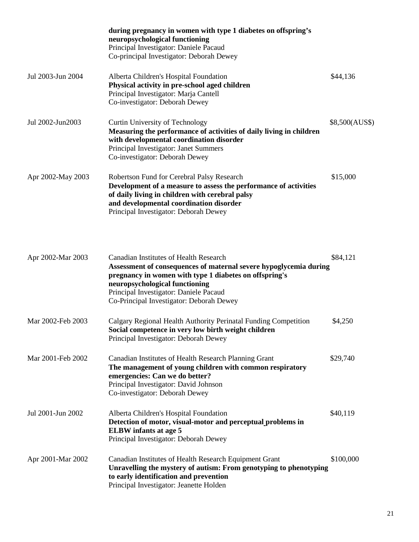|                   | during pregnancy in women with type 1 diabetes on offspring's<br>neuropsychological functioning<br>Principal Investigator: Daniele Pacaud<br>Co-principal Investigator: Deborah Dewey                                                                                                                |                |
|-------------------|------------------------------------------------------------------------------------------------------------------------------------------------------------------------------------------------------------------------------------------------------------------------------------------------------|----------------|
| Jul 2003-Jun 2004 | Alberta Children's Hospital Foundation<br>Physical activity in pre-school aged children<br>Principal Investigator: Marja Cantell<br>Co-investigator: Deborah Dewey                                                                                                                                   | \$44,136       |
| Jul 2002-Jun2003  | Curtin University of Technology<br>Measuring the performance of activities of daily living in children<br>with developmental coordination disorder<br>Principal Investigator: Janet Summers<br>Co-investigator: Deborah Dewey                                                                        | \$8,500(AUS\$) |
| Apr 2002-May 2003 | Robertson Fund for Cerebral Palsy Research<br>Development of a measure to assess the performance of activities<br>of daily living in children with cerebral palsy<br>and developmental coordination disorder<br>Principal Investigator: Deborah Dewey                                                | \$15,000       |
| Apr 2002-Mar 2003 | <b>Canadian Institutes of Health Research</b><br>Assessment of consequences of maternal severe hypoglycemia during<br>pregnancy in women with type 1 diabetes on offspring's<br>neuropsychological functioning<br>Principal Investigator: Daniele Pacaud<br>Co-Principal Investigator: Deborah Dewey | \$84,121       |
| Mar 2002-Feb 2003 | Calgary Regional Health Authority Perinatal Funding Competition<br>Social competence in very low birth weight children<br>Principal Investigator: Deborah Dewey                                                                                                                                      | \$4,250        |
| Mar 2001-Feb 2002 | Canadian Institutes of Health Research Planning Grant<br>The management of young children with common respiratory<br>emergencies: Can we do better?<br>Principal Investigator: David Johnson<br>Co-investigator: Deborah Dewey                                                                       | \$29,740       |
| Jul 2001-Jun 2002 | Alberta Children's Hospital Foundation<br>Detection of motor, visual-motor and perceptual problems in<br><b>ELBW</b> infants at age 5<br>Principal Investigator: Deborah Dewey                                                                                                                       | \$40,119       |
| Apr 2001-Mar 2002 | Canadian Institutes of Health Research Equipment Grant<br>Unravelling the mystery of autism: From genotyping to phenotyping<br>to early identification and prevention<br>Principal Investigator: Jeanette Holden                                                                                     | \$100,000      |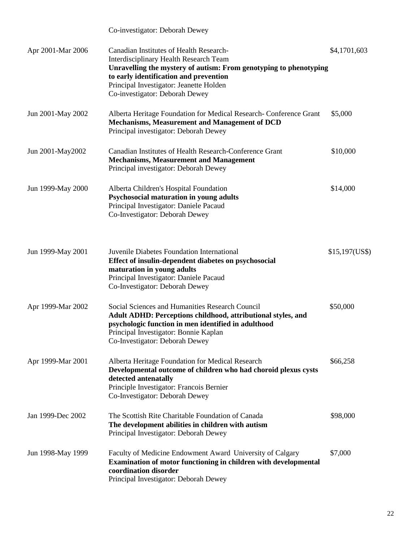|                   | Co-investigator: Deborah Dewey                                                                                                                                                                                                                                                |               |
|-------------------|-------------------------------------------------------------------------------------------------------------------------------------------------------------------------------------------------------------------------------------------------------------------------------|---------------|
| Apr 2001-Mar 2006 | Canadian Institutes of Health Research-<br>Interdisciplinary Health Research Team<br>Unravelling the mystery of autism: From genotyping to phenotyping<br>to early identification and prevention<br>Principal Investigator: Jeanette Holden<br>Co-investigator: Deborah Dewey | \$4,1701,603  |
| Jun 2001-May 2002 | Alberta Heritage Foundation for Medical Research-Conference Grant<br>Mechanisms, Measurement and Management of DCD<br>Principal investigator: Deborah Dewey                                                                                                                   | \$5,000       |
| Jun 2001-May2002  | Canadian Institutes of Health Research-Conference Grant<br><b>Mechanisms, Measurement and Management</b><br>Principal investigator: Deborah Dewey                                                                                                                             | \$10,000      |
| Jun 1999-May 2000 | Alberta Children's Hospital Foundation<br>Psychosocial maturation in young adults<br>Principal Investigator: Daniele Pacaud<br>Co-Investigator: Deborah Dewey                                                                                                                 | \$14,000      |
| Jun 1999-May 2001 | Juvenile Diabetes Foundation International<br>Effect of insulin-dependent diabetes on psychosocial<br>maturation in young adults<br>Principal Investigator: Daniele Pacaud<br>Co-Investigator: Deborah Dewey                                                                  | $$15,197(US\$ |
| Apr 1999-Mar 2002 | Social Sciences and Humanities Research Council<br>Adult ADHD: Perceptions childhood, attributional styles, and<br>psychologic function in men identified in adulthood<br>Principal Investigator: Bonnie Kaplan<br>Co-Investigator: Deborah Dewey                             | \$50,000      |
| Apr 1999-Mar 2001 | Alberta Heritage Foundation for Medical Research<br>Developmental outcome of children who had choroid plexus cysts<br>detected antenatally<br>Principle Investigator: Francois Bernier<br>Co-Investigator: Deborah Dewey                                                      | \$66,258      |
| Jan 1999-Dec 2002 | The Scottish Rite Charitable Foundation of Canada<br>The development abilities in children with autism<br>Principal Investigator: Deborah Dewey                                                                                                                               | \$98,000      |
| Jun 1998-May 1999 | Faculty of Medicine Endowment Award University of Calgary<br>Examination of motor functioning in children with developmental<br>coordination disorder<br>Principal Investigator: Deborah Dewey                                                                                | \$7,000       |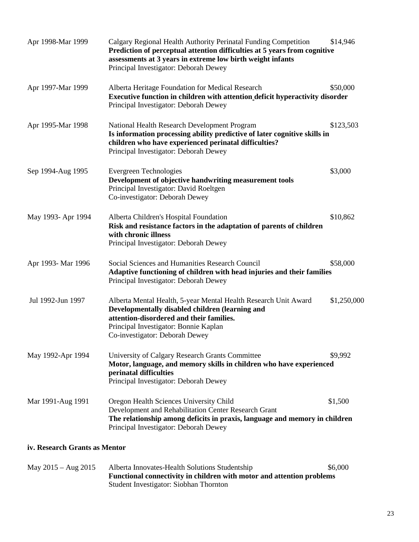| Apr 1998-Mar 1999  | Calgary Regional Health Authority Perinatal Funding Competition<br>Prediction of perceptual attention difficulties at 5 years from cognitive<br>assessments at 3 years in extreme low birth weight infants<br>Principal Investigator: Deborah Dewey | \$14,946    |
|--------------------|-----------------------------------------------------------------------------------------------------------------------------------------------------------------------------------------------------------------------------------------------------|-------------|
| Apr 1997-Mar 1999  | Alberta Heritage Foundation for Medical Research<br>Executive function in children with attention deficit hyperactivity disorder<br>Principal Investigator: Deborah Dewey                                                                           | \$50,000    |
| Apr 1995-Mar 1998  | National Health Research Development Program<br>Is information processing ability predictive of later cognitive skills in<br>children who have experienced perinatal difficulties?<br>Principal Investigator: Deborah Dewey                         | \$123,503   |
| Sep 1994-Aug 1995  | Evergreen Technologies<br>Development of objective handwriting measurement tools<br>Principal Investigator: David Roeltgen<br>Co-investigator: Deborah Dewey                                                                                        | \$3,000     |
| May 1993- Apr 1994 | Alberta Children's Hospital Foundation<br>Risk and resistance factors in the adaptation of parents of children<br>with chronic illness<br>Principal Investigator: Deborah Dewey                                                                     | \$10,862    |
| Apr 1993- Mar 1996 | Social Sciences and Humanities Research Council<br>Adaptive functioning of children with head injuries and their families<br>Principal Investigator: Deborah Dewey                                                                                  | \$58,000    |
| Jul 1992-Jun 1997  | Alberta Mental Health, 5-year Mental Health Research Unit Award<br>Developmentally disabled children (learning and<br>attention-disordered and their families.<br>Principal Investigator: Bonnie Kaplan<br>Co-investigator: Deborah Dewey           | \$1,250,000 |
| May 1992-Apr 1994  | University of Calgary Research Grants Committee<br>Motor, language, and memory skills in children who have experienced<br>perinatal difficulties<br>Principal Investigator: Deborah Dewey                                                           | \$9,992     |
| Mar 1991-Aug 1991  | Oregon Health Sciences University Child<br>Development and Rehabilitation Center Research Grant<br>The relationship among deficits in praxis, language and memory in children<br>Principal Investigator: Deborah Dewey                              | \$1,500     |

### **iv. Research Grants as Mentor**

| May $2015 - Aug\ 2015$ | Alberta Innovates-Health Solutions Studentship                        | \$6,000 |
|------------------------|-----------------------------------------------------------------------|---------|
|                        | Functional connectivity in children with motor and attention problems |         |
|                        | Student Investigator: Siobhan Thornton                                |         |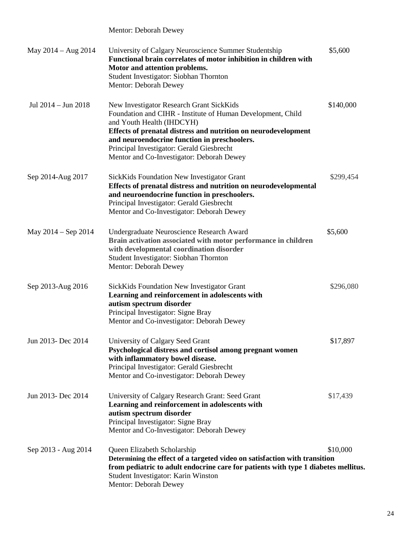| May 2014 – Aug 2014     | University of Calgary Neuroscience Summer Studentship<br>Functional brain correlates of motor inhibition in children with<br>Motor and attention problems.<br>Student Investigator: Siobhan Thornton<br>Mentor: Deborah Dewey                                                                                                                    | \$5,600   |
|-------------------------|--------------------------------------------------------------------------------------------------------------------------------------------------------------------------------------------------------------------------------------------------------------------------------------------------------------------------------------------------|-----------|
| Jul 2014 - Jun 2018     | New Investigator Research Grant SickKids<br>Foundation and CIHR - Institute of Human Development, Child<br>and Youth Health (IHDCYH)<br>Effects of prenatal distress and nutrition on neurodevelopment<br>and neuroendocrine function in preschoolers.<br>Principal Investigator: Gerald Giesbrecht<br>Mentor and Co-Investigator: Deborah Dewey | \$140,000 |
| Sep 2014-Aug 2017       | <b>SickKids Foundation New Investigator Grant</b><br>Effects of prenatal distress and nutrition on neurodevelopmental<br>and neuroendocrine function in preschoolers.<br>Principal Investigator: Gerald Giesbrecht<br>Mentor and Co-Investigator: Deborah Dewey                                                                                  | \$299,454 |
| May $2014 -$ Sep $2014$ | Undergraduate Neuroscience Research Award<br>Brain activation associated with motor performance in children<br>with developmental coordination disorder<br>Student Investigator: Siobhan Thornton<br>Mentor: Deborah Dewey                                                                                                                       | \$5,600   |
| Sep 2013-Aug 2016       | <b>SickKids Foundation New Investigator Grant</b><br>Learning and reinforcement in adolescents with<br>autism spectrum disorder<br>Principal Investigator: Signe Bray<br>Mentor and Co-investigator: Deborah Dewey                                                                                                                               | \$296,080 |
| Jun 2013- Dec 2014      | University of Calgary Seed Grant<br>Psychological distress and cortisol among pregnant women<br>with inflammatory bowel disease.<br>Principal Investigator: Gerald Giesbrecht<br>Mentor and Co-investigator: Deborah Dewey                                                                                                                       | \$17,897  |
| Jun 2013- Dec 2014      | University of Calgary Research Grant: Seed Grant<br>Learning and reinforcement in adolescents with<br>autism spectrum disorder<br>Principal Investigator: Signe Bray<br>Mentor and Co-Investigator: Deborah Dewey                                                                                                                                | \$17,439  |
| Sep 2013 - Aug 2014     | Queen Elizabeth Scholarship<br>Determining the effect of a targeted video on satisfaction with transition<br>from pediatric to adult endocrine care for patients with type 1 diabetes mellitus.<br>Student Investigator: Karin Winston<br>Mentor: Deborah Dewey                                                                                  | \$10,000  |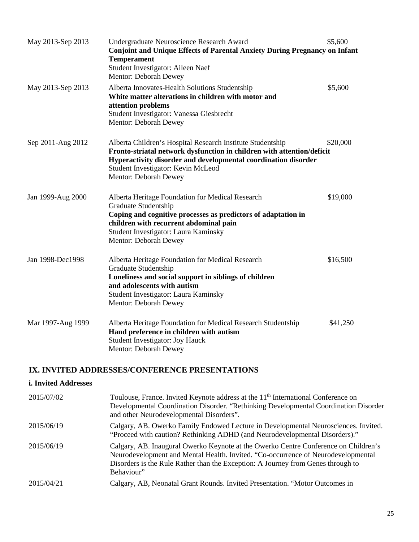| May 2013-Sep 2013 | Undergraduate Neuroscience Research Award<br><b>Conjoint and Unique Effects of Parental Anxiety During Pregnancy on Infant</b><br><b>Temperament</b><br>Student Investigator: Aileen Naef<br>Mentor: Deborah Dewey                                                    | \$5,600  |
|-------------------|-----------------------------------------------------------------------------------------------------------------------------------------------------------------------------------------------------------------------------------------------------------------------|----------|
| May 2013-Sep 2013 | Alberta Innovates-Health Solutions Studentship<br>White matter alterations in children with motor and<br>attention problems<br>Student Investigator: Vanessa Giesbrecht<br>Mentor: Deborah Dewey                                                                      | \$5,600  |
| Sep 2011-Aug 2012 | Alberta Children's Hospital Research Institute Studentship<br>Fronto-striatal network dysfunction in children with attention/deficit<br>Hyperactivity disorder and developmental coordination disorder<br>Student Investigator: Kevin McLeod<br>Mentor: Deborah Dewey | \$20,000 |
| Jan 1999-Aug 2000 | Alberta Heritage Foundation for Medical Research<br>Graduate Studentship<br>Coping and cognitive processes as predictors of adaptation in<br>children with recurrent abdominal pain<br>Student Investigator: Laura Kaminsky<br>Mentor: Deborah Dewey                  | \$19,000 |
| Jan 1998-Dec1998  | Alberta Heritage Foundation for Medical Research<br>Graduate Studentship<br>Loneliness and social support in siblings of children<br>and adolescents with autism<br>Student Investigator: Laura Kaminsky<br>Mentor: Deborah Dewey                                     | \$16,500 |
| Mar 1997-Aug 1999 | Alberta Heritage Foundation for Medical Research Studentship<br>Hand preference in children with autism<br>Student Investigator: Joy Hauck<br>Mentor: Deborah Dewey                                                                                                   | \$41,250 |

### **IX. INVITED ADDRESSES/CONFERENCE PRESENTATIONS**

### **i. Invited Addresses** 2015/07/02 Toulouse, France. Invited Keynote address at the 11<sup>th</sup> International Conference on Developmental Coordination Disorder. "Rethinking Developmental Coordination Disorder and other Neurodevelopmental Disorders". 2015/06/19 Calgary, AB. Owerko Family Endowed Lecture in Developmental Neurosciences. Invited. "Proceed with caution? Rethinking ADHD (and Neurodevelopmental Disorders)." 2015/06/19 Calgary, AB. Inaugural Owerko Keynote at the Owerko Centre Conference on Children's Neurodevelopment and Mental Health. Invited. "Co-occurrence of Neurodevelopmental Disorders is the Rule Rather than the Exception: A Journey from Genes through to Behaviour" 2015/04/21 Calgary, AB, Neonatal Grant Rounds. Invited Presentation. "Motor Outcomes in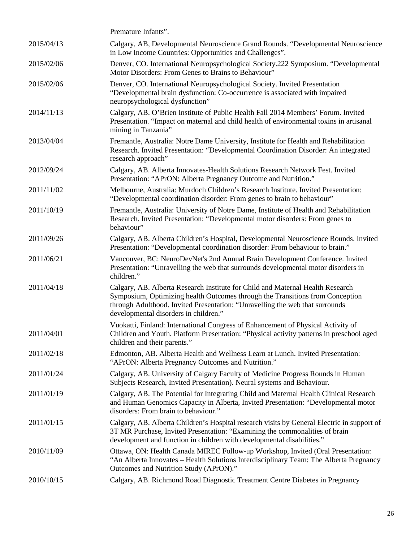|            | Premature Infants".                                                                                                                                                                                                                                                                      |
|------------|------------------------------------------------------------------------------------------------------------------------------------------------------------------------------------------------------------------------------------------------------------------------------------------|
| 2015/04/13 | Calgary, AB, Developmental Neuroscience Grand Rounds. "Developmental Neuroscience<br>in Low Income Countries: Opportunities and Challenges".                                                                                                                                             |
| 2015/02/06 | Denver, CO. International Neuropsychological Society.222 Symposium. "Developmental<br>Motor Disorders: From Genes to Brains to Behaviour"                                                                                                                                                |
| 2015/02/06 | Denver, CO. International Neuropsychological Society. Invited Presentation<br>"Developmental brain dysfunction: Co-occurrence is associated with impaired<br>neuropsychological dysfunction"                                                                                             |
| 2014/11/13 | Calgary, AB. O'Brien Institute of Public Health Fall 2014 Members' Forum. Invited<br>Presentation. "Impact on maternal and child health of environmental toxins in artisanal<br>mining in Tanzania"                                                                                      |
| 2013/04/04 | Fremantle, Australia: Notre Dame University, Institute for Health and Rehabilitation<br>Research. Invited Presentation: "Developmental Coordination Disorder: An integrated<br>research approach"                                                                                        |
| 2012/09/24 | Calgary, AB. Alberta Innovates-Health Solutions Research Network Fest. Invited<br>Presentation: "APrON: Alberta Pregnancy Outcome and Nutrition."                                                                                                                                        |
| 2011/11/02 | Melbourne, Australia: Murdoch Children's Research Institute. Invited Presentation:<br>"Developmental coordination disorder: From genes to brain to behaviour"                                                                                                                            |
| 2011/10/19 | Fremantle, Australia: University of Notre Dame, Institute of Health and Rehabilitation<br>Research. Invited Presentation: "Developmental motor disorders: From genes to<br>behaviour"                                                                                                    |
| 2011/09/26 | Calgary, AB. Alberta Children's Hospital, Developmental Neuroscience Rounds. Invited<br>Presentation: "Developmental coordination disorder: From behaviour to brain."                                                                                                                    |
| 2011/06/21 | Vancouver, BC: NeuroDevNet's 2nd Annual Brain Development Conference. Invited<br>Presentation: "Unravelling the web that surrounds developmental motor disorders in<br>children."                                                                                                        |
| 2011/04/18 | Calgary, AB. Alberta Research Institute for Child and Maternal Health Research<br>Symposium, Optimizing health Outcomes through the Transitions from Conception<br>through Adulthood. Invited Presentation: "Unravelling the web that surrounds<br>developmental disorders in children." |
| 2011/04/01 | Vuokatti, Finland: International Congress of Enhancement of Physical Activity of<br>Children and Youth. Platform Presentation: "Physical activity patterns in preschool aged<br>children and their parents."                                                                             |
| 2011/02/18 | Edmonton, AB. Alberta Health and Wellness Learn at Lunch. Invited Presentation:<br>"APrON: Alberta Pregnancy Outcomes and Nutrition."                                                                                                                                                    |
| 2011/01/24 | Calgary, AB. University of Calgary Faculty of Medicine Progress Rounds in Human<br>Subjects Research, Invited Presentation). Neural systems and Behaviour.                                                                                                                               |
| 2011/01/19 | Calgary, AB. The Potential for Integrating Child and Maternal Health Clinical Research<br>and Human Genomics Capacity in Alberta, Invited Presentation: "Developmental motor<br>disorders: From brain to behaviour."                                                                     |
| 2011/01/15 | Calgary, AB. Alberta Children's Hospital research visits by General Electric in support of<br>3T MR Purchase, Invited Presentation: "Examining the commonalities of brain<br>development and function in children with developmental disabilities."                                      |
| 2010/11/09 | Ottawa, ON: Health Canada MIREC Follow-up Workshop, Invited (Oral Presentation:<br>"An Alberta Innovates – Health Solutions Interdisciplinary Team: The Alberta Pregnancy<br>Outcomes and Nutrition Study (APrON)."                                                                      |
| 2010/10/15 | Calgary, AB. Richmond Road Diagnostic Treatment Centre Diabetes in Pregnancy                                                                                                                                                                                                             |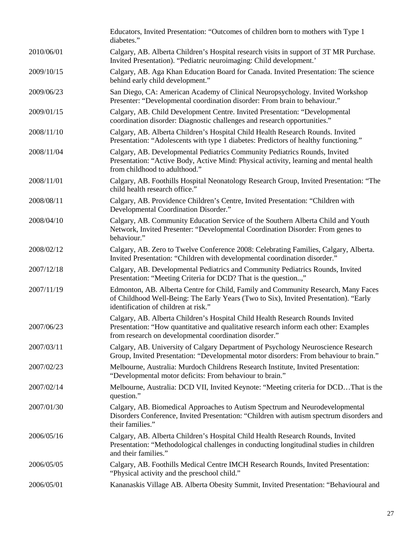|            | Educators, Invited Presentation: "Outcomes of children born to mothers with Type 1<br>diabetes."                                                                                                                                |
|------------|---------------------------------------------------------------------------------------------------------------------------------------------------------------------------------------------------------------------------------|
| 2010/06/01 | Calgary, AB. Alberta Children's Hospital research visits in support of 3T MR Purchase.<br>Invited Presentation). "Pediatric neuroimaging: Child development."                                                                   |
| 2009/10/15 | Calgary, AB. Aga Khan Education Board for Canada. Invited Presentation: The science<br>behind early child development."                                                                                                         |
| 2009/06/23 | San Diego, CA: American Academy of Clinical Neuropsychology. Invited Workshop<br>Presenter: "Developmental coordination disorder: From brain to behaviour."                                                                     |
| 2009/01/15 | Calgary, AB. Child Development Centre. Invited Presentation: "Developmental<br>coordination disorder: Diagnostic challenges and research opportunities."                                                                        |
| 2008/11/10 | Calgary, AB. Alberta Children's Hospital Child Health Research Rounds. Invited<br>Presentation: "Adolescents with type 1 diabetes: Predictors of healthy functioning."                                                          |
| 2008/11/04 | Calgary, AB. Developmental Pediatrics Community Pediatrics Rounds, Invited<br>Presentation: "Active Body, Active Mind: Physical activity, learning and mental health<br>from childhood to adulthood."                           |
| 2008/11/01 | Calgary, AB. Foothills Hospital Neonatology Research Group, Invited Presentation: "The<br>child health research office."                                                                                                        |
| 2008/08/11 | Calgary, AB. Providence Children's Centre, Invited Presentation: "Children with<br>Developmental Coordination Disorder."                                                                                                        |
| 2008/04/10 | Calgary, AB. Community Education Service of the Southern Alberta Child and Youth<br>Network, Invited Presenter: "Developmental Coordination Disorder: From genes to<br>behaviour."                                              |
| 2008/02/12 | Calgary, AB. Zero to Twelve Conference 2008: Celebrating Families, Calgary, Alberta.<br>Invited Presentation: "Children with developmental coordination disorder."                                                              |
| 2007/12/18 | Calgary, AB. Developmental Pediatrics and Community Pediatrics Rounds, Invited<br>Presentation: "Meeting Criteria for DCD? That is the question,"                                                                               |
| 2007/11/19 | Edmonton, AB. Alberta Centre for Child, Family and Community Research, Many Faces<br>of Childhood Well-Being: The Early Years (Two to Six), Invited Presentation). "Early<br>identification of children at risk."               |
| 2007/06/23 | Calgary, AB. Alberta Children's Hospital Child Health Research Rounds Invited<br>Presentation: "How quantitative and qualitative research inform each other: Examples<br>from research on developmental coordination disorder.' |
| 2007/03/11 | Calgary, AB. University of Calgary Department of Psychology Neuroscience Research<br>Group, Invited Presentation: "Developmental motor disorders: From behaviour to brain."                                                     |
| 2007/02/23 | Melbourne, Australia: Murdoch Childrens Research Institute, Invited Presentation:<br>"Developmental motor deficits: From behaviour to brain."                                                                                   |
| 2007/02/14 | Melbourne, Australia: DCD VII, Invited Keynote: "Meeting criteria for DCDThat is the<br>question."                                                                                                                              |
| 2007/01/30 | Calgary, AB. Biomedical Approaches to Autism Spectrum and Neurodevelopmental<br>Disorders Conference, Invited Presentation: "Children with autism spectrum disorders and<br>their families."                                    |
| 2006/05/16 | Calgary, AB. Alberta Children's Hospital Child Health Research Rounds, Invited<br>Presentation: "Methodological challenges in conducting longitudinal studies in children<br>and their families."                               |
| 2006/05/05 | Calgary, AB. Foothills Medical Centre IMCH Research Rounds, Invited Presentation:<br>"Physical activity and the preschool child."                                                                                               |
| 2006/05/01 | Kananaskis Village AB. Alberta Obesity Summit, Invited Presentation: "Behavioural and                                                                                                                                           |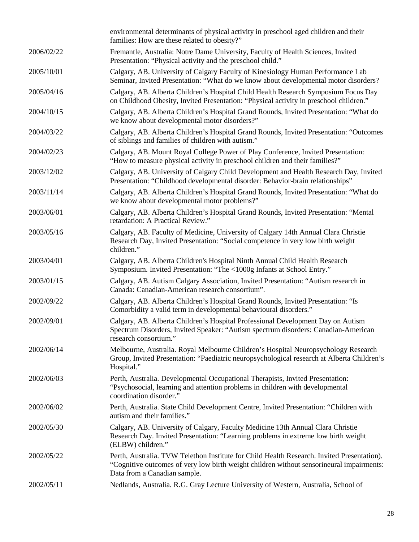|            | environmental determinants of physical activity in preschool aged children and their<br>families: How are these related to obesity?"                                                                                   |
|------------|------------------------------------------------------------------------------------------------------------------------------------------------------------------------------------------------------------------------|
| 2006/02/22 | Fremantle, Australia: Notre Dame University, Faculty of Health Sciences, Invited<br>Presentation: "Physical activity and the preschool child."                                                                         |
| 2005/10/01 | Calgary, AB. University of Calgary Faculty of Kinesiology Human Performance Lab<br>Seminar, Invited Presentation: "What do we know about developmental motor disorders?                                                |
| 2005/04/16 | Calgary, AB. Alberta Children's Hospital Child Health Research Symposium Focus Day<br>on Childhood Obesity, Invited Presentation: "Physical activity in preschool children."                                           |
| 2004/10/15 | Calgary, AB. Alberta Children's Hospital Grand Rounds, Invited Presentation: "What do<br>we know about developmental motor disorders?"                                                                                 |
| 2004/03/22 | Calgary, AB. Alberta Children's Hospital Grand Rounds, Invited Presentation: "Outcomes<br>of siblings and families of children with autism."                                                                           |
| 2004/02/23 | Calgary, AB. Mount Royal College Power of Play Conference, Invited Presentation:<br>"How to measure physical activity in preschool children and their families?"                                                       |
| 2003/12/02 | Calgary, AB. University of Calgary Child Development and Health Research Day, Invited<br>Presentation: "Childhood developmental disorder: Behavior-brain relationships"                                                |
| 2003/11/14 | Calgary, AB. Alberta Children's Hospital Grand Rounds, Invited Presentation: "What do<br>we know about developmental motor problems?"                                                                                  |
| 2003/06/01 | Calgary, AB. Alberta Children's Hospital Grand Rounds, Invited Presentation: "Mental<br>retardation: A Practical Review."                                                                                              |
| 2003/05/16 | Calgary, AB. Faculty of Medicine, University of Calgary 14th Annual Clara Christie<br>Research Day, Invited Presentation: "Social competence in very low birth weight<br>children."                                    |
| 2003/04/01 | Calgary, AB. Alberta Children's Hospital Ninth Annual Child Health Research<br>Symposium. Invited Presentation: "The <1000g Infants at School Entry."                                                                  |
| 2003/01/15 | Calgary, AB. Autism Calgary Association, Invited Presentation: "Autism research in<br>Canada: Canadian-American research consortium".                                                                                  |
| 2002/09/22 | Calgary, AB. Alberta Children's Hospital Grand Rounds, Invited Presentation: "Is<br>Comorbidity a valid term in developmental behavioural disorders."                                                                  |
| 2002/09/01 | Calgary, AB. Alberta Children's Hospital Professional Development Day on Autism<br>Spectrum Disorders, Invited Speaker: "Autism spectrum disorders: Canadian-American<br>research consortium."                         |
| 2002/06/14 | Melbourne, Australia. Royal Melbourne Children's Hospital Neuropsychology Research<br>Group, Invited Presentation: "Paediatric neuropsychological research at Alberta Children's<br>Hospital."                         |
| 2002/06/03 | Perth, Australia. Developmental Occupational Therapists, Invited Presentation:<br>"Psychosocial, learning and attention problems in children with developmental<br>coordination disorder."                             |
| 2002/06/02 | Perth, Australia. State Child Development Centre, Invited Presentation: "Children with<br>autism and their families."                                                                                                  |
| 2002/05/30 | Calgary, AB. University of Calgary, Faculty Medicine 13th Annual Clara Christie<br>Research Day. Invited Presentation: "Learning problems in extreme low birth weight<br>(ELBW) children."                             |
| 2002/05/22 | Perth, Australia. TVW Telethon Institute for Child Health Research. Invited Presentation).<br>"Cognitive outcomes of very low birth weight children without sensorineural impairments:<br>Data from a Canadian sample. |
| 2002/05/11 | Nedlands, Australia. R.G. Gray Lecture University of Western, Australia, School of                                                                                                                                     |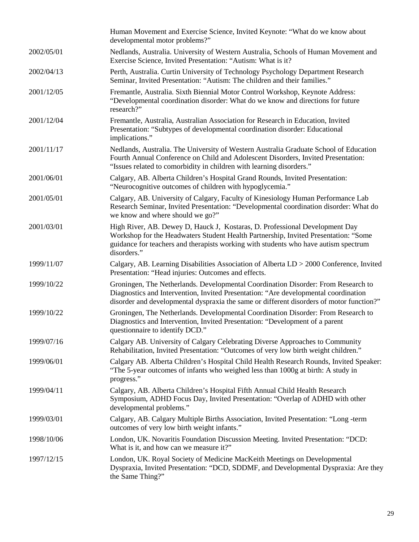|            | Human Movement and Exercise Science, Invited Keynote: "What do we know about<br>developmental motor problems?"                                                                                                                                                           |
|------------|--------------------------------------------------------------------------------------------------------------------------------------------------------------------------------------------------------------------------------------------------------------------------|
| 2002/05/01 | Nedlands, Australia. University of Western Australia, Schools of Human Movement and<br>Exercise Science, Invited Presentation: "Autism: What is it?                                                                                                                      |
| 2002/04/13 | Perth, Australia. Curtin University of Technology Psychology Department Research<br>Seminar, Invited Presentation: "Autism: The children and their families."                                                                                                            |
| 2001/12/05 | Fremantle, Australia. Sixth Biennial Motor Control Workshop, Keynote Address:<br>"Developmental coordination disorder: What do we know and directions for future<br>research?"                                                                                           |
| 2001/12/04 | Fremantle, Australia, Australian Association for Research in Education, Invited<br>Presentation: "Subtypes of developmental coordination disorder: Educational<br>implications."                                                                                         |
| 2001/11/17 | Nedlands, Australia. The University of Western Australia Graduate School of Education<br>Fourth Annual Conference on Child and Adolescent Disorders, Invited Presentation:<br>"Issues related to comorbidity in children with learning disorders."                       |
| 2001/06/01 | Calgary, AB. Alberta Children's Hospital Grand Rounds, Invited Presentation:<br>"Neurocognitive outcomes of children with hypoglycemia."                                                                                                                                 |
| 2001/05/01 | Calgary, AB. University of Calgary, Faculty of Kinesiology Human Performance Lab<br>Research Seminar, Invited Presentation: "Developmental coordination disorder: What do<br>we know and where should we go?"                                                            |
| 2001/03/01 | High River, AB. Dewey D, Hauck J, Kostaras, D. Professional Development Day<br>Workshop for the Headwaters Student Health Partnership, Invited Presentation: "Some<br>guidance for teachers and therapists working with students who have autism spectrum<br>disorders." |
| 1999/11/07 | Calgary, AB. Learning Disabilities Association of Alberta LD > 2000 Conference, Invited<br>Presentation: "Head injuries: Outcomes and effects.                                                                                                                           |
| 1999/10/22 | Groningen, The Netherlands. Developmental Coordination Disorder: From Research to<br>Diagnostics and Intervention, Invited Presentation: "Are developmental coordination<br>disorder and developmental dyspraxia the same or different disorders of motor function?"     |
| 1999/10/22 | Groningen, The Netherlands. Developmental Coordination Disorder: From Research to<br>Diagnostics and Intervention, Invited Presentation: "Development of a parent<br>questionnaire to identify DCD."                                                                     |
| 1999/07/16 | Calgary AB. University of Calgary Celebrating Diverse Approaches to Community<br>Rehabilitation, Invited Presentation: "Outcomes of very low birth weight children."                                                                                                     |
| 1999/06/01 | Calgary AB. Alberta Children's Hospital Child Health Research Rounds, Invited Speaker:<br>"The 5-year outcomes of infants who weighed less than 1000g at birth: A study in<br>progress."                                                                                 |
| 1999/04/11 | Calgary, AB. Alberta Children's Hospital Fifth Annual Child Health Research<br>Symposium, ADHD Focus Day, Invited Presentation: "Overlap of ADHD with other<br>developmental problems."                                                                                  |
| 1999/03/01 | Calgary, AB. Calgary Multiple Births Association, Invited Presentation: "Long -term<br>outcomes of very low birth weight infants."                                                                                                                                       |
| 1998/10/06 | London, UK. Novaritis Foundation Discussion Meeting. Invited Presentation: "DCD:<br>What is it, and how can we measure it?"                                                                                                                                              |
| 1997/12/15 | London, UK. Royal Society of Medicine MacKeith Meetings on Developmental<br>Dyspraxia, Invited Presentation: "DCD, SDDMF, and Developmental Dyspraxia: Are they<br>the Same Thing?"                                                                                      |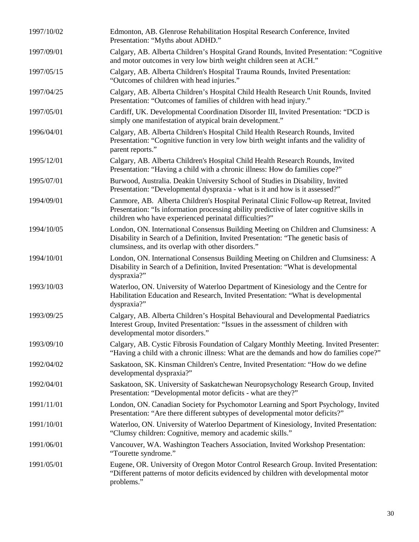| 1997/10/02 | Edmonton, AB. Glenrose Rehabilitation Hospital Research Conference, Invited<br>Presentation: "Myths about ADHD."                                                                                                                           |
|------------|--------------------------------------------------------------------------------------------------------------------------------------------------------------------------------------------------------------------------------------------|
| 1997/09/01 | Calgary, AB. Alberta Children's Hospital Grand Rounds, Invited Presentation: "Cognitive<br>and motor outcomes in very low birth weight children seen at ACH."                                                                              |
| 1997/05/15 | Calgary, AB. Alberta Children's Hospital Trauma Rounds, Invited Presentation:<br>"Outcomes of children with head injuries."                                                                                                                |
| 1997/04/25 | Calgary, AB. Alberta Children's Hospital Child Health Research Unit Rounds, Invited<br>Presentation: "Outcomes of families of children with head injury."                                                                                  |
| 1997/05/01 | Cardiff, UK. Developmental Coordination Disorder III, Invited Presentation: "DCD is<br>simply one manifestation of atypical brain development."                                                                                            |
| 1996/04/01 | Calgary, AB. Alberta Children's Hospital Child Health Research Rounds, Invited<br>Presentation: "Cognitive function in very low birth weight infants and the validity of<br>parent reports."                                               |
| 1995/12/01 | Calgary, AB. Alberta Children's Hospital Child Health Research Rounds, Invited<br>Presentation: "Having a child with a chronic illness: How do families cope?"                                                                             |
| 1995/07/01 | Burwood, Australia. Deakin University School of Studies in Disability, Invited<br>Presentation: "Developmental dyspraxia - what is it and how is it assessed?"                                                                             |
| 1994/09/01 | Canmore, AB. Alberta Children's Hospital Perinatal Clinic Follow-up Retreat, Invited<br>Presentation: "Is information processing ability predictive of later cognitive skills in<br>children who have experienced perinatal difficulties?" |
| 1994/10/05 | London, ON. International Consensus Building Meeting on Children and Clumsiness: A<br>Disability in Search of a Definition, Invited Presentation: "The genetic basis of<br>clumsiness, and its overlap with other disorders."              |
| 1994/10/01 | London, ON. International Consensus Building Meeting on Children and Clumsiness: A<br>Disability in Search of a Definition, Invited Presentation: "What is developmental<br>dyspraxia?"                                                    |
| 1993/10/03 | Waterloo, ON. University of Waterloo Department of Kinesiology and the Centre for<br>Habilitation Education and Research, Invited Presentation: "What is developmental<br>dyspraxia?"                                                      |
| 1993/09/25 | Calgary, AB. Alberta Children's Hospital Behavioural and Developmental Paediatrics<br>Interest Group, Invited Presentation: "Issues in the assessment of children with<br>developmental motor disorders."                                  |
| 1993/09/10 | Calgary, AB. Cystic Fibrosis Foundation of Calgary Monthly Meeting. Invited Presenter:<br>"Having a child with a chronic illness: What are the demands and how do families cope?"                                                          |
| 1992/04/02 | Saskatoon, SK. Kinsman Children's Centre, Invited Presentation: "How do we define<br>developmental dyspraxia?"                                                                                                                             |
| 1992/04/01 | Saskatoon, SK. University of Saskatchewan Neuropsychology Research Group, Invited<br>Presentation: "Developmental motor deficits - what are they?"                                                                                         |
| 1991/11/01 | London, ON. Canadian Society for Psychomotor Learning and Sport Psychology, Invited<br>Presentation: "Are there different subtypes of developmental motor deficits?"                                                                       |
| 1991/10/01 | Waterloo, ON. University of Waterloo Department of Kinesiology, Invited Presentation:<br>"Clumsy children: Cognitive, memory and academic skills."                                                                                         |
| 1991/06/01 | Vancouver, WA. Washington Teachers Association, Invited Workshop Presentation:<br>"Tourette syndrome."                                                                                                                                     |
| 1991/05/01 | Eugene, OR. University of Oregon Motor Control Research Group. Invited Presentation:<br>"Different patterns of motor deficits evidenced by children with developmental motor<br>problems."                                                 |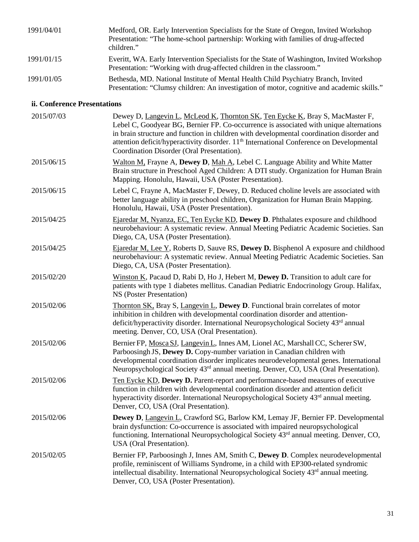| 1991/04/01                   | Medford, OR. Early Intervention Specialists for the State of Oregon, Invited Workshop<br>Presentation: "The home-school partnership: Working with families of drug-affected<br>children."                                                                                                                                                                                                                                 |
|------------------------------|---------------------------------------------------------------------------------------------------------------------------------------------------------------------------------------------------------------------------------------------------------------------------------------------------------------------------------------------------------------------------------------------------------------------------|
| 1991/01/15                   | Everitt, WA. Early Intervention Specialists for the State of Washington, Invited Workshop<br>Presentation: "Working with drug-affected children in the classroom."                                                                                                                                                                                                                                                        |
| 1991/01/05                   | Bethesda, MD. National Institute of Mental Health Child Psychiatry Branch, Invited<br>Presentation: "Clumsy children: An investigation of motor, cognitive and academic skills."                                                                                                                                                                                                                                          |
| ii. Conference Presentations |                                                                                                                                                                                                                                                                                                                                                                                                                           |
| 2015/07/03                   | Dewey D, Langevin L, McLeod K, Thornton SK, Ten Eycke K, Bray S, MacMaster F,<br>Lebel C, Goodyear BG, Bernier FP. Co-occurrence is associated with unique alternations<br>in brain structure and function in children with developmental coordination disorder and<br>attention deficit/hyperactivity disorder. 11 <sup>th</sup> International Conference on Developmental<br>Coordination Disorder (Oral Presentation). |
| 2015/06/15                   | Walton M, Frayne A, Dewey D, Mah A, Lebel C. Language Ability and White Matter<br>Brain structure in Preschool Aged Children: A DTI study. Organization for Human Brain<br>Mapping. Honolulu, Hawaii, USA (Poster Presentation).                                                                                                                                                                                          |
| 2015/06/15                   | Lebel C, Frayne A, MacMaster F, Dewey, D. Reduced choline levels are associated with<br>better language ability in preschool children, Organization for Human Brain Mapping.<br>Honolulu, Hawaii, USA (Poster Presentation).                                                                                                                                                                                              |
| 2015/04/25                   | Ejaredar M, Nyanza, EC, Ten Eycke KD, Dewey D. Phthalates exposure and childhood<br>neurobehaviour: A systematic review. Annual Meeting Pediatric Academic Societies. San<br>Diego, CA, USA (Poster Presentation).                                                                                                                                                                                                        |
| 2015/04/25                   | Ejaredar M, Lee Y, Roberts D, Sauve RS, Dewey D. Bisphenol A exposure and childhood<br>neurobehaviour: A systematic review. Annual Meeting Pediatric Academic Societies. San<br>Diego, CA, USA (Poster Presentation).                                                                                                                                                                                                     |
| 2015/02/20                   | Winston K, Pacaud D, Rabi D, Ho J, Hebert M, Dewey D. Transition to adult care for<br>patients with type 1 diabetes mellitus. Canadian Pediatric Endocrinology Group. Halifax,<br>NS (Poster Presentation)                                                                                                                                                                                                                |
| 2015/02/06                   | Thornton SK, Bray S, Langevin L, Dewey D. Functional brain correlates of motor<br>inhibition in children with developmental coordination disorder and attention-<br>deficit/hyperactivity disorder. International Neuropsychological Society 43rd annual<br>meeting. Denver, CO, USA (Oral Presentation).                                                                                                                 |
| 2015/02/06                   | Bernier FP, Mosca SJ, Langevin L, Innes AM, Lionel AC, Marshall CC, Scherer SW,<br>Parboosingh JS, Dewey D. Copy-number variation in Canadian children with<br>developmental coordination disorder implicates neurodevelopmental genes. International<br>Neuropsychological Society 43 <sup>rd</sup> annual meeting. Denver, CO, USA (Oral Presentation).                                                                 |
| 2015/02/06                   | Ten Eycke KD, Dewey D. Parent-report and performance-based measures of executive<br>function in children with developmental coordination disorder and attention deficit<br>hyperactivity disorder. International Neuropsychological Society 43 <sup>rd</sup> annual meeting.<br>Denver, CO, USA (Oral Presentation).                                                                                                      |
| 2015/02/06                   | Dewey D, Langevin L, Crawford SG, Barlow KM, Lemay JF, Bernier FP. Developmental<br>brain dysfunction: Co-occurrence is associated with impaired neuropsychological<br>functioning. International Neuropsychological Society 43 <sup>rd</sup> annual meeting. Denver, CO,<br>USA (Oral Presentation).                                                                                                                     |
| 2015/02/05                   | Bernier FP, Parboosingh J, Innes AM, Smith C, Dewey D. Complex neurodevelopmental<br>profile, reminiscent of Williams Syndrome, in a child with EP300-related syndromic<br>intellectual disability. International Neuropsychological Society 43 <sup>rd</sup> annual meeting.<br>Denver, CO, USA (Poster Presentation).                                                                                                   |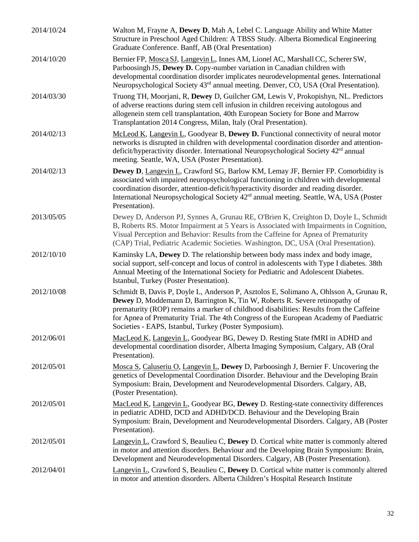| 2014/10/24 | Walton M, Frayne A, Dewey D, Mah A, Lebel C. Language Ability and White Matter<br>Structure in Preschool Aged Children: A TBSS Study. Alberta Biomedical Engineering<br>Graduate Conference. Banff, AB (Oral Presentation)                                                                                                                                                                                          |
|------------|---------------------------------------------------------------------------------------------------------------------------------------------------------------------------------------------------------------------------------------------------------------------------------------------------------------------------------------------------------------------------------------------------------------------|
| 2014/10/20 | Bernier FP, Mosca SJ, Langevin L, Innes AM, Lionel AC, Marshall CC, Scherer SW,<br>Parboosingh JS, Dewey D. Copy-number variation in Canadian children with<br>developmental coordination disorder implicates neurodevelopmental genes. International<br>Neuropsychological Society 43 <sup>rd</sup> annual meeting. Denver, CO, USA (Oral Presentation).                                                           |
| 2014/03/30 | Truong TH, Moorjani, R, Dewey D, Guilcher GM, Lewis V, Prokopishyn, NL. Predictors<br>of adverse reactions during stem cell infusion in children receiving autologous and<br>allogenein stem cell transplantation, 40th European Society for Bone and Marrow<br>Transplantation 2014 Congress, Milan, Italy (Oral Presentation).                                                                                    |
| 2014/02/13 | McLeod K, Langevin L, Goodyear B, Dewey D. Functional connectivity of neural motor<br>networks is disrupted in children with developmental coordination disorder and attention-<br>deficit/hyperactivity disorder. International Neuropsychological Society 42 <sup>rd</sup> annual<br>meeting. Seattle, WA, USA (Poster Presentation).                                                                             |
| 2014/02/13 | <b>Dewey D, Langevin L, Crawford SG, Barlow KM, Lemay JF, Bernier FP. Comorbidity is</b><br>associated with impaired neuropsychological functioning in children with developmental<br>coordination disorder, attention-deficit/hyperactivity disorder and reading disorder.<br>International Neuropsychological Society 42 <sup>rd</sup> annual meeting. Seattle, WA, USA (Poster<br>Presentation).                 |
| 2013/05/05 | Dewey D, Anderson PJ, Synnes A, Grunau RE, O'Brien K, Creighton D, Doyle L, Schmidt<br>B, Roberts RS. Motor Impairment at 5 Years is Associated with Impairments in Cognition,<br>Visual Perception and Behavior: Results from the Caffeine for Apnea of Prematurity<br>(CAP) Trial, Pediatric Academic Societies. Washington, DC, USA (Oral Presentation).                                                         |
| 2012/10/10 | Kaminsky LA, Dewey D. The relationship between body mass index and body image,<br>social support, self-concept and locus of control in adolescents with Type I diabetes. 38th<br>Annual Meeting of the International Society for Pediatric and Adolescent Diabetes.<br>Istanbul, Turkey (Poster Presentation).                                                                                                      |
| 2012/10/08 | Schmidt B, Davis P, Doyle L, Anderson P, Asztolos E, Solimano A, Ohlsson A, Grunau R,<br>Dewey D, Moddemann D, Barrington K, Tin W, Roberts R. Severe retinopathy of<br>prematurity (ROP) remains a marker of childhood disabilities: Results from the Caffeine<br>for Apnea of Prematurity Trial. The 4th Congress of the European Academy of Paediatric<br>Societies - EAPS, Istanbul, Turkey (Poster Symposium). |
| 2012/06/01 | MacLeod K, Langevin L, Goodyear BG, Dewey D. Resting State fMRI in ADHD and<br>developmental coordination disorder, Alberta Imaging Symposium, Calgary, AB (Oral<br>Presentation).                                                                                                                                                                                                                                  |
| 2012/05/01 | Mosca S, Caluseriu O, Langevin L, Dewey D, Parboosingh J, Bernier F. Uncovering the<br>genetics of Developmental Coordination Disorder. Behaviour and the Developing Brain<br>Symposium: Brain, Development and Neurodevelopmental Disorders. Calgary, AB,<br>(Poster Presentation).                                                                                                                                |
| 2012/05/01 | MacLeod K, Langevin L, Goodyear BG, Dewey D. Resting-state connectivity differences<br>in pediatric ADHD, DCD and ADHD/DCD. Behaviour and the Developing Brain<br>Symposium: Brain, Development and Neurodevelopmental Disorders. Calgary, AB (Poster<br>Presentation).                                                                                                                                             |
| 2012/05/01 | <b>Langevin L, Crawford S, Beaulieu C, Dewey D. Cortical white matter is commonly altered</b><br>in motor and attention disorders. Behaviour and the Developing Brain Symposium: Brain,<br>Development and Neurodevelopmental Disorders. Calgary, AB (Poster Presentation).                                                                                                                                         |
| 2012/04/01 | Langevin L, Crawford S, Beaulieu C, Dewey D. Cortical white matter is commonly altered<br>in motor and attention disorders. Alberta Children's Hospital Research Institute                                                                                                                                                                                                                                          |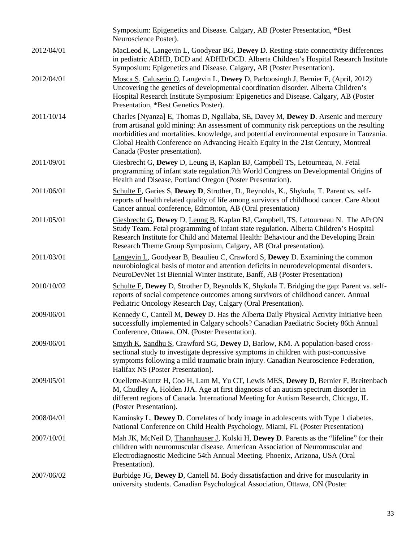|            | Symposium: Epigenetics and Disease. Calgary, AB (Poster Presentation, *Best<br>Neuroscience Poster).                                                                                                                                                                                                                                                                                             |
|------------|--------------------------------------------------------------------------------------------------------------------------------------------------------------------------------------------------------------------------------------------------------------------------------------------------------------------------------------------------------------------------------------------------|
| 2012/04/01 | MacLeod K, Langevin L, Goodyear BG, Dewey D. Resting-state connectivity differences<br>in pediatric ADHD, DCD and ADHD/DCD. Alberta Children's Hospital Research Institute<br>Symposium: Epigenetics and Disease. Calgary, AB (Poster Presentation).                                                                                                                                             |
| 2012/04/01 | Mosca S, Caluseriu O, Langevin L, Dewey D, Parboosingh J, Bernier F, (April, 2012)<br>Uncovering the genetics of developmental coordination disorder. Alberta Children's<br>Hospital Research Institute Symposium: Epigenetics and Disease. Calgary, AB (Poster<br>Presentation, *Best Genetics Poster).                                                                                         |
| 2011/10/14 | Charles [Nyanza] E, Thomas D, Ngallaba, SE, Davey M, Dewey D. Arsenic and mercury<br>from artisanal gold mining: An assessment of community risk perceptions on the resulting<br>morbidities and mortalities, knowledge, and potential environmental exposure in Tanzania.<br>Global Health Conference on Advancing Health Equity in the 21st Century, Montreal<br>Canada (Poster presentation). |
| 2011/09/01 | Giesbrecht G, Dewey D, Leung B, Kaplan BJ, Campbell TS, Letourneau, N. Fetal<br>programming of infant state regulation.7th World Congress on Developmental Origins of<br>Health and Disease, Portland Oregon (Poster Presentation).                                                                                                                                                              |
| 2011/06/01 | Schulte F, Garies S, Dewey D, Strother, D., Reynolds, K., Shykula, T. Parent vs. self-<br>reports of health related quality of life among survivors of childhood cancer. Care About<br>Cancer annual conference, Edmonton, AB (Oral presentation)                                                                                                                                                |
| 2011/05/01 | Giesbrecht G, Dewey D, Leung B, Kaplan BJ, Campbell, TS, Letourneau N. The APrON<br>Study Team. Fetal programming of infant state regulation. Alberta Children's Hospital<br>Research Institute for Child and Maternal Health: Behaviour and the Developing Brain<br>Research Theme Group Symposium, Calgary, AB (Oral presentation).                                                            |
| 2011/03/01 | Langevin L, Goodyear B, Beaulieu C, Crawford S, Dewey D. Examining the common<br>neurobiological basis of motor and attention deficits in neurodevelopmental disorders.<br>NeuroDevNet 1st Biennial Winter Institute, Banff, AB (Poster Presentation)                                                                                                                                            |
| 2010/10/02 | Schulte F, Dewey D, Strother D, Reynolds K, Shykula T. Bridging the gap: Parent vs. self-<br>reports of social competence outcomes among survivors of childhood cancer. Annual<br>Pediatric Oncology Research Day, Calgary (Oral Presentation).                                                                                                                                                  |
| 2009/06/01 | Kennedy C, Cantell M, Dewey D. Has the Alberta Daily Physical Activity Initiative been<br>successfully implemented in Calgary schools? Canadian Paediatric Society 86th Annual<br>Conference, Ottawa, ON. (Poster Presentation).                                                                                                                                                                 |
| 2009/06/01 | Smyth K, Sandhu S, Crawford SG, Dewey D, Barlow, KM. A population-based cross-<br>sectional study to investigate depressive symptoms in children with post-concussive<br>symptoms following a mild traumatic brain injury. Canadian Neuroscience Federation,<br>Halifax NS (Poster Presentation).                                                                                                |
| 2009/05/01 | Ouellette-Kuntz H, Coo H, Lam M, Yu CT, Lewis MES, Dewey D, Bernier F, Breitenbach<br>M, Chudley A, Holden JJA. Age at first diagnosis of an autism spectrum disorder in<br>different regions of Canada. International Meeting for Autism Research, Chicago, IL<br>(Poster Presentation).                                                                                                        |
| 2008/04/01 | Kaminsky L, Dewey D. Correlates of body image in adolescents with Type 1 diabetes.<br>National Conference on Child Health Psychology, Miami, FL (Poster Presentation)                                                                                                                                                                                                                            |
| 2007/10/01 | Mah JK, McNeil D, Thannhauser J, Kolski H, Dewey D. Parents as the "lifeline" for their<br>children with neuromuscular disease. American Association of Neuromuscular and<br>Electrodiagnostic Medicine 54th Annual Meeting. Phoenix, Arizona, USA (Oral<br>Presentation).                                                                                                                       |
| 2007/06/02 | Burbidge JG, Dewey D, Cantell M. Body dissatisfaction and drive for muscularity in<br>university students. Canadian Psychological Association, Ottawa, ON (Poster                                                                                                                                                                                                                                |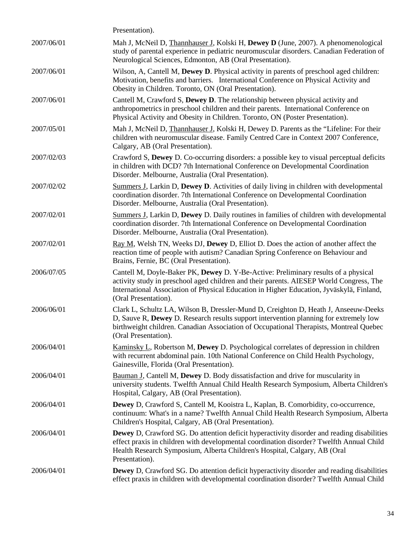|            | Presentation).                                                                                                                                                                                                                                                                                    |
|------------|---------------------------------------------------------------------------------------------------------------------------------------------------------------------------------------------------------------------------------------------------------------------------------------------------|
| 2007/06/01 | Mah J, McNeil D, Thannhauser J, Kolski H, Dewey D (June, 2007). A phenomenological<br>study of parental experience in pediatric neuromuscular disorders. Canadian Federation of<br>Neurological Sciences, Edmonton, AB (Oral Presentation).                                                       |
| 2007/06/01 | Wilson, A, Cantell M, Dewey D. Physical activity in parents of preschool aged children:<br>Motivation, benefits and barriers. International Conference on Physical Activity and<br>Obesity in Children. Toronto, ON (Oral Presentation).                                                          |
| 2007/06/01 | Cantell M, Crawford S, Dewey D. The relationship between physical activity and<br>anthropometrics in preschool children and their parents. International Conference on<br>Physical Activity and Obesity in Children. Toronto, ON (Poster Presentation).                                           |
| 2007/05/01 | Mah J, McNeil D, Thannhauser J, Kolski H, Dewey D. Parents as the "Lifeline: For their<br>children with neuromuscular disease. Family Centred Care in Context 2007 Conference,<br>Calgary, AB (Oral Presentation).                                                                                |
| 2007/02/03 | Crawford S, Dewey D. Co-occurring disorders: a possible key to visual perceptual deficits<br>in children with DCD? 7th International Conference on Developmental Coordination<br>Disorder. Melbourne, Australia (Oral Presentation).                                                              |
| 2007/02/02 | Summers J, Larkin D, Dewey D. Activities of daily living in children with developmental<br>coordination disorder. 7th International Conference on Developmental Coordination<br>Disorder. Melbourne, Australia (Oral Presentation).                                                               |
| 2007/02/01 | <b>Summers J, Larkin D, Dewey D. Daily routines in families of children with developmental</b><br>coordination disorder. 7th International Conference on Developmental Coordination<br>Disorder. Melbourne, Australia (Oral Presentation).                                                        |
| 2007/02/01 | Ray M, Welsh TN, Weeks DJ, Dewey D, Elliot D. Does the action of another affect the<br>reaction time of people with autism? Canadian Spring Conference on Behaviour and<br>Brains, Fernie, BC (Oral Presentation).                                                                                |
| 2006/07/05 | Cantell M, Doyle-Baker PK, Dewey D. Y-Be-Active: Preliminary results of a physical<br>activity study in preschool aged children and their parents. AIESEP World Congress, The<br>International Association of Physical Education in Higher Education, Jyväskylä, Finland,<br>(Oral Presentation). |
| 2006/06/01 | Clark L, Schultz LA, Wilson B, Dressler-Mund D, Creighton D, Heath J, Anseeuw-Deeks<br>D, Sauve R, Dewey D. Research results support intervention planning for extremely low<br>birthweight children. Canadian Association of Occupational Therapists, Montreal Quebec<br>(Oral Presentation).    |
| 2006/04/01 | <b>Kaminsky L, Robertson M, Dewey D. Psychological correlates of depression in children</b><br>with recurrent abdominal pain. 10th National Conference on Child Health Psychology,<br>Gainesville, Florida (Oral Presentation).                                                                   |
| 2006/04/01 | Bauman J, Cantell M, Dewey D. Body dissatisfaction and drive for muscularity in<br>university students. Twelfth Annual Child Health Research Symposium, Alberta Children's<br>Hospital, Calgary, AB (Oral Presentation).                                                                          |
| 2006/04/01 | <b>Dewey</b> D, Crawford S, Cantell M, Kooistra L, Kaplan, B. Comorbidity, co-occurrence,<br>continuum: What's in a name? Twelfth Annual Child Health Research Symposium, Alberta<br>Children's Hospital, Calgary, AB (Oral Presentation).                                                        |
| 2006/04/01 | Dewey D, Crawford SG. Do attention deficit hyperactivity disorder and reading disabilities<br>effect praxis in children with developmental coordination disorder? Twelfth Annual Child<br>Health Research Symposium, Alberta Children's Hospital, Calgary, AB (Oral<br>Presentation).             |
| 2006/04/01 | <b>Dewey</b> D, Crawford SG. Do attention deficit hyperactivity disorder and reading disabilities<br>effect praxis in children with developmental coordination disorder? Twelfth Annual Child                                                                                                     |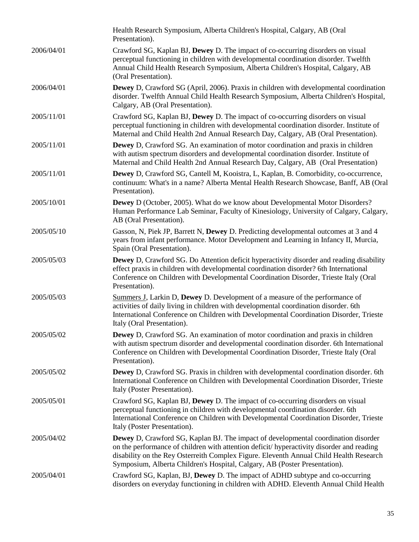|            | Health Research Symposium, Alberta Children's Hospital, Calgary, AB (Oral<br>Presentation).                                                                                                                                                                                                                                                                    |
|------------|----------------------------------------------------------------------------------------------------------------------------------------------------------------------------------------------------------------------------------------------------------------------------------------------------------------------------------------------------------------|
| 2006/04/01 | Crawford SG, Kaplan BJ, Dewey D. The impact of co-occurring disorders on visual<br>perceptual functioning in children with developmental coordination disorder. Twelfth<br>Annual Child Health Research Symposium, Alberta Children's Hospital, Calgary, AB<br>(Oral Presentation).                                                                            |
| 2006/04/01 | <b>Dewey</b> D, Crawford SG (April, 2006). Praxis in children with developmental coordination<br>disorder. Twelfth Annual Child Health Research Symposium, Alberta Children's Hospital,<br>Calgary, AB (Oral Presentation).                                                                                                                                    |
| 2005/11/01 | Crawford SG, Kaplan BJ, Dewey D. The impact of co-occurring disorders on visual<br>perceptual functioning in children with developmental coordination disorder. Institute of<br>Maternal and Child Health 2nd Annual Research Day, Calgary, AB (Oral Presentation).                                                                                            |
| 2005/11/01 | <b>Dewey</b> D, Crawford SG. An examination of motor coordination and praxis in children<br>with autism spectrum disorders and developmental coordination disorder. Institute of<br>Maternal and Child Health 2nd Annual Research Day, Calgary, AB (Oral Presentation)                                                                                         |
| 2005/11/01 | Dewey D, Crawford SG, Cantell M, Kooistra, L, Kaplan, B. Comorbidity, co-occurrence,<br>continuum: What's in a name? Alberta Mental Health Research Showcase, Banff, AB (Oral<br>Presentation).                                                                                                                                                                |
| 2005/10/01 | <b>Dewey</b> D (October, 2005). What do we know about Developmental Motor Disorders?<br>Human Performance Lab Seminar, Faculty of Kinesiology, University of Calgary, Calgary,<br>AB (Oral Presentation).                                                                                                                                                      |
| 2005/05/10 | Gasson, N, Piek JP, Barrett N, Dewey D. Predicting developmental outcomes at 3 and 4<br>years from infant performance. Motor Development and Learning in Infancy II, Murcia,<br>Spain (Oral Presentation).                                                                                                                                                     |
| 2005/05/03 | <b>Dewey</b> D, Crawford SG. Do Attention deficit hyperactivity disorder and reading disability<br>effect praxis in children with developmental coordination disorder? 6th International<br>Conference on Children with Developmental Coordination Disorder, Trieste Italy (Oral<br>Presentation).                                                             |
| 2005/05/03 | Summers J, Larkin D, Dewey D. Development of a measure of the performance of<br>activities of daily living in children with developmental coordination disorder. 6th<br>International Conference on Children with Developmental Coordination Disorder, Trieste<br>Italy (Oral Presentation).                                                                   |
| 2005/05/02 | Dewey D, Crawford SG. An examination of motor coordination and praxis in children<br>with autism spectrum disorder and developmental coordination disorder. 6th International<br>Conference on Children with Developmental Coordination Disorder, Trieste Italy (Oral<br>Presentation).                                                                        |
| 2005/05/02 | <b>Dewey</b> D, Crawford SG. Praxis in children with developmental coordination disorder. 6th<br>International Conference on Children with Developmental Coordination Disorder, Trieste<br>Italy (Poster Presentation).                                                                                                                                        |
| 2005/05/01 | Crawford SG, Kaplan BJ, Dewey D. The impact of co-occurring disorders on visual<br>perceptual functioning in children with developmental coordination disorder. 6th<br>International Conference on Children with Developmental Coordination Disorder, Trieste<br>Italy (Poster Presentation).                                                                  |
| 2005/04/02 | <b>Dewey</b> D, Crawford SG, Kaplan BJ. The impact of developmental coordination disorder<br>on the performance of children with attention deficit/ hyperactivity disorder and reading<br>disability on the Rey Osterreith Complex Figure. Eleventh Annual Child Health Research<br>Symposium, Alberta Children's Hospital, Calgary, AB (Poster Presentation). |
| 2005/04/01 | Crawford SG, Kaplan, BJ, Dewey D. The impact of ADHD subtype and co-occurring<br>disorders on everyday functioning in children with ADHD. Eleventh Annual Child Health                                                                                                                                                                                         |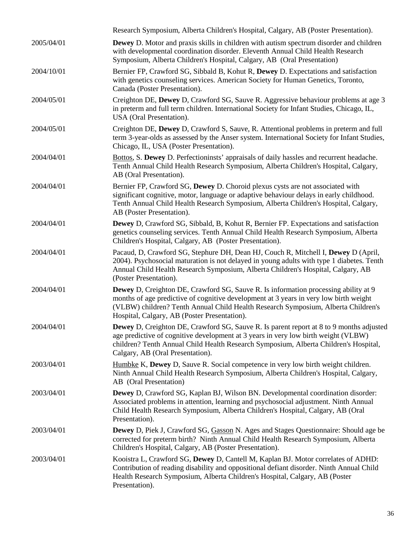|            | Research Symposium, Alberta Children's Hospital, Calgary, AB (Poster Presentation).                                                                                                                                                                                                                                      |
|------------|--------------------------------------------------------------------------------------------------------------------------------------------------------------------------------------------------------------------------------------------------------------------------------------------------------------------------|
| 2005/04/01 | <b>Dewey</b> D. Motor and praxis skills in children with autism spectrum disorder and children<br>with developmental coordination disorder. Eleventh Annual Child Health Research<br>Symposium, Alberta Children's Hospital, Calgary, AB (Oral Presentation)                                                             |
| 2004/10/01 | Bernier FP, Crawford SG, Sibbald B, Kohut R, Dewey D. Expectations and satisfaction<br>with genetics counseling services. American Society for Human Genetics, Toronto,<br>Canada (Poster Presentation).                                                                                                                 |
| 2004/05/01 | Creighton DE, Dewey D, Crawford SG, Sauve R. Aggressive behaviour problems at age 3<br>in preterm and full term children. International Society for Infant Studies, Chicago, IL,<br>USA (Oral Presentation).                                                                                                             |
| 2004/05/01 | Creighton DE, Dewey D, Crawford S, Sauve, R. Attentional problems in preterm and full<br>term 3-year-olds as assessed by the Anser system. International Society for Infant Studies,<br>Chicago, IL, USA (Poster Presentation).                                                                                          |
| 2004/04/01 | Bottos, S. Dewey D. Perfectioninsts' appraisals of daily hassles and recurrent headache.<br>Tenth Annual Child Health Research Symposium, Alberta Children's Hospital, Calgary,<br>AB (Oral Presentation).                                                                                                               |
| 2004/04/01 | Bernier FP, Crawford SG, Dewey D. Choroid plexus cysts are not associated with<br>significant cognitive, motor, language or adaptive behaviour delays in early childhood.<br>Tenth Annual Child Health Research Symposium, Alberta Children's Hospital, Calgary,<br>AB (Poster Presentation).                            |
| 2004/04/01 | <b>Dewey</b> D, Crawford SG, Sibbald, B, Kohut R, Bernier FP. Expectations and satisfaction<br>genetics counseling services. Tenth Annual Child Health Research Symposium, Alberta<br>Children's Hospital, Calgary, AB (Poster Presentation).                                                                            |
| 2004/04/01 | Pacaud, D, Crawford SG, Stephure DH, Dean HJ, Couch R, Mitchell I, Dewey D (April,<br>2004). Psychosocial maturation is not delayed in young adults with type 1 diabetes. Tenth<br>Annual Child Health Research Symposium, Alberta Children's Hospital, Calgary, AB<br>(Poster Presentation).                            |
| 2004/04/01 | <b>Dewey</b> D, Creighton DE, Crawford SG, Sauve R. Is information processing ability at 9<br>months of age predictive of cognitive development at 3 years in very low birth weight<br>(VLBW) children? Tenth Annual Child Health Research Symposium, Alberta Children's<br>Hospital, Calgary, AB (Poster Presentation). |
| 2004/04/01 | <b>Dewey</b> D, Creighton DE, Crawford SG, Sauve R. Is parent report at 8 to 9 months adjusted<br>age predictive of cognitive development at 3 years in very low birth weight (VLBW)<br>children? Tenth Annual Child Health Research Symposium, Alberta Children's Hospital,<br>Calgary, AB (Oral Presentation).         |
| 2003/04/01 | Humbke K, Dewey D, Sauve R. Social competence in very low birth weight children.<br>Ninth Annual Child Health Research Symposium, Alberta Children's Hospital, Calgary,<br>AB (Oral Presentation)                                                                                                                        |
| 2003/04/01 | Dewey D, Crawford SG, Kaplan BJ, Wilson BN. Developmental coordination disorder:<br>Associated problems in attention, learning and psychosocial adjustment. Ninth Annual<br>Child Health Research Symposium, Alberta Children's Hospital, Calgary, AB (Oral<br>Presentation).                                            |
| 2003/04/01 | <b>Dewey</b> D, Piek J, Crawford SG, Gasson N. Ages and Stages Questionnaire: Should age be<br>corrected for preterm birth? Ninth Annual Child Health Research Symposium, Alberta<br>Children's Hospital, Calgary, AB (Poster Presentation).                                                                             |
| 2003/04/01 | Kooistra L, Crawford SG, Dewey D, Cantell M, Kaplan BJ. Motor correlates of ADHD:<br>Contribution of reading disability and oppositional defiant disorder. Ninth Annual Child<br>Health Research Symposium, Alberta Children's Hospital, Calgary, AB (Poster<br>Presentation).                                           |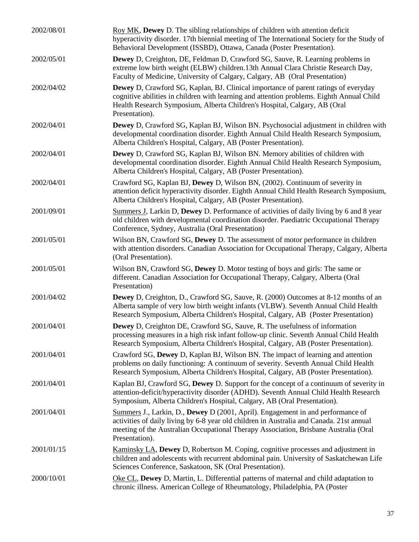| 2002/08/01 | Roy MK, Dewey D. The sibling relationships of children with attention deficit<br>hyperactivity disorder. 17th biennial meeting of The International Society for the Study of<br>Behavioral Development (ISSBD), Ottawa, Canada (Poster Presentation).                                  |
|------------|----------------------------------------------------------------------------------------------------------------------------------------------------------------------------------------------------------------------------------------------------------------------------------------|
| 2002/05/01 | <b>Dewey</b> D, Creighton, DE, Feldman D, Crawford SG, Sauve, R. Learning problems in<br>extreme low birth weight (ELBW) children.13th Annual Clara Christie Research Day,<br>Faculty of Medicine, University of Calgary, Calgary, AB (Oral Presentation)                              |
| 2002/04/02 | <b>Dewey</b> D, Crawford SG, Kaplan, BJ. Clinical importance of parent ratings of everyday<br>cognitive abilities in children with learning and attention problems. Eighth Annual Child<br>Health Research Symposium, Alberta Children's Hospital, Calgary, AB (Oral<br>Presentation). |
| 2002/04/01 | <b>Dewey</b> D, Crawford SG, Kaplan BJ, Wilson BN. Psychosocial adjustment in children with<br>developmental coordination disorder. Eighth Annual Child Health Research Symposium,<br>Alberta Children's Hospital, Calgary, AB (Poster Presentation).                                  |
| 2002/04/01 | Dewey D, Crawford SG, Kaplan BJ, Wilson BN. Memory abilities of children with<br>developmental coordination disorder. Eighth Annual Child Health Research Symposium,<br>Alberta Children's Hospital, Calgary, AB (Poster Presentation).                                                |
| 2002/04/01 | Crawford SG, Kaplan BJ, Dewey D, Wilson BN, (2002). Continuum of severity in<br>attention deficit hyperactivity disorder. Eighth Annual Child Health Research Symposium,<br>Alberta Children's Hospital, Calgary, AB (Poster Presentation).                                            |
| 2001/09/01 | Summers J, Larkin D, Dewey D. Performance of activities of daily living by 6 and 8 year<br>old children with developmental coordination disorder. Paediatric Occupational Therapy<br>Conference, Sydney, Australia (Oral Presentation)                                                 |
| 2001/05/01 | Wilson BN, Crawford SG, Dewey D. The assessment of motor performance in children<br>with attention disorders. Canadian Association for Occupational Therapy, Calgary, Alberta<br>(Oral Presentation).                                                                                  |
| 2001/05/01 | Wilson BN, Crawford SG, Dewey D. Motor testing of boys and girls: The same or<br>different. Canadian Association for Occupational Therapy, Calgary, Alberta (Oral<br>Presentation)                                                                                                     |
| 2001/04/02 | <b>Dewey</b> D, Creighton, D., Crawford SG, Sauve, R. (2000) Outcomes at 8-12 months of an<br>Alberta sample of very low birth weight infants (VLBW). Seventh Annual Child Health<br>Research Symposium, Alberta Children's Hospital, Calgary, AB (Poster Presentation)                |
| 2001/04/01 | Dewey D, Creighton DE, Crawford SG, Sauve, R. The usefulness of information<br>processing measures in a high risk infant follow-up clinic. Seventh Annual Child Health<br>Research Symposium, Alberta Children's Hospital, Calgary, AB (Poster Presentation).                          |
| 2001/04/01 | Crawford SG, Dewey D, Kaplan BJ, Wilson BN. The impact of learning and attention<br>problems on daily functioning: A continuum of severity. Seventh Annual Child Health<br>Research Symposium, Alberta Children's Hospital, Calgary, AB (Poster Presentation).                         |
| 2001/04/01 | Kaplan BJ, Crawford SG, Dewey D. Support for the concept of a continuum of severity in<br>attention-deficit/hyperactivity disorder (ADHD). Seventh Annual Child Health Research<br>Symposium, Alberta Children's Hospital, Calgary, AB (Oral Presentation).                            |
| 2001/04/01 | Summers J., Larkin, D., Dewey D (2001, April). Engagement in and performance of<br>activities of daily living by 6-8 year old children in Australia and Canada. 21st annual<br>meeting of the Australian Occupational Therapy Association, Brisbane Australia (Oral<br>Presentation).  |
| 2001/01/15 | Kaminsky LA, Dewey D, Robertson M. Coping, cognitive processes and adjustment in<br>children and adolescents with recurrent abdominal pain. University of Saskatchewan Life<br>Sciences Conference, Saskatoon, SK (Oral Presentation).                                                 |
| 2000/10/01 | Oke CL, Dewey D, Martin, L. Differential patterns of maternal and child adaptation to<br>chronic illness. American College of Rheumatology, Philadelphia, PA (Poster                                                                                                                   |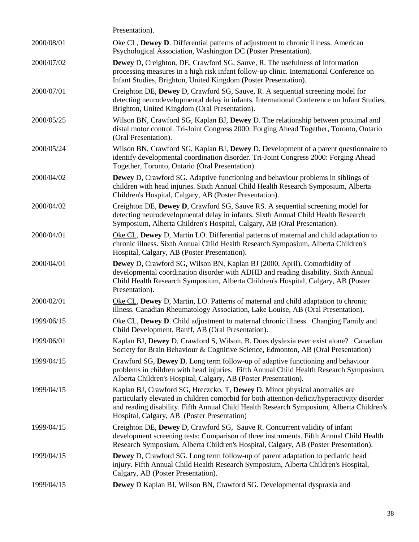|            | Presentation).                                                                                                                                                                                                                                                                                                        |
|------------|-----------------------------------------------------------------------------------------------------------------------------------------------------------------------------------------------------------------------------------------------------------------------------------------------------------------------|
| 2000/08/01 | Oke CL, Dewey D. Differential patterns of adjustment to chronic illness. American<br>Psychological Association, Washington DC (Poster Presentation).                                                                                                                                                                  |
| 2000/07/02 | <b>Dewey</b> D, Creighton, DE, Crawford SG, Sauve, R. The usefulness of information<br>processing measures in a high risk infant follow-up clinic. International Conference on<br>Infant Studies, Brighton, United Kingdom (Poster Presentation).                                                                     |
| 2000/07/01 | Creighton DE, Dewey D, Crawford SG, Sauve, R. A sequential screening model for<br>detecting neurodevelopmental delay in infants. International Conference on Infant Studies,<br>Brighton, United Kingdom (Oral Presentation).                                                                                         |
| 2000/05/25 | Wilson BN, Crawford SG, Kaplan BJ, Dewey D. The relationship between proximal and<br>distal motor control. Tri-Joint Congress 2000: Forging Ahead Together, Toronto, Ontario<br>(Oral Presentation).                                                                                                                  |
| 2000/05/24 | Wilson BN, Crawford SG, Kaplan BJ, Dewey D. Development of a parent questionnaire to<br>identify developmental coordination disorder. Tri-Joint Congress 2000: Forging Ahead<br>Together, Toronto, Ontario (Oral Presentation).                                                                                       |
| 2000/04/02 | <b>Dewey</b> D, Crawford SG. Adaptive functioning and behaviour problems in siblings of<br>children with head injuries. Sixth Annual Child Health Research Symposium, Alberta<br>Children's Hospital, Calgary, AB (Poster Presentation).                                                                              |
| 2000/04/02 | Creighton DE, Dewey D, Crawford SG, Sauve RS. A sequential screening model for<br>detecting neurodevelopmental delay in infants. Sixth Annual Child Health Research<br>Symposium, Alberta Children's Hospital, Calgary, AB (Oral Presentation).                                                                       |
| 2000/04/01 | Oke CL, Dewey D, Martin LO. Differential patterns of maternal and child adaptation to<br>chronic illness. Sixth Annual Child Health Research Symposium, Alberta Children's<br>Hospital, Calgary, AB (Poster Presentation).                                                                                            |
| 2000/04/01 | Dewey D, Crawford SG, Wilson BN, Kaplan BJ (2000, April). Comorbidity of<br>developmental coordination disorder with ADHD and reading disability. Sixth Annual<br>Child Health Research Symposium, Alberta Children's Hospital, Calgary, AB (Poster<br>Presentation).                                                 |
| 2000/02/01 | Oke CL, Dewey D, Martin, LO. Patterns of maternal and child adaptation to chronic<br>illness. Canadian Rheumatology Association, Lake Louise, AB (Oral Presentation).                                                                                                                                                 |
| 1999/06/15 | Oke CL, Dewey D. Child adjustment to maternal chronic illness. Changing Family and<br>Child Development, Banff, AB (Oral Presentation).                                                                                                                                                                               |
| 1999/06/01 | Kaplan BJ, Dewey D, Crawford S, Wilson, B. Does dyslexia ever exist alone? Canadian<br>Society for Brain Behaviour & Cognitive Science, Edmonton, AB (Oral Presentation)                                                                                                                                              |
| 1999/04/15 | Crawford SG, Dewey D. Long term follow-up of adaptive functioning and behaviour<br>problems in children with head injuries. Fifth Annual Child Health Research Symposium,<br>Alberta Children's Hospital, Calgary, AB (Poster Presentation).                                                                          |
| 1999/04/15 | Kaplan BJ, Crawford SG, Hreczcko, T, Dewey D. Minor physical anomalies are<br>particularly elevated in children comorbid for both attention-deficit/hyperactivity disorder<br>and reading disability. Fifth Annual Child Health Research Symposium, Alberta Children's<br>Hospital, Calgary, AB (Poster Presentation) |
| 1999/04/15 | Creighton DE, Dewey D, Crawford SG, Sauve R. Concurrent validity of infant<br>development screening tests: Comparison of three instruments. Fifth Annual Child Health<br>Research Symposium, Alberta Children's Hospital, Calgary, AB (Poster Presentation).                                                          |
| 1999/04/15 | Dewey D, Crawford SG. Long term follow-up of parent adaptation to pediatric head<br>injury. Fifth Annual Child Health Research Symposium, Alberta Children's Hospital,<br>Calgary, AB (Poster Presentation).                                                                                                          |
| 1999/04/15 | Dewey D Kaplan BJ, Wilson BN, Crawford SG. Developmental dyspraxia and                                                                                                                                                                                                                                                |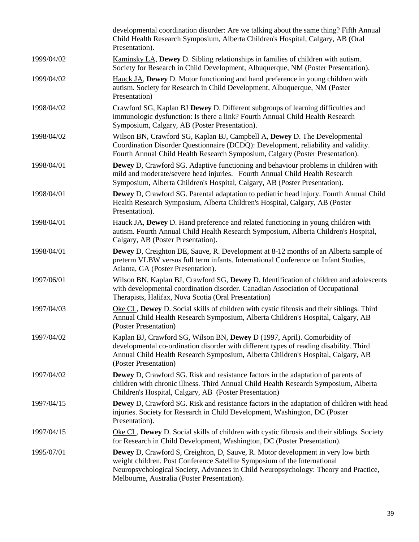|            | developmental coordination disorder: Are we talking about the same thing? Fifth Annual<br>Child Health Research Symposium, Alberta Children's Hospital, Calgary, AB (Oral<br>Presentation).                                                                                                                |
|------------|------------------------------------------------------------------------------------------------------------------------------------------------------------------------------------------------------------------------------------------------------------------------------------------------------------|
| 1999/04/02 | Kaminsky LA, Dewey D. Sibling relationships in families of children with autism.<br>Society for Research in Child Development, Albuquerque, NM (Poster Presentation).                                                                                                                                      |
| 1999/04/02 | Hauck JA, Dewey D. Motor functioning and hand preference in young children with<br>autism. Society for Research in Child Development, Albuquerque, NM (Poster<br>Presentation)                                                                                                                             |
| 1998/04/02 | Crawford SG, Kaplan BJ Dewey D. Different subgroups of learning difficulties and<br>immunologic dysfunction: Is there a link? Fourth Annual Child Health Research<br>Symposium, Calgary, AB (Poster Presentation).                                                                                         |
| 1998/04/02 | Wilson BN, Crawford SG, Kaplan BJ, Campbell A, Dewey D. The Developmental<br>Coordination Disorder Questionnaire (DCDQ): Development, reliability and validity.<br>Fourth Annual Child Health Research Symposium, Calgary (Poster Presentation).                                                           |
| 1998/04/01 | <b>Dewey</b> D, Crawford SG. Adaptive functioning and behaviour problems in children with<br>mild and moderate/severe head injuries. Fourth Annual Child Health Research<br>Symposium, Alberta Children's Hospital, Calgary, AB (Poster Presentation).                                                     |
| 1998/04/01 | <b>Dewey</b> D, Crawford SG. Parental adaptation to pediatric head injury. Fourth Annual Child<br>Health Research Symposium, Alberta Children's Hospital, Calgary, AB (Poster<br>Presentation).                                                                                                            |
| 1998/04/01 | Hauck JA, Dewey D. Hand preference and related functioning in young children with<br>autism. Fourth Annual Child Health Research Symposium, Alberta Children's Hospital,<br>Calgary, AB (Poster Presentation).                                                                                             |
| 1998/04/01 | <b>Dewey</b> D, Creighton DE, Sauve, R. Development at 8-12 months of an Alberta sample of<br>preterm VLBW versus full term infants. International Conference on Infant Studies,<br>Atlanta, GA (Poster Presentation).                                                                                     |
| 1997/06/01 | Wilson BN, Kaplan BJ, Crawford SG, Dewey D. Identification of children and adolescents<br>with developmental coordination disorder. Canadian Association of Occupational<br>Therapists, Halifax, Nova Scotia (Oral Presentation)                                                                           |
| 1997/04/03 | Oke CL, Dewey D. Social skills of children with cystic fibrosis and their siblings. Third<br>Annual Child Health Research Symposium, Alberta Children's Hospital, Calgary, AB<br>(Poster Presentation)                                                                                                     |
| 1997/04/02 | Kaplan BJ, Crawford SG, Wilson BN, Dewey D (1997, April). Comorbidity of<br>developmental co-ordination disorder with different types of reading disability. Third<br>Annual Child Health Research Symposium, Alberta Children's Hospital, Calgary, AB<br>(Poster Presentation)                            |
| 1997/04/02 | <b>Dewey</b> D, Crawford SG. Risk and resistance factors in the adaptation of parents of<br>children with chronic illness. Third Annual Child Health Research Symposium, Alberta<br>Children's Hospital, Calgary, AB (Poster Presentation)                                                                 |
| 1997/04/15 | <b>Dewey</b> D, Crawford SG. Risk and resistance factors in the adaptation of children with head<br>injuries. Society for Research in Child Development, Washington, DC (Poster<br>Presentation).                                                                                                          |
| 1997/04/15 | Oke CL, Dewey D. Social skills of children with cystic fibrosis and their siblings. Society<br>for Research in Child Development, Washington, DC (Poster Presentation).                                                                                                                                    |
| 1995/07/01 | <b>Dewey</b> D, Crawford S, Creighton, D, Sauve, R. Motor development in very low birth<br>weight children. Post Conference Satellite Symposium of the International<br>Neuropsychological Society, Advances in Child Neuropsychology: Theory and Practice,<br>Melbourne, Australia (Poster Presentation). |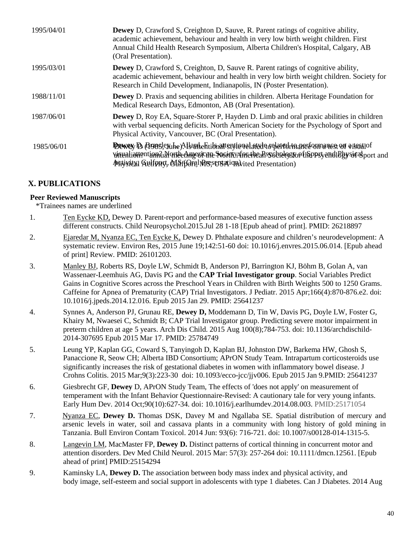| 1995/04/01 | <b>Dewey</b> D, Crawford S, Creighton D, Sauve, R. Parent ratings of cognitive ability,<br>academic achievement, behaviour and health in very low birth weight children. First<br>Annual Child Health Research Symposium, Alberta Children's Hospital, Calgary, AB<br>(Oral Presentation). |
|------------|--------------------------------------------------------------------------------------------------------------------------------------------------------------------------------------------------------------------------------------------------------------------------------------------|
| 1995/03/01 | Dewey D, Crawford S, Creighton, D, Sauve R. Parent ratings of cognitive ability,<br>academic achievement, behaviour and health in very low birth weight children. Society for<br>Research in Child Development, Indianapolis, IN (Poster Presentation).                                    |
| 1988/11/01 | <b>Dewey</b> D. Praxis and sequencing abilities in children. Alberta Heritage Foundation for<br>Medical Research Days, Edmonton, AB (Oral Presentation).                                                                                                                                   |
| 1987/06/01 | <b>Dewey</b> D, Roy EA, Square-Storer P, Hayden D. Limb and oral praxic abilities in children<br>with verbal sequencing deficits. North American Society for the Psychology of Sport and<br>Physical Activity, Vancouver, BC (Oral Presentation).                                          |
| 1985/06/01 | Dewey D. Argeslembe Allarde Fitibian entional and departed the area of a isoriof<br>virunliationtioniaNortecAmecocaneSocietyAmethcaRssobrelogfopfiSppstyand1Bhysic&port and<br>Putysical Gulfpart, NifffOral Missersation vited Presentation)                                              |

### **X. PUBLICATIONS**

### **Peer Reviewed Manuscripts**

\*Trainees names are underlined

- 1. Ten Eycke KD, Dewey D. Parent-report and performance-based measures of executive function assess different constructs. Child Neuropsychol.2015.Jul 28 1-18 [Epub ahead of print]. PMID: 26218897
- 2. Ejaredar M, Nyanza EC, Ten Eycke K, Dewey D. Phthalate exposure and children's neurodevelopment: A systematic review. Environ Res, 2015 June 19;142:51-60 doi: 10.1016/j.envres.2015.06.014. [Epub ahead of print] Review. PMID: 26101203.
- 3. Manley BJ, Roberts RS, Doyle LW, Schmidt B, Anderson PJ, Barrington KJ, Böhm B, Golan A, van Wassenaer-Leemhuis AG, Davis PG and the **CAP Trial Investigator group**. [Social Variables Predict](http://www.ncbi.nlm.nih.gov/pubmed/25641237)  Gains in [Cognitive Scores across the Preschool Years in Children with Birth Weights 500 to 1250 Grams.](http://www.ncbi.nlm.nih.gov/pubmed/25641237) Caffeine for Apnea of Prematurity (CAP) Trial Investigators. J Pediatr. 2015 Apr;166(4):870-876.e2. doi: 10.1016/j.jpeds.2014.12.016. Epub 2015 Jan 29. PMID: 25641237
- 4. Synnes A, Anderson PJ, Grunau RE, **Dewey D,** Moddemann D, Tin W, Davis PG, Doyle LW, Foster G, Khairy M, Nwaesei C, Schmidt B; CAP Trial Investigator group. [Predicting severe motor impairment in](http://www.ncbi.nlm.nih.gov/pubmed/25784749)  [preterm children at age 5 years.](http://www.ncbi.nlm.nih.gov/pubmed/25784749) Arch Dis Child. 2015 Aug 100(8);784-753. doi: 10.1136/archdischild-2014-307695 Epub 2015 Mar 17. PMID: 25784749
- 5. Leung YP, Kaplan GG, Coward S, Tanyingoh D, Kaplan BJ, Johnston DW, Barkema HW, Ghosh S, Panaccione R, Seow CH; Alberta IBD Consortium; APrON Study Team. Intrapartum corticosteroids use significantly increases the risk of gestational diabetes in women with inflammatory bowel disease. J Crohns Colitis. 2015 Mar;9(3):223-30 doi: 10.1093/ecco-jcc/jjv006. Epub 2015 Jan 9.PMID: 25641237
- 6. Giesbrecht GF, **Dewey** D, APrON Study Team, [The effects of 'does not apply' on measurement of](http://www.ncbi.nlm.nih.gov/pubmed/25171054)  [temperament with the Infant Behavior Questionnaire-Revised: A cautionary tale for very young infants.](http://www.ncbi.nlm.nih.gov/pubmed/25171054) Early Hum Dev. 2014 Oct;90(10):627-34. doi: 10.1016/j.earlhumdev.2014.08.003. PMID:25171054
- 7. Nyanza EC, **Dewey D.** Thomas DSK, Davey M and Ngallaba SE. Spatial distribution of mercury and arsenic levels in water, soil and cassava plants in a community with long history of gold mining in Tanzania. Bull Environ Contam Toxicol. 2014 Jun: 93(6): 716-721. doi: 10.1007/s00128-014-1315-5.
- 8. Langevin LM, MacMaster FP, **Dewey D.** [Distinct patterns of cortical thinning in concurrent motor and](http://www.ncbi.nlm.nih.gov/pubmed/25154294)  [attention disorders.](http://www.ncbi.nlm.nih.gov/pubmed/25154294) Dev Med Child Neurol. 2015 Mar: 57(3): 257-264 doi: 10.1111/dmcn.12561. [Epub ahead of print] PMID:25154294
- 9. Kaminsky LA, **Dewey D.** The association between body mass index and physical activity, and body image, self-esteem and social support in adolescents with type 1 diabetes. Can J Diabetes. 2014 Aug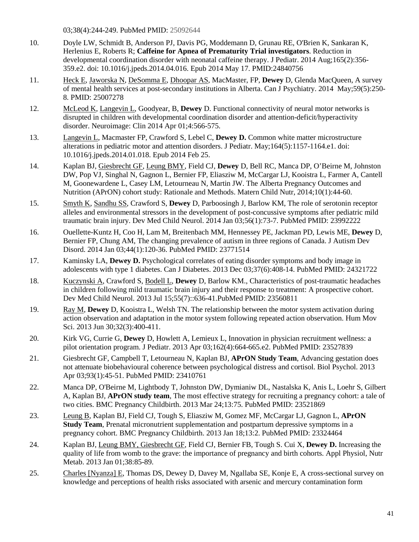03;38(4):244-249. PubMed PMID: 25092644

- 10. Doyle LW, Schmidt B, Anderson PJ, Davis PG, Moddemann D, Grunau RE, O'Brien K, Sankaran K, Herlenius E, Roberts R; **Caffeine for Apnea of Prematurity Trial investigators**. [Reduction in](http://www.ncbi.nlm.nih.gov/pubmed/24840756)  [developmental coordination disorder with neonatal caffeine therapy.](http://www.ncbi.nlm.nih.gov/pubmed/24840756) J Pediatr. 2014 Aug;165(2):356- 359.e2. doi: 10.1016/j.jpeds.2014.04.016. Epub 2014 May 17. PMID:24840756
- 11. Heck E, Jaworska N, DeSomma E, Dhoopar AS, MacMaster, FP, **Dewey** D, Glenda MacQueen, A survey of mental health services at post-secondary institutions in Alberta. Can J Psychiatry. 2014 May;59(5):250- 8. PMID: 25007278
- 12. McLeod K, Langevin L, Goodyear, B, **Dewey** D. Functional connectivity of neural motor networks is disrupted in children with developmental coordination disorder and attention-deficit/hyperactivity disorder. Neuroimage: Clin 2014 Apr 01;4:566-575.
- 13. Langevin L, Macmaster FP, Crawford S, Lebel C, **Dewey D.** Common white matter microstructure alterations in pediatric motor and attention disorders. J Pediatr. May;164(5):1157-1164.e1. doi: 10.1016/j.jpeds.2014.01.018. Epub 2014 Feb 25.
- 14. Kaplan BJ, Giesbrecht GF, Leung BMY, Field CJ, **Dewey** D, Bell RC, Manca DP, O'Beirne M, Johnston DW, Pop VJ, Singhal N, Gagnon L, Bernier FP, Eliasziw M, McCargar LJ, Kooistra L, Farmer A, Cantell M, Goonewardene L, Casey LM, Letourneau N, Martin JW. The Alberta Pregnancy Outcomes and Nutrition (APrON) cohort study: Rationale and Methods. Matern Child Nutr, 2014;10(1):44-60.
- 15. Smyth K, Sandhu SS, Crawford S, **Dewey** D, Parboosingh J, Barlow KM, The role of serotonin receptor alleles and environmental stressors in the development of post-concussive symptoms after pediatric mild traumatic brain injury. Dev Med Child Neurol. 2014 Jan 03;56(1):73-7. PubMed PMID: 23992222
- 16. Ouellette-Kuntz H, Coo H, Lam M, Breitenbach MM, Hennessey PE, Jackman PD, Lewis ME, **Dewey** D, Bernier FP, Chung AM, The changing prevalence of autism in three regions of Canada. J Autism Dev Disord. 2014 Jan 03;44(1):120-36. PubMed PMID: 23771514
- 17. Kaminsky LA, **Dewey D.** Psychological correlates of eating disorder symptoms and body image in adolescents with type 1 diabetes. Can J Diabetes. 2013 Dec 03;37(6):408-14. PubMed PMID: 24321722
- 18. Kuczynski A, Crawford S, Bodell L, **Dewey** D, Barlow KM., Characteristics of post-traumatic headaches in children following mild traumatic brain injury and their response to treatment: A prospective cohort. Dev Med Child Neurol. 2013 Jul 15;55(7)::636-41.PubMed PMID: 23560811
- 19. Ray M, **Dewey** D, Kooistra L, Welsh TN. The relationship between the motor system activation during action observation and adaptation in the motor system following repeated action observation. Hum Mov Sci. 2013 Jun 30;32(3):400-411.
- 20. Kirk VG, Currie G, **Dewey** D, Howlett A, Lemieux L, Innovation in physician recruitment wellness: a pilot orientation program. J Pediatr. 2013 Apr 03;162(4):664-665.e2. PubMed PMID: 23527839
- 21. Giesbrecht GF, Campbell T, Letourneau N, Kaplan BJ, **APrON Study Team**, Advancing gestation does not attenuate biobehavioural coherence between psychological distress and cortisol. Biol Psychol. 2013 Apr 03;93(1):45-51. PubMed PMID: 23410761
- 22. Manca DP, O'Beirne M, Lightbody T, Johnston DW, Dymianiw DL, Nastalska K, Anis L, Loehr S, Gilbert A, Kaplan BJ, **APrON study team**, The most effective strategy for recruiting a pregnancy cohort: a tale of two cities. BMC Pregnancy Childbirth. 2013 Mar 24;13:75. PubMed PMID: 23521869
- 23. Leung B, Kaplan BJ, Field CJ, Tough S, Eliasziw M, Gomez MF, McCargar LJ, Gagnon L, **APrON Study Team, Prenatal micronutrient supplementation and postpartum depressive symptoms in a** pregnancy cohort. BMC Pregnancy Childbirth. 2013 Jan 18;13:2. PubMed PMID: 23324464
- 24. Kaplan BJ, Leung BMY, Giesbrecht GF, Field CJ, Bernier FB, Tough S. Cui X, **Dewey D.** Increasing the quality of life from womb to the grave: the importance of pregnancy and birth cohorts. Appl Physiol, Nutr Metab. 2013 Jan 01;38:85-89.
- 25. Charles [Nyanza] E, Thomas DS, Dewey D, Davey M, Ngallaba SE, Konje E, A cross-sectional survey on knowledge and perceptions of health risks associated with arsenic and mercury contamination form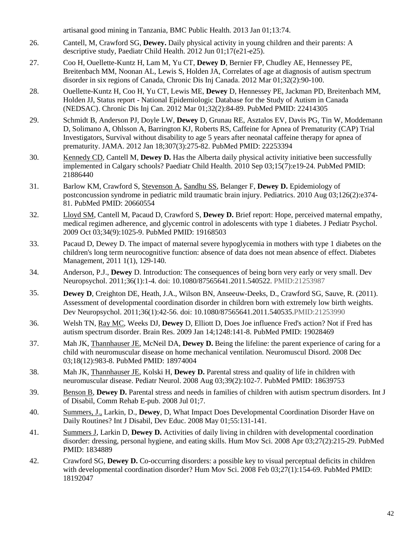artisanal good mining in Tanzania, BMC Public Health. 2013 Jan 01;13:74.

- 26. Cantell, M, Crawford SG, **Dewey.** Daily physical activity in young children and their parents: A descriptive study, Paediatr Child Health. 2012 Jun 01;17(e21-e25).
- 27. Coo H, Ouellette-Kuntz H, Lam M, Yu CT, **Dewey D**, Bernier FP, Chudley AE, Hennessey PE, Breitenbach MM, Noonan AL, Lewis S, Holden JA, Correlates of age at diagnosis of autism spectrum disorder in six regions of Canada, Chronic Dis Inj Canada. 2012 Mar 01;32(2):90-100.
- 28. Ouellette-Kuntz H, Coo H, Yu CT, Lewis ME, **Dewey** D, Hennessey PE, Jackman PD, Breitenbach MM, Holden JJ, Status report - National Epidemiologic Database for the Study of Autism in Canada (NEDSAC). Chronic Dis Inj Can. 2012 Mar 01;32(2):84-89. PubMed PMID: 22414305
- 29. Schmidt B, Anderson PJ, Doyle LW, **Dewey** D, Grunau RE, Asztalos EV, Davis PG, Tin W, Moddemann D, Solimano A, Ohlsson A, Barrington KJ, Roberts RS, Caffeine for Apnea of Prematurity (CAP) Trial Investigators, Survival without disability to age 5 years after neonatal caffeine therapy for apnea of prematurity. JAMA. 2012 Jan 18;307(3):275-82. PubMed PMID: 22253394
- 30. Kennedy CD, Cantell M, **Dewey D.** Has the Alberta daily physical activity initiative been successfully implemented in Calgary schools? Paediatr Child Health. 2010 Sep 03;15(7):e19-24. PubMed PMID: 21886440
- 31. Barlow KM, Crawford S, Stevenson A, Sandhu SS, Belanger F, **Dewey D.** Epidemiology of postconcussion syndrome in pediatric mild traumatic brain injury. Pediatrics. 2010 Aug 03;126(2):e374- 81. PubMed PMID: 20660554
- 32. Lloyd SM, Cantell M, Pacaud D, Crawford S, **Dewey D.** Brief report: Hope, perceived maternal empathy, medical regimen adherence, and glycemic control in adolescents with type 1 diabetes. J Pediatr Psychol. 2009 Oct 03;34(9):1025-9. PubMed PMID: 19168503
- 33. Pacaud D, Dewey D. The impact of maternal severe hypoglycemia in mothers with type 1 diabetes on the children's long term neurocognitive function: absence of data does not mean absence of effect. Diabetes Management*,* 2011 1(1), 129-140.
- 34. Anderson, P.J., **Dewey** D. Introduction: The consequences of being born very early or very small. Dev Neuropsychol. 2011;36(1):1-4. doi: 10.1080/87565641.2011.540522. PMID:21253987
- 35. **Dewey D**, Creighton DE, Heath, J.A., Wilson BN, Anseeuw-Deeks, D., Crawford SG, Sauve, R. (2011). Assessment of developmental coordination disorder in children born with extremely low birth weights. Dev Neuropsychol. 2011;36(1):42-56. doi: 10.1080/87565641.2011.540535.PMID:21253990
- 36. Welsh TN, Ray MC, Weeks DJ, **Dewey** D, Elliott D, Does Joe influence Fred's action? Not if Fred has autism spectrum disorder. Brain Res. 2009 Jan 14;1248:141-8. PubMed PMID: 19028469
- 37. Mah JK, Thannhauser JE, McNeil DA, **Dewey D.** Being the lifeline: the parent experience of caring for a child with neuromuscular disease on home mechanical ventilation. Neuromuscul Disord. 2008 Dec 03;18(12):983-8. PubMed PMID: 18974004
- 38. Mah JK, Thannhauser JE, Kolski H, **Dewey D.** Parental stress and quality of life in children with neuromuscular disease. Pediatr Neurol. 2008 Aug 03;39(2):102-7. PubMed PMID: 18639753
- 39. Benson B, **Dewey D.** Parental stress and needs in families of children with autism spectrum disorders. Int J of Disabil, Comm Rehab E-pub. 2008 Jul 01;7.
- 40. Summers, J., Larkin, D., **Dewey**, D, What Impact Does Developmental Coordination Disorder Have on Daily Routines? Int J Disabil, Dev Educ. 2008 May 01;55:131-141.
- 41. Summers J, Larkin D, **Dewey D.** Activities of daily living in children with developmental coordination disorder: dressing, personal hygiene, and eating skills. Hum Mov Sci. 2008 Apr 03;27(2):215-29. PubMed PMID: 1834889
- 42. Crawford SG, **Dewey D.** Co-occurring disorders: a possible key to visual perceptual deficits in children with developmental coordination disorder? Hum Mov Sci. 2008 Feb 03;27(1):154-69. PubMed PMID: 18192047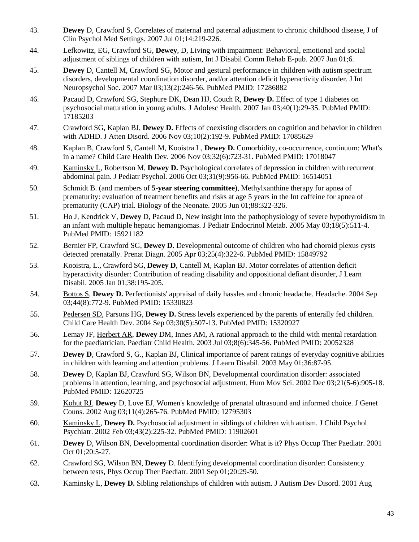- 43. **Dewey** D, Crawford S, Correlates of maternal and paternal adjustment to chronic childhood disease, J of Clin Psychol Med Settings. 2007 Jul 01;14:219-226.
- 44. Lefkowitz, EG, Crawford SG, **Dewey**, D, Living with impairment: Behavioral, emotional and social adjustment of siblings of children with autism, Int J Disabil Comm Rehab E-pub. 2007 Jun 01;6.
- 45. **Dewey** D, Cantell M, Crawford SG, Motor and gestural performance in children with autism spectrum disorders, developmental coordination disorder, and/or attention deficit hyperactivity disorder. J Int Neuropsychol Soc. 2007 Mar 03;13(2):246-56. PubMed PMID: 17286882
- 46. Pacaud D, Crawford SG, Stephure DK, Dean HJ, Couch R, **Dewey D.** Effect of type 1 diabetes on psychosocial maturation in young adults. J Adolesc Health. 2007 Jan 03;40(1):29-35. PubMed PMID: 17185203
- 47. Crawford SG, Kaplan BJ, **Dewey D.** Effects of coexisting disorders on cognition and behavior in children with ADHD. J Atten Disord. 2006 Nov 03;10(2):192-9. PubMed PMID: 17085629
- 48. Kaplan B, Crawford S, Cantell M, Kooistra L, **Dewey D.** Comorbidity, co-occurrence, continuum: What's in a name? Child Care Health Dev. 2006 Nov 03;32(6):723-31. PubMed PMID: 17018047
- 49. Kaminsky L, Robertson M, **Dewey D.** Psychological correlates of depression in children with recurrent abdominal pain. J Pediatr Psychol. 2006 Oct 03;31(9):956-66. PubMed PMID: 16514051
- 50. Schmidt B. (and members of **5-year steering committee**), Methylxanthine therapy for apnea of prematurity: evaluation of treatment benefits and risks at age 5 years in the Int caffeine for apnea of prematurity (CAP) trial. Biology of the Neonate. 2005 Jun 01;88:322-326.
- 51. Ho J, Kendrick V, **Dewey** D, Pacaud D, New insight into the pathophysiology of severe hypothyroidism in an infant with multiple hepatic hemangiomas. J Pediatr Endocrinol Metab. 2005 May 03;18(5):511-4. PubMed PMID: 15921182
- 52. Bernier FP, Crawford SG, **Dewey D.** Developmental outcome of children who had choroid plexus cysts detected prenatally. Prenat Diagn. 2005 Apr 03;25(4):322-6. PubMed PMID: 15849792
- 53. Kooistra, L., Crawford SG, **Dewey D**, Cantell M, Kaplan BJ. Motor correlates of attention deficit hyperactivity disorder: Contribution of reading disability and oppositional defiant disorder, J Learn Disabil. 2005 Jan 01;38:195-205.
- 54. Bottos S, **Dewey D.** Perfectionists' appraisal of daily hassles and chronic headache. Headache. 2004 Sep 03;44(8):772-9. PubMed PMID: 15330823
- 55. Pedersen SD, Parsons HG, **Dewey D.** Stress levels experienced by the parents of enterally fed children. Child Care Health Dev. 2004 Sep 03;30(5):507-13. PubMed PMID: 15320927
- 56. Lemay JF, Herbert AR, **Dewey** DM, Innes AM, A rational approach to the child with mental retardation for the paediatrician. Paediatr Child Health. 2003 Jul 03;8(6):345-56. PubMed PMID: 20052328
- 57. **Dewey D**, Crawford S, G., Kaplan BJ, Clinical importance of parent ratings of everyday cognitive abilities in children with learning and attention problems. J Learn Disabil. 2003 May 01;36:87-95.
- 58. **Dewey** D, Kaplan BJ, Crawford SG, Wilson BN, Developmental coordination disorder: associated problems in attention, learning, and psychosocial adjustment. Hum Mov Sci. 2002 Dec 03;21(5-6):905-18. PubMed PMID: 12620725
- 59. Kohut RJ, **Dewey** D, Love EJ, Women's knowledge of prenatal ultrasound and informed choice. J Genet Couns. 2002 Aug 03;11(4):265-76. PubMed PMID: 12795303
- 60. Kaminsky L, **Dewey D.** Psychosocial adjustment in siblings of children with autism. J Child Psychol Psychiatr. 2002 Feb 03;43(2):225-32. PubMed PMID: 11902601
- 61. **Dewey** D, Wilson BN, Developmental coordination disorder: What is it? Phys Occup Ther Paediatr. 2001 Oct 01;20:5-27.
- 62. Crawford SG, Wilson BN, **Dewey** D. Identifying developmental coordination disorder: Consistency between tests, Phys Occup Ther Paediatr. 2001 Sep 01;20:29-50.
- 63. Kaminsky L, **Dewey D.** Sibling relationships of children with autism. J Autism Dev Disord. 2001 Aug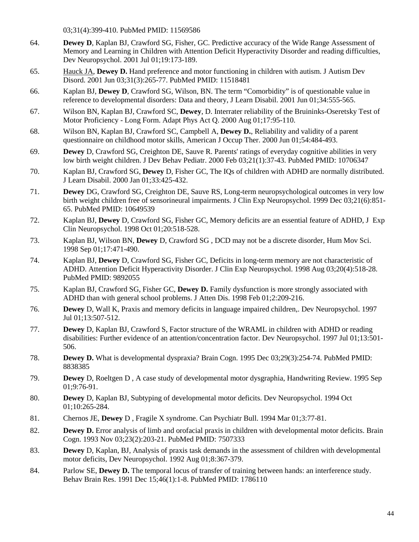03;31(4):399-410. PubMed PMID: 11569586

- 64. **Dewey D**, Kaplan BJ, Crawford SG, Fisher, GC. Predictive accuracy of the Wide Range Assessment of Memory and Learning in Children with Attention Deficit Hyperactivity Disorder and reading difficulties, Dev Neuropsychol. 2001 Jul 01;19:173-189.
- 65. Hauck JA, **Dewey D.** Hand preference and motor functioning in children with autism. J Autism Dev Disord. 2001 Jun 03;31(3):265-77. PubMed PMID: 11518481
- 66. Kaplan BJ, **Dewey D**, Crawford SG, Wilson, BN. The term "Comorbidity" is of questionable value in reference to developmental disorders: Data and theory, J Learn Disabil. 2001 Jun 01;34:555-565.
- 67. Wilson BN, Kaplan BJ, Crawford SC, **Dewey**, D. Interrater reliability of the Bruininks-Oseretsky Test of Motor Proficiency - Long Form. Adapt Phys Act Q. 2000 Aug 01;17:95-110.
- 68. Wilson BN, Kaplan BJ, Crawford SC, Campbell A, **Dewey D.**, Reliability and validity of a parent questionnaire on childhood motor skills, American J Occup Ther. 2000 Jun 01;54:484-493.
- 69. **Dewey** D, Crawford SG, Creighton DE, Sauve R. Parents' ratings of everyday cognitive abilities in very low birth weight children. J Dev Behav Pediatr. 2000 Feb 03;21(1):37-43. PubMed PMID: 10706347
- 70. Kaplan BJ, Crawford SG, **Dewey** D, Fisher GC, The IQs of children with ADHD are normally distributed. J Learn Disabil. 2000 Jan 01;33:425-432.
- 71. **Dewey** DG, Crawford SG, Creighton DE, Sauve RS, Long-term neuropsychological outcomes in very low birth weight children free of sensorineural impairments. J Clin Exp Neuropsychol. 1999 Dec 03;21(6):851- 65. PubMed PMID: 10649539
- 72. Kaplan BJ, **Dewey** D, Crawford SG, Fisher GC, Memory deficits are an essential feature of ADHD, J Exp Clin Neuropsychol. 1998 Oct 01;20:518-528.
- 73. Kaplan BJ, Wilson BN, **Dewey** D, Crawford SG , DCD may not be a discrete disorder, Hum Mov Sci. 1998 Sep 01;17:471-490.
- 74. Kaplan BJ, **Dewey** D, Crawford SG, Fisher GC, Deficits in long-term memory are not characteristic of ADHD. Attention Deficit Hyperactivity Disorder. J Clin Exp Neuropsychol. 1998 Aug 03;20(4):518-28. PubMed PMID: 9892055
- 75. Kaplan BJ, Crawford SG, Fisher GC, **Dewey D.** Family dysfunction is more strongly associated with ADHD than with general school problems. J Atten Dis. 1998 Feb 01;2:209-216.
- 76. **Dewey** D, Wall K, Praxis and memory deficits in language impaired children,. Dev Neuropsychol. 1997 Jul 01;13:507-512.
- 77. **Dewey** D, Kaplan BJ, Crawford S, Factor structure of the WRAML in children with ADHD or reading disabilities: Further evidence of an attention/concentration factor. Dev Neuropsychol. 1997 Jul 01;13:501- 506.
- 78. **Dewey D.** What is developmental dyspraxia? Brain Cogn. 1995 Dec 03;29(3):254-74. PubMed PMID: 8838385
- 79. **Dewey** D, Roeltgen D , A case study of developmental motor dysgraphia, Handwriting Review. 1995 Sep 01;9:76-91.
- 80. **Dewey** D, Kaplan BJ, Subtyping of developmental motor deficits. Dev Neuropsychol. 1994 Oct 01;10:265-284.
- 81. Chernos JE, **Dewey** D , Fragile X syndrome. Can Psychiatr Bull. 1994 Mar 01;3:77-81.
- 82. **Dewey D.** Error analysis of limb and orofacial praxis in children with developmental motor deficits. Brain Cogn. 1993 Nov 03;23(2):203-21. PubMed PMID: 7507333
- 83. **Dewey** D, Kaplan, BJ, Analysis of praxis task demands in the assessment of children with developmental motor deficits, Dev Neuropsychol. 1992 Aug 01;8:367-379.
- 84. Parlow SE, **Dewey D.** The temporal locus of transfer of training between hands: an interference study. Behav Brain Res. 1991 Dec 15;46(1):1-8. PubMed PMID: 1786110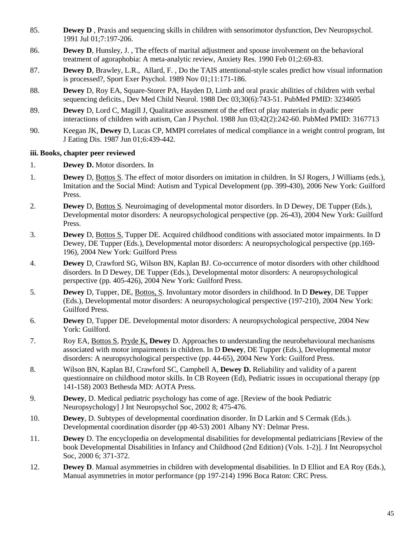- 85. **Dewey D**, Praxis and sequencing skills in children with sensorimotor dysfunction, Dev Neuropsychol. 1991 Jul 01;7:197-206.
- 86. **Dewey D**, Hunsley, J. , The effects of marital adjustment and spouse involvement on the behavioral treatment of agoraphobia: A meta-analytic review, Anxiety Res. 1990 Feb 01;2:69-83.
- 87. **Dewey D**, Brawley, L.R., Allard, F. , Do the TAIS attentional-style scales predict how visual information is processed?, Sport Exer Psychol. 1989 Nov 01;11:171-186.
- 88. **Dewey** D, Roy EA, Square-Storer PA, Hayden D, Limb and oral praxic abilities of children with verbal sequencing deficits., Dev Med Child Neurol. 1988 Dec 03;30(6):743-51. PubMed PMID: 3234605
- 89. **Dewey** D, Lord C, Magill J, Qualitative assessment of the effect of play materials in dyadic peer interactions of children with autism, Can J Psychol. 1988 Jun 03;42(2):242-60. PubMed PMID: 3167713
- 90. Keegan JK, **Dewey** D, Lucas CP, MMPI correlates of medical compliance in a weight control program, Int J Eating Dis. 1987 Jun 01;6:439-442.

#### **iii. Books, chapter peer reviewed**

- 1. **Dewey D.** Motor disorders. In
- 1. **Dewey** D, Bottos S. The effect of motor disorders on imitation in children. In SJ Rogers, J Williams (eds.), Imitation and the Social Mind: Autism and Typical Development (pp. 399-430), 2006 New York: Guilford Press.
- 2. **Dewey** D, Bottos S. Neuroimaging of developmental motor disorders. In D Dewey, DE Tupper (Eds.), Developmental motor disorders: A neuropsychological perspective (pp. 26-43), 2004 New York: Guilford Press.
- 3. **Dewey** D, Bottos S, Tupper DE. Acquired childhood conditions with associated motor impairments. In D Dewey, DE Tupper (Eds.), Developmental motor disorders: A neuropsychological perspective (pp.169- 196)*,* 2004 New York: Guilford Press
- 4. **Dewey** D, Crawford SG, Wilson BN, Kaplan BJ. Co-occurrence of motor disorders with other childhood disorders. In D Dewey, DE Tupper (Eds.), Developmental motor disorders: A neuropsychological perspective (pp. 405-426), 2004 New York: Guilford Press.
- 5. **Dewey** D, Tupper, DE, Bottos, S. Involuntary motor disorders in childhood. In D **Dewey**, DE Tupper (Eds.), Developmental motor disorders: A neuropsychological perspective (197-210), 2004 New York: Guilford Press.
- 6. **Dewey** D, Tupper DE. Developmental motor disorders: A neuropsychological perspective, 2004 New York: Guilford.
- 7. Roy EA, Bottos S, Pryde K, **Dewey** D. Approaches to understanding the neurobehavioural mechanisms associated with motor impairments in children. In D **Dewey**, DE Tupper (Eds.), Developmental motor disorders: A neuropsychological perspective (pp. 44-65), 2004 New York: Guilford Press.
- 8. Wilson BN, Kaplan BJ, Crawford SC, Campbell A, **Dewey D.** Reliability and validity of a parent questionnaire on childhood motor skills. In CB Royeen (Ed), Pediatric issues in occupational therapy (pp 141-158) 2003 Bethesda MD: AOTA Press.
- 9. **Dewey**, D. Medical pediatric psychology has come of age. [Review of the book Pediatric Neuropsychology] J Int Neuropsychol Soc, 2002 8; 475-476.
- 10. **Dewey**, D. Subtypes of developmental coordination disorder. In D Larkin and S Cermak (Eds.). Developmental coordination disorder (pp 40-53) 2001 Albany NY: Delmar Press.
- 11. **Dewey** D. The encyclopedia on developmental disabilities for developmental pediatricians [Review of the book Developmental Disabilities in Infancy and Childhood (2nd Edition) (Vols. 1-2)]. J Int Neuropsychol Soc, 2000 6; 371-372.
- 12. **Dewey D.** Manual asymmetries in children with developmental disabilities. In D Elliot and EA Roy (Eds.), Manual asymmetries in motor performance (pp 197-214) 1996 Boca Raton: CRC Press.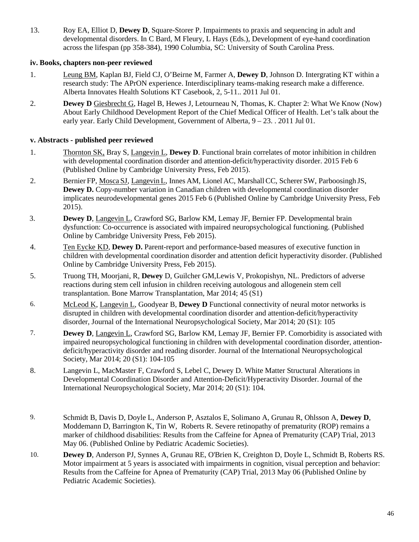13. Roy EA, Elliot D, **Dewey D**, Square-Storer P. Impairments to praxis and sequencing in adult and developmental disorders. In C Bard, M Fleury, L Hays (Eds.), Development of eye-hand coordination across the lifespan (pp 358-384), 1990 Columbia, SC: University of South Carolina Press.

### **iv. Books, chapters non-peer reviewed**

- 1. Leung BM, Kaplan BJ, Field CJ, O'Beirne M, Farmer A, **Dewey D**, Johnson D. Intergrating KT within a research study: The APrON experience. Interdisciplinary teams-making research make a difference. Alberta Innovates Health Solutions KT Casebook, 2, 5-11.. 2011 Jul 01.
- 2. **Dewey D** Giesbrecht G, Hagel B, Hewes J, Letourneau N, Thomas, K. Chapter 2: What We Know (Now) About Early Childhood Development Report of the Chief Medical Officer of Health. Let's talk about the early year. Early Child Development, Government of Alberta, 9 – 23. . 2011 Jul 01.

#### **v. Abstracts - published peer reviewed**

- 1. Thornton SK, Bray S, Langevin L, **Dewey D**. Functional brain correlates of motor inhibition in children with developmental coordination disorder and attention-deficit/hyperactivity disorder. 2015 Feb 6 (Published Online by Cambridge University Press, Feb 2015).
- 2. Bernier FP, Mosca SJ, Langevin L, Innes AM, Lionel AC, Marshall CC, Scherer SW, Parboosingh JS, **Dewey D.** Copy-number variation in Canadian children with developmental coordination disorder implicates neurodevelopmental genes 2015 Feb 6 (Published Online by Cambridge University Press, Feb 2015).
- 3. **Dewey D**, Langevin L, Crawford SG, Barlow KM, Lemay JF, Bernier FP. Developmental brain dysfunction: Co-occurrence is associated with impaired neuropsychological functioning. (Published Online by Cambridge University Press, Feb 2015).
- 4. Ten Eycke KD, **Dewey D.** Parent-report and performance-based measures of executive function in children with developmental coordination disorder and attention deficit hyperactivity disorder. (Published Online by Cambridge University Press, Feb 2015).
- 5. Truong TH, Moorjani, R, **Dewey** D, Guilcher GM,Lewis V, Prokopishyn, NL. Predictors of adverse reactions during stem cell infusion in children receiving autologous and allogenein stem cell transplantation. Bone Marrow Transplantation, Mar 2014; 45 (S1)
- 6. McLeod K, Langevin L, Goodyear B, **Dewey D** Functional connectivity of neural motor networks is disrupted in children with developmental coordination disorder and attention-deficit/hyperactivity disorder, Journal of the International Neuropsychological Society, Mar 2014; 20 (S1): 105
- 7. **Dewey D**, Langevin L, Crawford SG, Barlow KM, Lemay JF, Bernier FP. Comorbidity is associated with impaired neuropsychological functioning in children with developmental coordination disorder, attentiondeficit/hyperactivity disorder and reading disorder. Journal of the International Neuropsychological Society, Mar 2014; 20 (S1): 104-105
- 8. Langevin L, MacMaster F, Crawford S, Lebel C, Dewey D. White Matter Structural Alterations in Developmental Coordination Disorder and Attention-Deficit/Hyperactivity Disorder. Journal of the International Neuropsychological Society, Mar 2014; 20 (S1): 104.
- 9. Schmidt B, Davis D, Doyle L, Anderson P, Asztalos E, Solimano A, Grunau R, Ohlsson A, **Dewey D**, Moddemann D, Barrington K, Tin W, Roberts R. Severe retinopathy of prematurity (ROP) remains a marker of childhood disabilities: Results from the Caffeine for Apnea of Prematurity (CAP) Trial, 2013 May 06. (Published Online by Pediatric Academic Societies).
- 10. **Dewey D**, Anderson PJ, Synnes A, Grunau RE, O'Brien K, Creighton D, Doyle L, Schmidt B, Roberts RS. Motor impairment at 5 years is associated with impairments in cognition, visual perception and behavior: Results from the Caffeine for Apnea of Prematurity (CAP) Trial, 2013 May 06 (Published Online by Pediatric Academic Societies).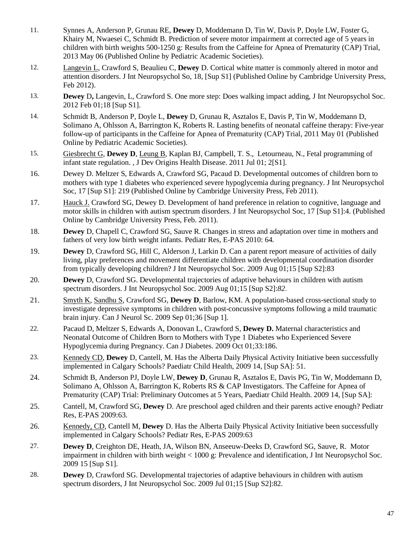- 11. Synnes A, Anderson P, Grunau RE, **Dewey** D, Moddemann D, Tin W, Davis P, Doyle LW, Foster G, Khairy M, Nwaesei C, Schmidt B. Prediction of severe motor impairment at corrected age of 5 years in children with birth weights 500-1250 g: Results from the Caffeine for Apnea of Prematurity (CAP) Trial, 2013 May 06 (Published Online by Pediatric Academic Societies).
- 12. Langevin L, Crawford S, Beaulieu C, **Dewey** D. Cortical white matter is commonly altered in motor and attention disorders. J Int Neuropsychol So, 18, [Sup S1] (Published Online by Cambridge University Press, Feb 2012).
- 13. **Dewey D,** Langevin, L, Crawford S. One more step: Does walking impact adding, J Int Neuropsychol Soc. 2012 Feb 01;18 [Sup S1].
- 14. Schmidt B, Anderson P, Doyle L, **Dewey** D, Grunau R, Asztalos E, Davis P, Tin W, Moddemann D, Solimano A, Ohlsson A, Barrington K, Roberts R. Lasting benefits of neonatal caffeine therapy: Five-year follow-up of participants in the Caffeine for Apnea of Prematurity (CAP) Trial, 2011 May 01 (Published Online by Pediatric Academic Societies).
- 15. Giesbrecht G, **Dewey D**, Leung B, Kaplan BJ, Campbell, T. S., Letourneau, N., Fetal programming of infant state regulation. , J Dev Origins Health Disease. 2011 Jul 01; 2[S1].
- 16. Dewey D. Meltzer S, Edwards A, Crawford SG, Pacaud D. Developmental outcomes of children born to mothers with type 1 diabetes who experienced severe hypoglycemia during pregnancy. J Int Neuropsychol Soc, 17 [Sup S1]: 219 (Published Online by Cambridge University Press, Feb 2011).
- 17. Hauck J. Crawford SG, Dewey D. Development of hand preference in relation to cognitive, language and motor skills in children with autism spectrum disorders. J Int Neuropsychol Soc, 17 [Sup S1]:4. (Published Online by Cambridge University Press, Feb. 2011).
- 18. **Dewey** D, Chapell C, Crawford SG, Sauve R. Changes in stress and adaptation over time in mothers and fathers of very low birth weight infants. Pediatr Res, E-PAS 2010: 64*.*
- 19. **Dewey** D, Crawford SG, Hill C, Alderson J, Larkin D. Can a parent report measure of activities of daily living, play preferences and movement differentiate children with developmental coordination disorder from typically developing children? J Int Neuropsychol Soc. 2009 Aug 01;15 [Sup S2]:83
- 20. **Dewey** D, Crawford SG. Developmental trajectories of adaptive behaviours in children with autism spectrum disorders. J Int Neuropsychol Soc. 2009 Aug 01;15 [Sup S2]:*82*.
- 21. Smyth K, Sandhu S, Crawford SG, **Dewey D**, Barlow, KM. A population-based cross-sectional study to investigate depressive symptoms in children with post-concussive symptoms following a mild traumatic brain injury. Can J Neurol Sc. 2009 Sep 01;36 [Sup 1].
- 22. Pacaud D, Meltzer S, Edwards A, Donovan L, Crawford S, **Dewey D.** Maternal characteristics and Neonatal Outcome of Children Born to Mothers with Type 1 Diabetes who Experienced Severe Hypoglycemia during Pregnancy. Can J Diabetes. 2009 Oct 01;33:186.
- 23. Kennedy CD, **Dewey** D, Cantell, M. Has the Alberta Daily Physical Activity Initiative been successfully implemented in Calgary Schools? Paediatr Child Health, 2009 14, [Sup SA]: 51.
- 24. Schmidt B, Anderson PJ, Doyle LW, **Dewey D**, Grunau R, Asztalos E, Davis PG, Tin W, Moddemann D, Solimano A, Ohlsson A, Barrington K, Roberts RS & CAP Investigators. The Caffeine for Apnea of Prematurity (CAP) Trial: Preliminary Outcomes at 5 Years, Paediatr Child Health. 2009 14, [Sup SA]:
- 25. Cantell, M, Crawford SG, **Dewey** D. Are preschool aged children and their parents active enough? Pediatr Res, E-PAS 2009:63.
- 26. Kennedy, CD, Cantell M, **Dewey** D. Has the Alberta Daily Physical Activity Initiative been successfully implemented in Calgary Schools? Pediatr Res, E-PAS 2009:63
- 27. **Dewey D**, Creighton DE, Heath, JA, Wilson BN, Anseeuw-Deeks D, Crawford SG, Sauve, R. Motor impairment in children with birth weight < 1000 g: Prevalence and identification, J Int Neuropsychol Soc. 2009 15 [Sup S1].
- 28. **Dewey** D, Crawford SG. Developmental trajectories of adaptive behaviours in children with autism spectrum disorders, J Int Neuropsychol Soc. 2009 Jul 01;15 [Sup S2]:82.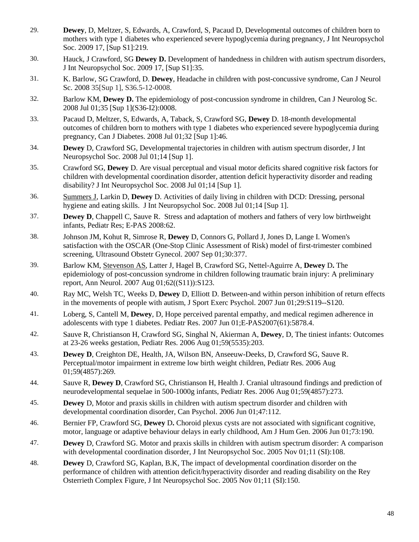- 29. **Dewey**, D, Meltzer, S, Edwards, A, Crawford, S, Pacaud D, Developmental outcomes of children born to mothers with type 1 diabetes who experienced severe hypoglycemia during pregnancy, J Int Neuropsychol Soc. 2009 17, [Sup S1]:219.
- 30. Hauck, J Crawford, SG **Dewey D.** Development of handedness in children with autism spectrum disorders, J Int Neuropsychol Soc. 2009 17, [Sup S1]:35.
- 31. K. Barlow, SG Crawford, D. **Dewey**, Headache in children with post-concussive syndrome, Can J Neurol Sc. 2008 35[Sup 1], S36.5-12-0008.
- 32. Barlow KM, **Dewey D.** The epidemiology of post-concussion syndrome in children, Can J Neurolog Sc. 2008 Jul 01;35 [Sup 1](S36-I2):0008.
- 33. Pacaud D, Meltzer, S, Edwards, A, Taback, S, Crawford SG, **Dewey** D. 18-month developmental outcomes of children born to mothers with type 1 diabetes who experienced severe hypoglycemia during pregnancy, Can J Diabetes. 2008 Jul 01;32 [Sup 1]:46.
- 34. **Dewey** D, Crawford SG, Developmental trajectories in children with autism spectrum disorder, J Int Neuropsychol Soc. 2008 Jul 01;14 [Sup 1].
- 35. Crawford SG, **Dewey** D. Are visual perceptual and visual motor deficits shared cognitive risk factors for children with developmental coordination disorder, attention deficit hyperactivity disorder and reading disability? J Int Neuropsychol Soc. 2008 Jul 01;14 [Sup 1].
- 36. Summers J, Larkin D, **Dewey** D. Activities of daily living in children with DCD: Dressing, personal hygiene and eating skills. J Int Neuropsychol Soc. 2008 Jul 01;14 [Sup 1].
- 37. **Dewey D**, Chappell C, Sauve R. Stress and adaptation of mothers and fathers of very low birthweight infants, Pediatr Res; E-PAS 2008:62.
- 38. Johnson JM, Kohut R, Simrose R, **Dewey** D, Connors G, Pollard J, Jones D, Lange I. Women's satisfaction with the OSCAR (One-Stop Clinic Assessment of Risk) model of first-trimester combined screening, Ultrasound Obstetr Gynecol. 2007 Sep 01;30:377.
- 39. Barlow KM, Stevenson AS, Latter J, Hagel B, Crawford SG, Nettel-Aguirre A, **Dewey** D**.** The epidemiology of post-concussion syndrome in children following traumatic brain injury: A preliminary report, Ann Neurol. 2007 Aug 01;62((S11)):S123.
- 40. Ray MC, Welsh TC, Weeks D, **Dewey** D, Elliott D. Between-and within person inhibition of return effects in the movements of people with autism, J Sport Exerc Psychol. 2007 Jun 01;29:S119--S120.
- 41. Loberg, S, Cantell M, **Dewey**, D, Hope perceived parental empathy, and medical regimen adherence in adolescents with type 1 diabetes. Pediatr Res. 2007 Jun 01;E-PAS2007(61):5878.4.
- 42. Sauve R, Christianson H, Crawford SG, Singhal N, Akierman A, **Dewey**, D, The tiniest infants: Outcomes at 23-26 weeks gestation, Pediatr Res. 2006 Aug 01;59(5535):203.
- 43. **Dewey D**, Creighton DE, Health, JA, Wilson BN, Anseeuw-Deeks, D, Crawford SG, Sauve R. Perceptual/motor impairment in extreme low birth weight children, Pediatr Res. 2006 Aug 01;59(4857):269.
- 44. Sauve R, **Dewey D**, Crawford SG, Christianson H, Health J. Cranial ultrasound findings and prediction of neurodevelopmental sequelae in 500-1000g infants, Pediatr Res. 2006 Aug 01;59(4857):273.
- 45. **Dewey** D, Motor and praxis skills in children with autism spectrum disorder and children with developmental coordination disorder, Can Psychol. 2006 Jun 01;47:112.
- 46. Bernier FP, Crawford SG, **Dewey** D**.** Choroid plexus cysts are not associated with significant cognitive, motor, language or adaptive behaviour delays in early childhood, Am J Hum Gen. 2006 Jun 01;73:190.
- 47. **Dewey** D, Crawford SG. Motor and praxis skills in children with autism spectrum disorder: A comparison with developmental coordination disorder, J Int Neuropsychol Soc. 2005 Nov 01;11 (SI):108.
- 48. **Dewey** D, Crawford SG, Kaplan, B.K, The impact of developmental coordination disorder on the performance of children with attention deficit/hyperactivity disorder and reading disability on the Rey Osterrieth Complex Figure, J Int Neuropsychol Soc. 2005 Nov 01;11 (SI):150.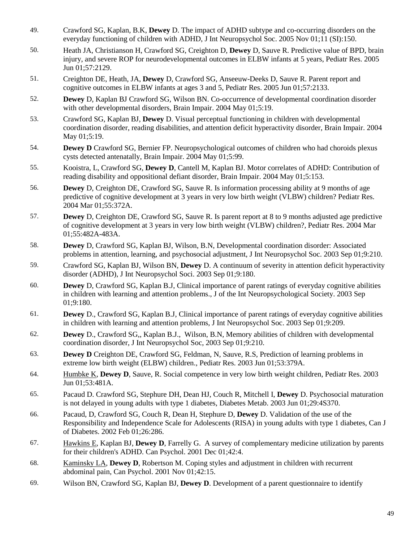- 49. Crawford SG, Kaplan, B.K, **Dewey** D. The impact of ADHD subtype and co-occurring disorders on the everyday functioning of children with ADHD, J Int Neuropsychol Soc. 2005 Nov 01;11 (SI):150.
- 50. Heath JA, Christianson H, Crawford SG, Creighton D, **Dewey** D, Sauve R. Predictive value of BPD, brain injury, and severe ROP for neurodevelopmental outcomes in ELBW infants at 5 years, Pediatr Res. 2005 Jun 01;57:2129.
- 51. Creighton DE, Heath, JA, **Dewey** D, Crawford SG, Anseeuw-Deeks D, Sauve R. Parent report and cognitive outcomes in ELBW infants at ages 3 and 5, Pediatr Res. 2005 Jun 01;57:2133.
- 52. **Dewey** D, Kaplan BJ Crawford SG, Wilson BN. Co-occurrence of developmental coordination disorder with other developmental disorders, Brain Impair. 2004 May 01;5:19.
- 53. Crawford SG, Kaplan BJ, **Dewey** D. Visual perceptual functioning in children with developmental coordination disorder, reading disabilities, and attention deficit hyperactivity disorder, Brain Impair. 2004 May 01;5:19.
- 54. **Dewey D** Crawford SG, Bernier FP. Neuropsychological outcomes of children who had choroids plexus cysts detected antenatally, Brain Impair. 2004 May 01;5:99.
- 55. Kooistra, L, Crawford SG, **Dewey D**, Cantell M, Kaplan BJ. Motor correlates of ADHD: Contribution of reading disability and oppositional defiant disorder, Brain Impair. 2004 May 01;5:153.
- 56. **Dewey** D, Creighton DE, Crawford SG, Sauve R. Is information processing ability at 9 months of age predictive of cognitive development at 3 years in very low birth weight (VLBW) children? Pediatr Res. 2004 Mar 01;55:372A.
- 57. **Dewey** D, Creighton DE, Crawford SG, Sauve R. Is parent report at 8 to 9 months adjusted age predictive of cognitive development at 3 years in very low birth weight (VLBW) children?, Pediatr Res. 2004 Mar 01;55:482A-483A.
- 58. **Dewey** D, Crawford SG, Kaplan BJ, Wilson, B.N, Developmental coordination disorder: Associated problems in attention, learning, and psychosocial adjustment, J Int Neuropsychol Soc. 2003 Sep 01;9:210.
- 59. Crawford SG, Kaplan BJ, Wilson BN, **Dewey** D. A continuum of severity in attention deficit hyperactivity disorder (ADHD), J Int Neuropsychol Soci. 2003 Sep 01;9:180.
- 60. **Dewey** D, Crawford SG, Kaplan B.J, Clinical importance of parent ratings of everyday cognitive abilities in children with learning and attention problems., J of the Int Neuropsychological Society. 2003 Sep 01;9:180.
- 61. **Dewey** D., Crawford SG, Kaplan B.J, Clinical importance of parent ratings of everyday cognitive abilities in children with learning and attention problems, J Int Neuropsychol Soc. 2003 Sep 01;9:209.
- 62. **Dewey** D., Crawford SG,, Kaplan B.J., Wilson, B.N, Memory abilities of children with developmental coordination disorder, J Int Neuropsychol Soc, 2003 Sep 01;9:210.
- 63. **Dewey D** Creighton DE, Crawford SG, Feldman, N, Sauve, R.S, Prediction of learning problems in extreme low birth weight (ELBW) children., Pediatr Res. 2003 Jun 01;53:379A.
- 64. Humbke K, **Dewey D**, Sauve, R. Social competence in very low birth weight children, Pediatr Res. 2003 Jun 01;53:481A.
- 65. Pacaud D. Crawford SG, Stephure DH, Dean HJ, Couch R, Mitchell I, **Dewey** D. Psychosocial maturation is not delayed in young adults with type 1 diabetes, Diabetes Metab. 2003 Jun 01;29:4S370.
- 66. Pacaud, D, Crawford SG, Couch R, Dean H, Stephure D, **Dewey** D. Validation of the use of the Responsibility and Independence Scale for Adolescents (RISA) in young adults with type 1 diabetes, Can J of Diabetes. 2002 Feb 01;26:286.
- 67. Hawkins E, Kaplan BJ, **Dewey D**, Farrelly G. A survey of complementary medicine utilization by parents for their children's ADHD. Can Psychol. 2001 Dec 01;42:4.
- 68. Kaminsky LA, **Dewey D**, Robertson M. Coping styles and adjustment in children with recurrent abdominal pain, Can Psychol. 2001 Nov 01;42:15.
- 69. Wilson BN, Crawford SG, Kaplan BJ, **Dewey D**. Development of a parent questionnaire to identify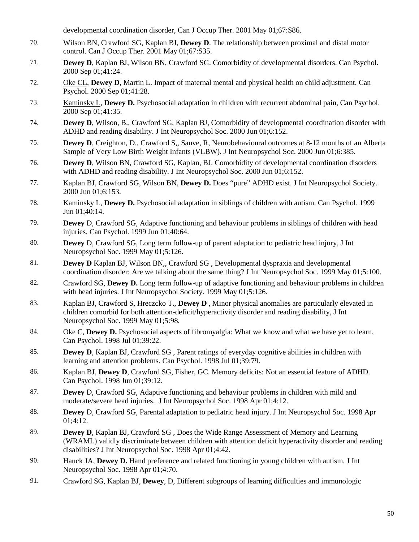developmental coordination disorder, Can J Occup Ther. 2001 May 01;67:S86.

- 70. Wilson BN, Crawford SG, Kaplan BJ, **Dewey D**. The relationship between proximal and distal motor control. Can J Occup Ther. 2001 May 01;67:S35.
- 71. **Dewey D**, Kaplan BJ, Wilson BN, Crawford SG. Comorbidity of developmental disorders. Can Psychol. 2000 Sep 01;41:24.
- 72. Oke CL, **Dewey D**, Martin L. Impact of maternal mental and physical health on child adjustment. Can Psychol. 2000 Sep 01;41:28.
- 73. Kaminsky L, **Dewey D.** Psychosocial adaptation in children with recurrent abdominal pain, Can Psychol. 2000 Sep 01;41:35.
- 74. **Dewey D**, Wilson, B., Crawford SG, Kaplan BJ, Comorbidity of developmental coordination disorder with ADHD and reading disability. J Int Neuropsychol Soc. 2000 Jun 01;6:152.
- 75. **Dewey D**, Creighton, D., Crawford S,, Sauve, R, Neurobehavioural outcomes at 8-12 months of an Alberta Sample of Very Low Birth Weight Infants (VLBW). J Int Neuropsychol Soc. 2000 Jun 01;6:385.
- 76. **Dewey D**, Wilson BN, Crawford SG, Kaplan, BJ. Comorbidity of developmental coordination disorders with ADHD and reading disability. J Int Neuropsychol Soc. 2000 Jun 01;6:152.
- 77. Kaplan BJ, Crawford SG, Wilson BN, **Dewey D.** Does "pure" ADHD exist. J Int Neuropsychol Society. 2000 Jun 01;6:153.
- 78. Kaminsky L, **Dewey D.** Psychosocial adaptation in siblings of children with autism. Can Psychol. 1999 Jun 01;40:14.
- 79. **Dewey** D, Crawford SG, Adaptive functioning and behaviour problems in siblings of children with head injuries, Can Psychol. 1999 Jun 01;40:64.
- 80. **Dewey** D, Crawford SG, Long term follow-up of parent adaptation to pediatric head injury, J Int Neuropsychol Soc. 1999 May 01;5:126.
- 81. **Dewey D** Kaplan BJ, Wilson BN,, Crawford SG , Developmental dyspraxia and developmental coordination disorder: Are we talking about the same thing? J Int Neuropsychol Soc. 1999 May 01;5:100.
- 82. Crawford SG, **Dewey D.** Long term follow-up of adaptive functioning and behaviour problems in children with head injuries. J Int Neuropsychol Society. 1999 May 01;5:126.
- 83. Kaplan BJ, Crawford S, Hreczcko T., **Dewey D** , Minor physical anomalies are particularly elevated in children comorbid for both attention-deficit/hyperactivity disorder and reading disability, J Int Neuropsychol Soc. 1999 May 01;5:98.
- 84. Oke C, **Dewey D.** Psychosocial aspects of fibromyalgia: What we know and what we have yet to learn, Can Psychol. 1998 Jul 01;39:22.
- 85. **Dewey D**, Kaplan BJ, Crawford SG, Parent ratings of everyday cognitive abilities in children with learning and attention problems. Can Psychol. 1998 Jul 01;39:79.
- 86. Kaplan BJ, **Dewey D**, Crawford SG, Fisher, GC. Memory deficits: Not an essential feature of ADHD. Can Psychol. 1998 Jun 01;39:12.
- 87. **Dewey** D, Crawford SG, Adaptive functioning and behaviour problems in children with mild and moderate/severe head injuries. J Int Neuropsychol Soc. 1998 Apr 01;4:12.
- 88. **Dewey** D, Crawford SG, Parental adaptation to pediatric head injury. J Int Neuropsychol Soc. 1998 Apr 01;4:12.
- 89. **Dewey D**, Kaplan BJ, Crawford SG, Does the Wide Range Assessment of Memory and Learning (WRAML) validly discriminate between children with attention deficit hyperactivity disorder and reading disabilities? J Int Neuropsychol Soc. 1998 Apr 01;4:42.
- 90. Hauck JA, **Dewey D.** Hand preference and related functioning in young children with autism. J Int Neuropsychol Soc. 1998 Apr 01;4:70.
- 91. Crawford SG, Kaplan BJ, **Dewey**, D, Different subgroups of learning difficulties and immunologic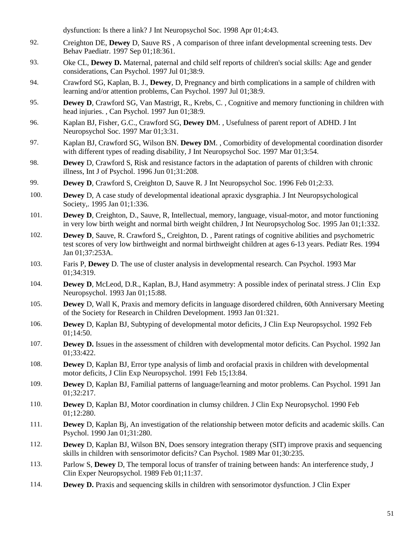dysfunction: Is there a link? J Int Neuropsychol Soc. 1998 Apr 01;4:43.

- 92. Creighton DE, **Dewey** D, Sauve RS , A comparison of three infant developmental screening tests. Dev Behav Paediatr. 1997 Sep 01;18:361.
- 93. Oke CL, **Dewey D.** Maternal, paternal and child self reports of children's social skills: Age and gender considerations, Can Psychol. 1997 Jul 01;38:9.
- 94. Crawford SG, Kaplan, B. J., **Dewey**, D, Pregnancy and birth complications in a sample of children with learning and/or attention problems, Can Psychol. 1997 Jul 01;38:9.
- 95. **Dewey D**, Crawford SG, Van Mastrigt, R., Krebs, C. , Cognitive and memory functioning in children with head injuries. , Can Psychol. 1997 Jun 01;38:9.
- 96. Kaplan BJ, Fisher, G.C., Crawford SG, **Dewey D**M. , Usefulness of parent report of ADHD. J Int Neuropsychol Soc. 1997 Mar 01;3:31.
- 97. Kaplan BJ, Crawford SG, Wilson BN. **Dewey D**M. , Comorbidity of developmental coordination disorder with different types of reading disability, J Int Neuropsychol Soc. 1997 Mar 01;3:54.
- 98. **Dewey** D, Crawford S, Risk and resistance factors in the adaptation of parents of children with chronic illness, Int J of Psychol. 1996 Jun 01;31:208.
- 99. **Dewey D**, Crawford S, Creighton D, Sauve R. J Int Neuropsychol Soc. 1996 Feb 01;2:33.
- 100. **Dewey** D, A case study of developmental ideational apraxic dysgraphia. J Int Neuropsychological Society,. 1995 Jan 01;1:336.
- 101. **Dewey D**, Creighton, D., Sauve, R, Intellectual, memory, language, visual-motor, and motor functioning in very low birth weight and normal birth weight children, J Int Neuropsycholog Soc. 1995 Jan 01;1:332.
- 102. **Dewey D**, Sauve, R. Crawford S,, Creighton, D. , Parent ratings of cognitive abilities and psychometric test scores of very low birthweight and normal birthweight children at ages 6-13 years. Pediatr Res. 1994 Jan 01;37:253A.
- 103. Faris P, **Dewey** D. The use of cluster analysis in developmental research. Can Psychol. 1993 Mar 01;34:319.
- 104. **Dewey D**, McLeod, D.R., Kaplan, B.J, Hand asymmetry: A possible index of perinatal stress. J Clin Exp Neuropsychol. 1993 Jan 01;15:88.
- 105. **Dewey** D, Wall K, Praxis and memory deficits in language disordered children, 60th Anniversary Meeting of the Society for Research in Children Development. 1993 Jan 01:321.
- 106. **Dewey** D, Kaplan BJ, Subtyping of developmental motor deficits, J Clin Exp Neuropsychol. 1992 Feb 01;14:50.
- 107. **Dewey D.** Issues in the assessment of children with developmental motor deficits. Can Psychol. 1992 Jan 01;33:422.
- 108. **Dewey** D, Kaplan BJ, Error type analysis of limb and orofacial praxis in children with developmental motor deficits, J Clin Exp Neuropsychol. 1991 Feb 15;13:84.
- 109. **Dewey** D, Kaplan BJ, Familial patterns of language/learning and motor problems. Can Psychol. 1991 Jan 01;32:217.
- 110. **Dewey** D, Kaplan BJ, Motor coordination in clumsy children. J Clin Exp Neuropsychol. 1990 Feb 01;12:280.
- 111. **Dewey** D, Kaplan Bj, An investigation of the relationship between motor deficits and academic skills. Can Psychol. 1990 Jan 01;31:280.
- 112. **Dewey** D, Kaplan BJ, Wilson BN, Does sensory integration therapy (SIT) improve praxis and sequencing skills in children with sensorimotor deficits? Can Psychol. 1989 Mar 01;30:235.
- 113. Parlow S, **Dewey** D, The temporal locus of transfer of training between hands: An interference study, J Clin Exper Neuropsychol. 1989 Feb 01;11:37.
- 114. **Dewey D.** Praxis and sequencing skills in children with sensorimotor dysfunction. J Clin Exper